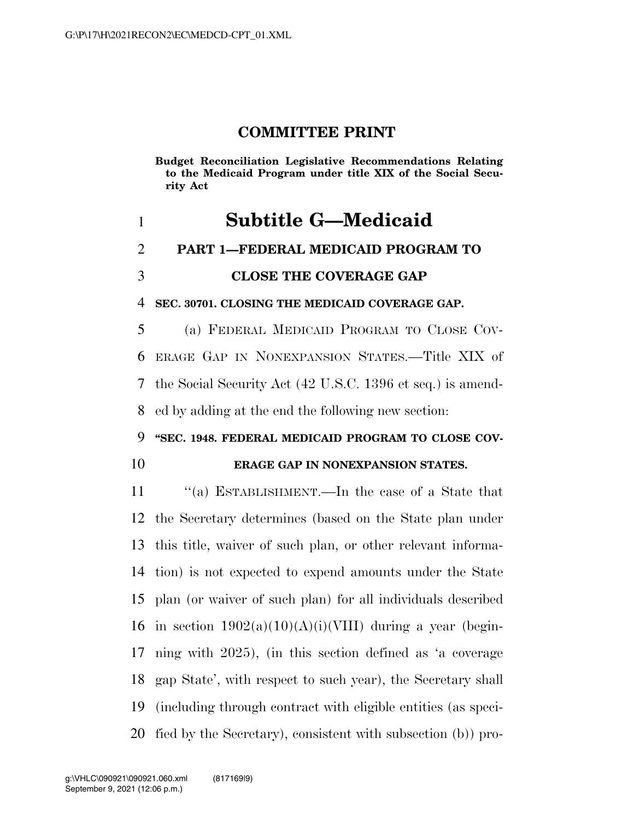## **COMMITTEE PRINT**

**Budget Reconciliation Legislative Recommendations Relating to the Medicaid Program under title XIX of the Social Security Act** 

# **Subtitle G—Medicaid PART 1—FEDERAL MEDICAID PROGRAM TO CLOSE THE COVERAGE GAP**

**SEC. 30701. CLOSING THE MEDICAID COVERAGE GAP.** 

 (a) FEDERAL MEDICAID PROGRAM TO CLOSE COV- ERAGE GAP IN NONEXPANSION STATES.—Title XIX of the Social Security Act (42 U.S.C. 1396 et seq.) is amend-ed by adding at the end the following new section:

#### **''SEC. 1948. FEDERAL MEDICAID PROGRAM TO CLOSE COV-**

### **ERAGE GAP IN NONEXPANSION STATES.**

 ''(a) ESTABLISHMENT.—In the case of a State that the Secretary determines (based on the State plan under this title, waiver of such plan, or other relevant informa- tion) is not expected to expend amounts under the State plan (or waiver of such plan) for all individuals described 16 in section  $1902(a)(10)(A)(i)(VIII)$  during a year (begin- ning with 2025), (in this section defined as 'a coverage gap State', with respect to such year), the Secretary shall (including through contract with eligible entities (as speci-fied by the Secretary), consistent with subsection (b)) pro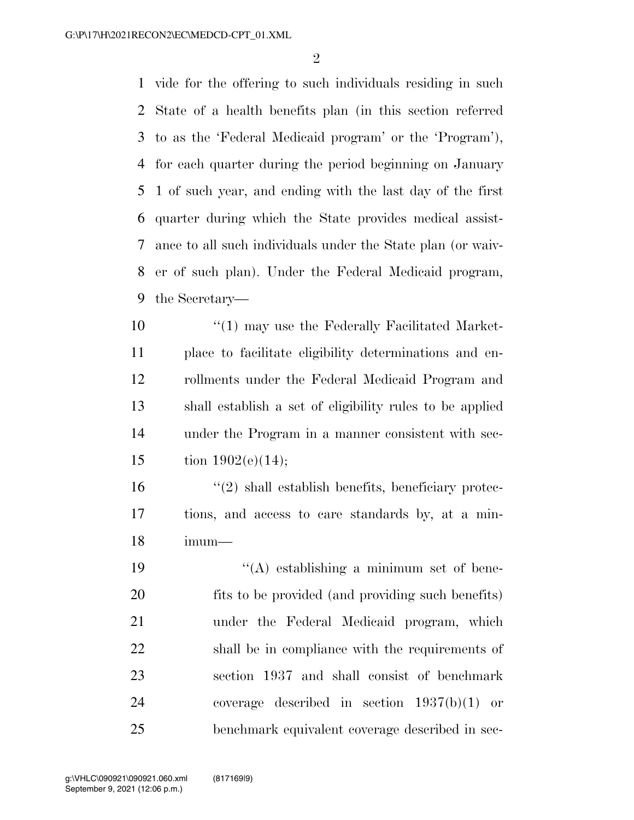vide for the offering to such individuals residing in such State of a health benefits plan (in this section referred to as the 'Federal Medicaid program' or the 'Program'), for each quarter during the period beginning on January 1 of such year, and ending with the last day of the first quarter during which the State provides medical assist- ance to all such individuals under the State plan (or waiv- er of such plan). Under the Federal Medicaid program, the Secretary—

10 <sup>"</sup>(1) may use the Federally Facilitated Market- place to facilitate eligibility determinations and en- rollments under the Federal Medicaid Program and shall establish a set of eligibility rules to be applied under the Program in a manner consistent with sec-15 tion  $1902(e)(14);$ 

 $\mathcal{L}(2)$  shall establish benefits, beneficiary protec- tions, and access to care standards by, at a min-imum—

 ''(A) establishing a minimum set of bene- fits to be provided (and providing such benefits) under the Federal Medicaid program, which shall be in compliance with the requirements of section 1937 and shall consist of benchmark coverage described in section 1937(b)(1) or benchmark equivalent coverage described in sec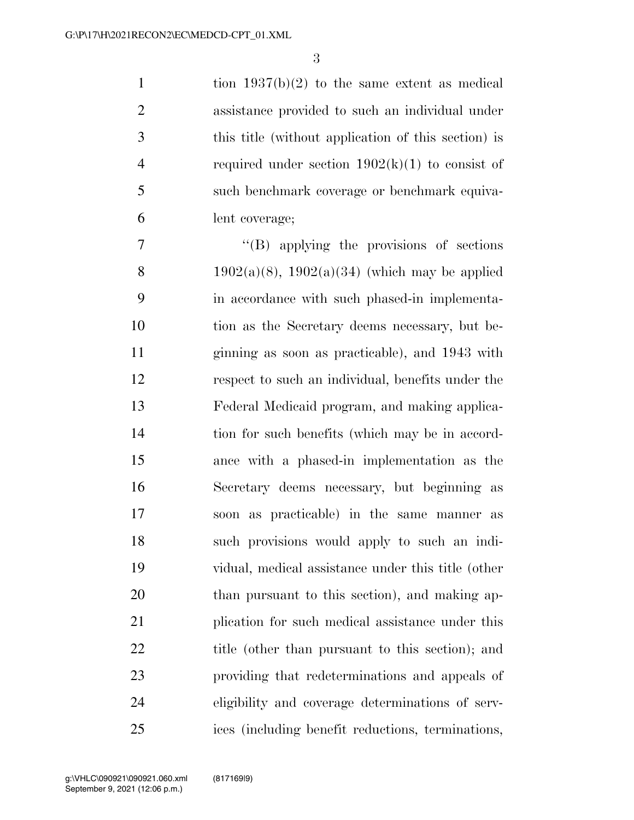1 tion  $1937(b)(2)$  to the same extent as medical assistance provided to such an individual under this title (without application of this section) is 4 required under section  $1902(k)(1)$  to consist of such benchmark coverage or benchmark equiva-lent coverage;

 $''(B)$  applying the provisions of sections 8 1902(a)(8), 1902(a)(34) (which may be applied in accordance with such phased-in implementa- tion as the Secretary deems necessary, but be- ginning as soon as practicable), and 1943 with respect to such an individual, benefits under the Federal Medicaid program, and making applica- tion for such benefits (which may be in accord- ance with a phased-in implementation as the Secretary deems necessary, but beginning as soon as practicable) in the same manner as such provisions would apply to such an indi- vidual, medical assistance under this title (other than pursuant to this section), and making ap- plication for such medical assistance under this 22 title (other than pursuant to this section); and providing that redeterminations and appeals of eligibility and coverage determinations of serv-ices (including benefit reductions, terminations,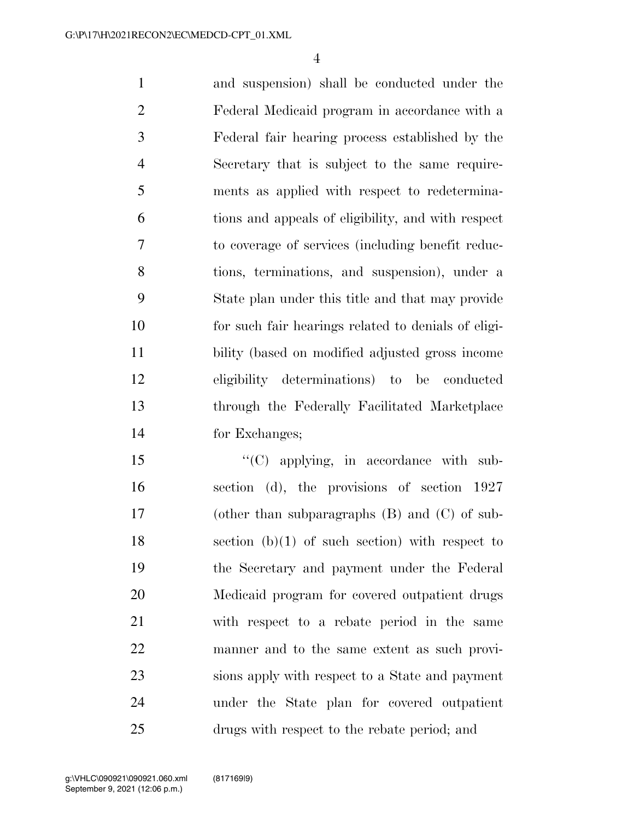and suspension) shall be conducted under the Federal Medicaid program in accordance with a Federal fair hearing process established by the Secretary that is subject to the same require- ments as applied with respect to redetermina- tions and appeals of eligibility, and with respect to coverage of services (including benefit reduc- tions, terminations, and suspension), under a State plan under this title and that may provide for such fair hearings related to denials of eligi- bility (based on modified adjusted gross income eligibility determinations) to be conducted through the Federally Facilitated Marketplace for Exchanges;

15 "'(C) applying, in accordance with sub- section (d), the provisions of section 1927 (other than subparagraphs (B) and (C) of sub-18 section  $(b)(1)$  of such section) with respect to the Secretary and payment under the Federal Medicaid program for covered outpatient drugs with respect to a rebate period in the same manner and to the same extent as such provi- sions apply with respect to a State and payment under the State plan for covered outpatient drugs with respect to the rebate period; and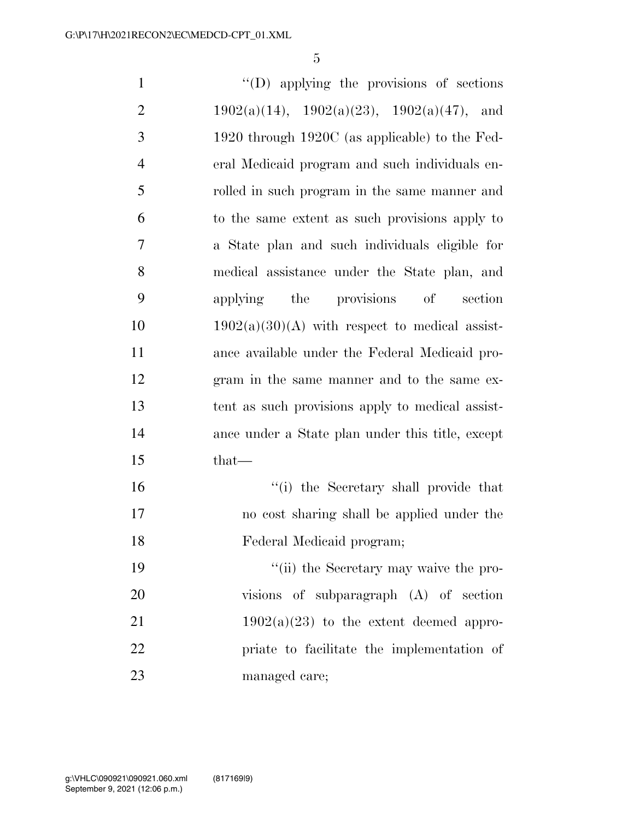''(D) applying the provisions of sections 2 1902(a)(14), 1902(a)(23), 1902(a)(47), and 1920 through 1920C (as applicable) to the Fed- eral Medicaid program and such individuals en- rolled in such program in the same manner and to the same extent as such provisions apply to a State plan and such individuals eligible for medical assistance under the State plan, and applying the provisions of section  $1902(a)(30)(A)$  with respect to medical assist- ance available under the Federal Medicaid pro- gram in the same manner and to the same ex- tent as such provisions apply to medical assist- ance under a State plan under this title, except that— ''(i) the Secretary shall provide that no cost sharing shall be applied under the Federal Medicaid program; ''(ii) the Secretary may waive the pro- visions of subparagraph (A) of section  $1902(a)(23)$  to the extent deemed appro-

 priate to facilitate the implementation of managed care;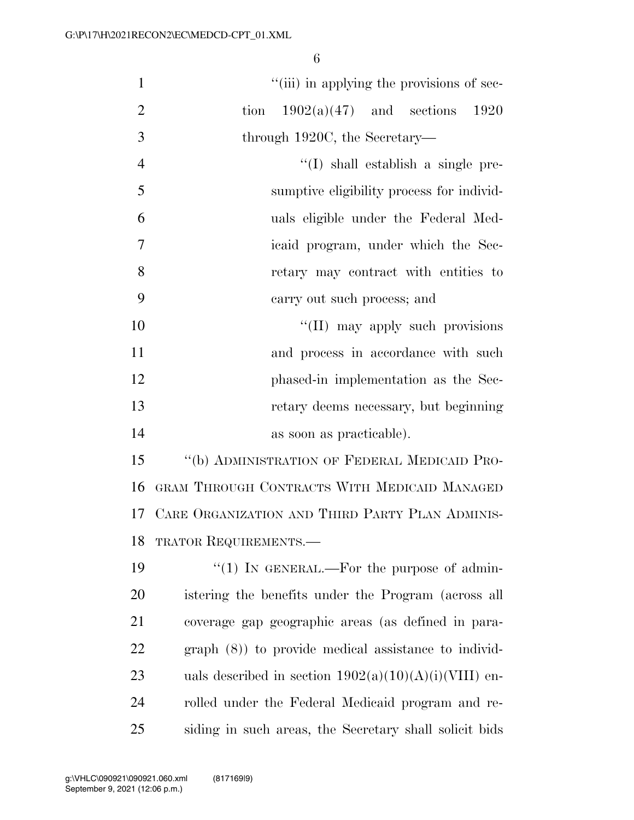| $\mathbf{1}$   | "(iii) in applying the provisions of sec-               |
|----------------|---------------------------------------------------------|
| $\overline{2}$ | $1902(a)(47)$ and sections<br>tion<br>1920              |
| $\mathfrak{Z}$ | through 1920C, the Secretary—                           |
| $\overline{4}$ | $\lq\lq$ shall establish a single pre-                  |
| 5              | sumptive eligibility process for individ-               |
| 6              | uals eligible under the Federal Med-                    |
| $\tau$         | icaid program, under which the Sec-                     |
| 8              | retary may contract with entities to                    |
| 9              | carry out such process; and                             |
| 10             | "(II) may apply such provisions                         |
| 11             | and process in accordance with such                     |
| 12             | phased-in implementation as the Sec-                    |
| 13             | retary deems necessary, but beginning                   |
| 14             | as soon as practicable).                                |
| 15             | "(b) ADMINISTRATION OF FEDERAL MEDICAID PRO-            |
| 16             | GRAM THROUGH CONTRACTS WITH MEDICAID MANAGED            |
| 17             | CARE ORGANIZATION AND THIRD PARTY PLAN ADMINIS-         |
| 18             | TRATOR REQUIREMENTS.                                    |
| 19             | "(1) IN GENERAL.—For the purpose of admin-              |
| 20             | istering the benefits under the Program (across all     |
| 21             | coverage gap geographic areas (as defined in para-      |
| 22             | $graph (8)$ to provide medical assistance to individ-   |
| 23             | uals described in section $1902(a)(10)(A)(i)(VIII)$ en- |
| 24             | rolled under the Federal Medicaid program and re-       |

siding in such areas, the Secretary shall solicit bids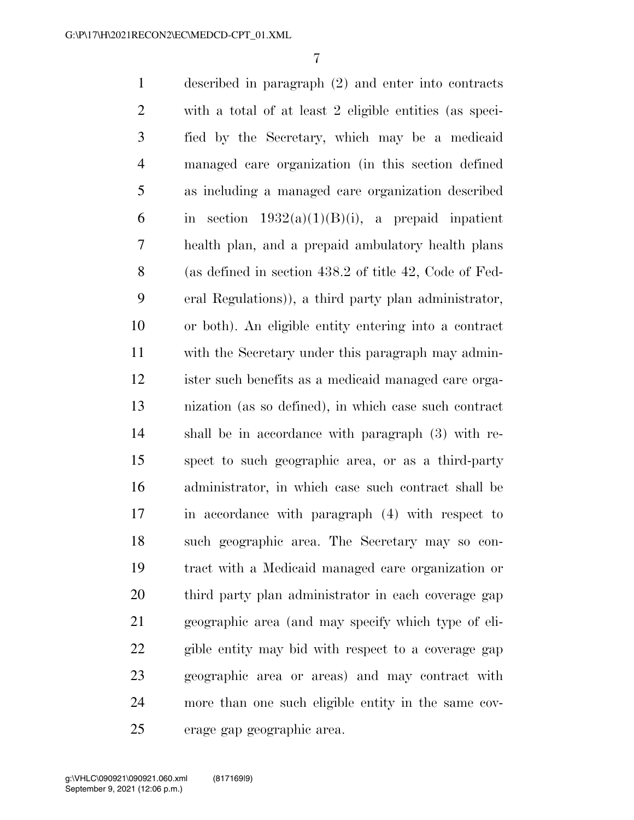described in paragraph (2) and enter into contracts with a total of at least 2 eligible entities (as speci- fied by the Secretary, which may be a medicaid managed care organization (in this section defined as including a managed care organization described 6 in section  $1932(a)(1)(B)(i)$ , a prepaid inpatient health plan, and a prepaid ambulatory health plans (as defined in section 438.2 of title 42, Code of Fed- eral Regulations)), a third party plan administrator, or both). An eligible entity entering into a contract with the Secretary under this paragraph may admin- ister such benefits as a medicaid managed care orga- nization (as so defined), in which case such contract shall be in accordance with paragraph (3) with re- spect to such geographic area, or as a third-party administrator, in which case such contract shall be in accordance with paragraph (4) with respect to such geographic area. The Secretary may so con- tract with a Medicaid managed care organization or third party plan administrator in each coverage gap geographic area (and may specify which type of eli- gible entity may bid with respect to a coverage gap geographic area or areas) and may contract with more than one such eligible entity in the same cov-erage gap geographic area.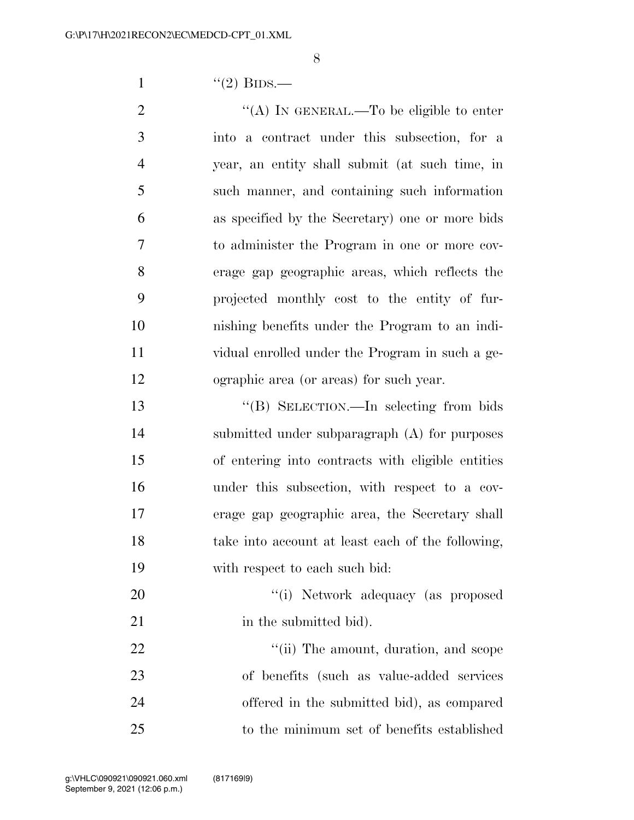1  $((2)$  BIDS.—

 $\text{``(A)}$  In GENERAL.—To be eligible to enter into a contract under this subsection, for a year, an entity shall submit (at such time, in such manner, and containing such information as specified by the Secretary) one or more bids to administer the Program in one or more cov- erage gap geographic areas, which reflects the projected monthly cost to the entity of fur- nishing benefits under the Program to an indi- vidual enrolled under the Program in such a ge-ographic area (or areas) for such year.

 ''(B) SELECTION.—In selecting from bids submitted under subparagraph (A) for purposes of entering into contracts with eligible entities under this subsection, with respect to a cov- erage gap geographic area, the Secretary shall take into account at least each of the following, with respect to each such bid:

20  $\frac{1}{1}$  Network adequacy (as proposed 21 in the submitted bid).

 $\frac{1}{1}$  The amount, duration, and scope of benefits (such as value-added services offered in the submitted bid), as compared to the minimum set of benefits established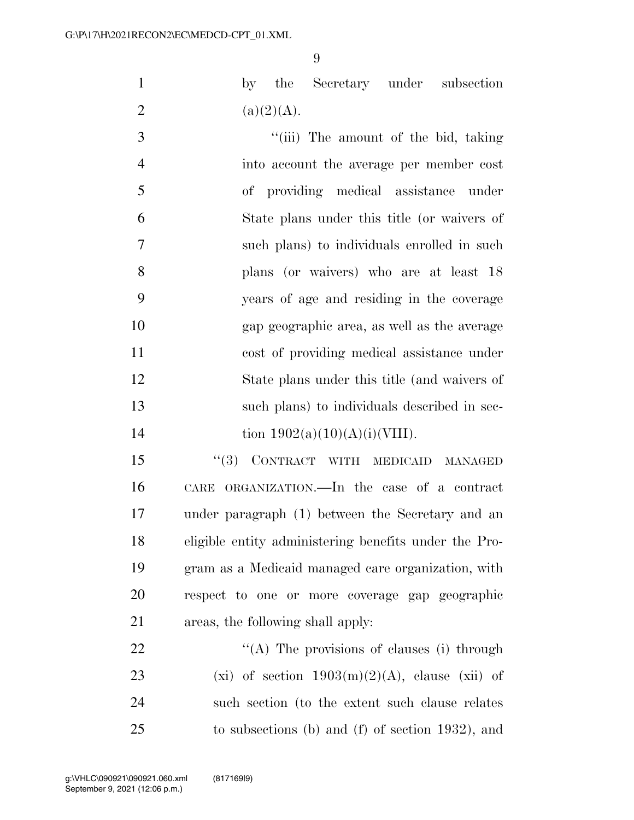by the Secretary under subsection 2 (a)(2)(A).

3 ''(iii) The amount of the bid, taking into account the average per member cost of providing medical assistance under State plans under this title (or waivers of such plans) to individuals enrolled in such plans (or waivers) who are at least 18 years of age and residing in the coverage gap geographic area, as well as the average cost of providing medical assistance under State plans under this title (and waivers of such plans) to individuals described in sec-14 tion  $1902(a)(10)(A)(i)(VIII)$ .

15 "(3) CONTRACT WITH MEDICAID MANAGED CARE ORGANIZATION.—In the case of a contract under paragraph (1) between the Secretary and an eligible entity administering benefits under the Pro- gram as a Medicaid managed care organization, with respect to one or more coverage gap geographic areas, the following shall apply:

 $\mathcal{L}(A)$  The provisions of clauses (i) through 23 (xi) of section  $1903(m)(2)(A)$ , clause (xii) of such section (to the extent such clause relates to subsections (b) and (f) of section 1932), and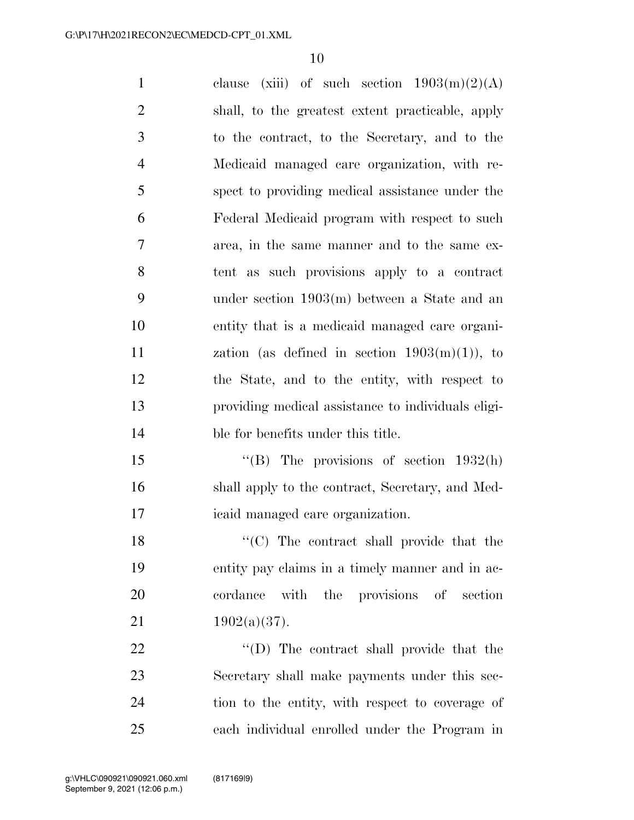1 clause (xiii) of such section  $1903(m)(2)(A)$  shall, to the greatest extent practicable, apply to the contract, to the Secretary, and to the Medicaid managed care organization, with re- spect to providing medical assistance under the Federal Medicaid program with respect to such area, in the same manner and to the same ex- tent as such provisions apply to a contract under section 1903(m) between a State and an entity that is a medicaid managed care organi- $\alpha$  zation (as defined in section  $1903(m)(1)$ ), to the State, and to the entity, with respect to providing medical assistance to individuals eligi- ble for benefits under this title. 15 "(B) The provisions of section 1932(h) shall apply to the contract, Secretary, and Med- icaid managed care organization. 18 ''(C) The contract shall provide that the entity pay claims in a timely manner and in ac-

21  $1902(a)(37)$ .

 $\text{``(D)}$  The contract shall provide that the Secretary shall make payments under this sec- tion to the entity, with respect to coverage of each individual enrolled under the Program in

cordance with the provisions of section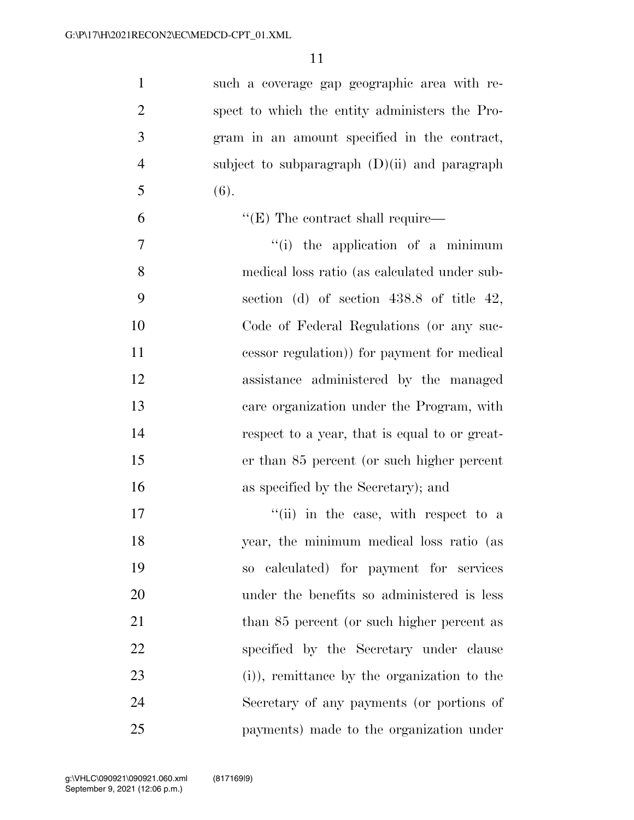| $\mathbf{1}$   | such a coverage gap geographic area with re-    |
|----------------|-------------------------------------------------|
| $\overline{2}$ | spect to which the entity administers the Pro-  |
| 3              | gram in an amount specified in the contract,    |
| $\overline{4}$ | subject to subparagraph $(D)(ii)$ and paragraph |
| 5              | (6).                                            |
| 6              | $\lq\lq$ (E) The contract shall require—        |
| 7              | $f(i)$ the application of a minimum             |
| 8              | medical loss ratio (as calculated under sub-    |
| 9              | section (d) of section $438.8$ of title $42$ ,  |
| 10             | Code of Federal Regulations (or any suc-        |
| 11             | cessor regulation) for payment for medical      |
| 12             | assistance administered by the managed          |
| 13             | care organization under the Program, with       |
| 14             | respect to a year, that is equal to or great-   |
| 15             | er than 85 percent (or such higher percent      |
| 16             | as specified by the Secretary); and             |
| 17             | "(ii) in the case, with respect to a            |
| 18             | year, the minimum medical loss ratio (as        |
| 19             | so calculated) for payment for services         |
| 20             | under the benefits so administered is less      |
| 21             | than 85 percent (or such higher percent as      |
| 22             | specified by the Secretary under clause         |
| 23             | (i), remittance by the organization to the      |
| 24             | Secretary of any payments (or portions of       |
| 25             | payments) made to the organization under        |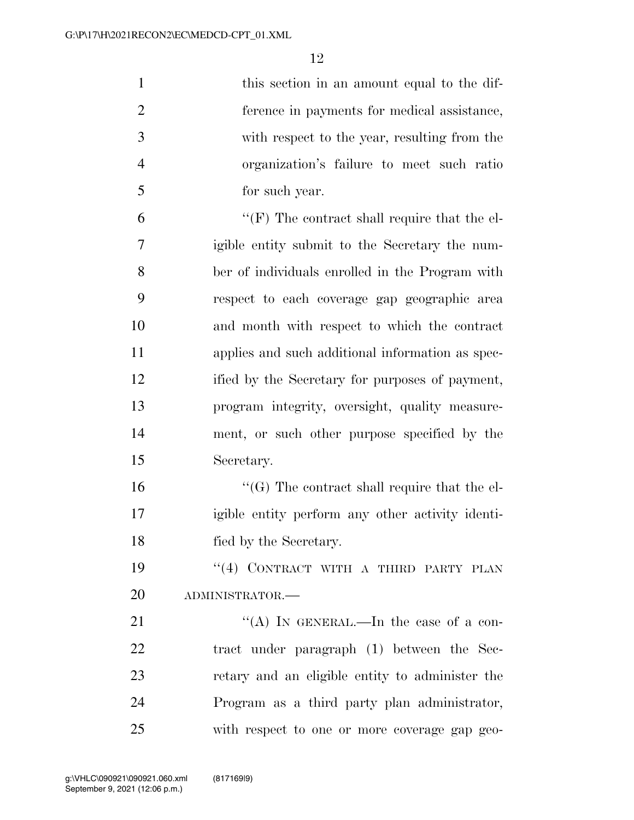| $\mathbf{1}$   | this section in an amount equal to the dif-         |
|----------------|-----------------------------------------------------|
| $\overline{2}$ | ference in payments for medical assistance,         |
| 3              | with respect to the year, resulting from the        |
| $\overline{4}$ | organization's failure to meet such ratio           |
| 5              | for such year.                                      |
| 6              | $\lq\lq(F)$ The contract shall require that the el- |
| $\overline{7}$ | igible entity submit to the Secretary the num-      |
| 8              | ber of individuals enrolled in the Program with     |
| 9              | respect to each coverage gap geographic area        |
| 10             | and month with respect to which the contract        |
| 11             | applies and such additional information as spec-    |
| 12             | ified by the Secretary for purposes of payment,     |
| 13             | program integrity, oversight, quality measure-      |
| 14             | ment, or such other purpose specified by the        |
| 15             | Secretary.                                          |
| 16             | $\lq\lq(G)$ The contract shall require that the el- |
| 17             | igible entity perform any other activity identi-    |
| 18             | fied by the Secretary.                              |
| 19             | "(4) CONTRACT WITH A THIRD PARTY PLAN               |
| 20             | ADMINISTRATOR.-                                     |
| 21             | "(A) IN GENERAL.—In the case of a con-              |
| 22             | tract under paragraph (1) between the Sec-          |
| 23             | retary and an eligible entity to administer the     |
| 24             | Program as a third party plan administrator,        |
| 25             | with respect to one or more coverage gap geo-       |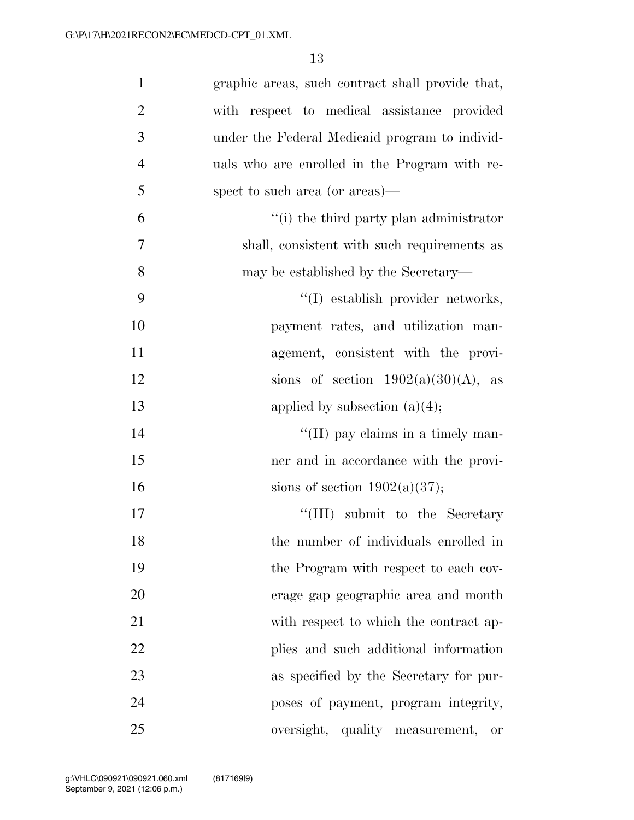| $\mathbf{1}$   | graphic areas, such contract shall provide that,         |
|----------------|----------------------------------------------------------|
| $\overline{2}$ | with respect to medical assistance provided              |
| 3              | under the Federal Medicaid program to individ-           |
| $\overline{4}$ | uals who are enrolled in the Program with re-            |
| 5              | spect to such area (or areas)—                           |
| 6              | "(i) the third party plan administrator                  |
| $\overline{7}$ | shall, consistent with such requirements as              |
| 8              | may be established by the Secretary—                     |
| 9              | "(I) establish provider networks,                        |
| 10             | payment rates, and utilization man-                      |
| 11             | agement, consistent with the provi-                      |
| 12             | sions of section $1902(a)(30)(A)$ , as                   |
| 13             | applied by subsection $(a)(4)$ ;                         |
| 14             | $\lq\lq$ (II) pay claims in a timely man-                |
| 15             | ner and in accordance with the provi-                    |
| 16             | sions of section $1902(a)(37)$ ;                         |
| 17             | "(III) submit to the Secretary                           |
| 18             | the number of individuals enrolled in                    |
| 19             | the Program with respect to each cov-                    |
| 20             | erage gap geographic area and month                      |
| 21             | with respect to which the contract ap-                   |
| 22             | plies and such additional information                    |
| 23             | as specified by the Secretary for pur-                   |
| 24             | poses of payment, program integrity,                     |
| 25             | oversight, quality measurement,<br>$\hbox{or}\hskip 2mm$ |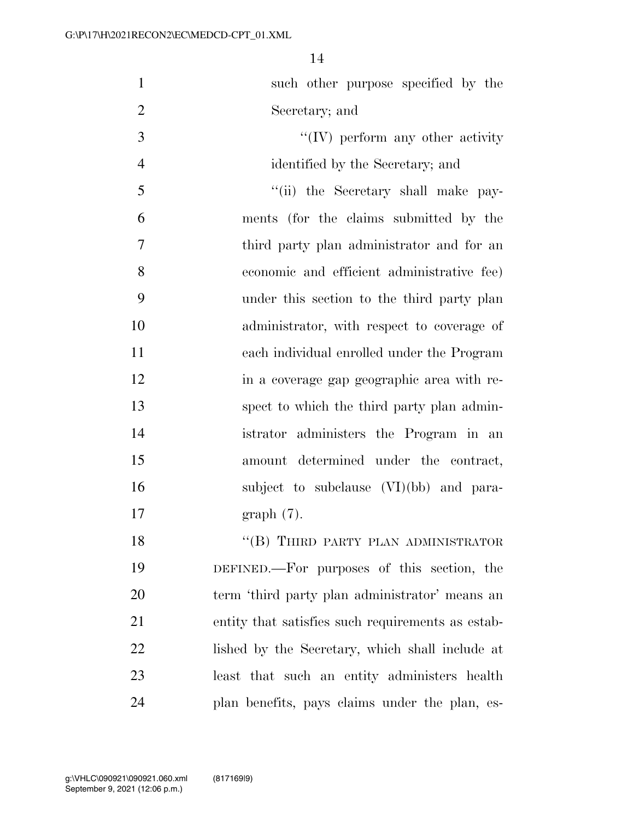| $\mathbf{1}$   | such other purpose specified by the               |
|----------------|---------------------------------------------------|
| $\overline{2}$ | Secretary; and                                    |
| 3              | $\lq\lq (IV)$ perform any other activity          |
| $\overline{4}$ | identified by the Secretary; and                  |
| 5              | "(ii) the Secretary shall make pay-               |
| 6              | ments (for the claims submitted by the            |
| $\overline{7}$ | third party plan administrator and for an         |
| 8              | economic and efficient administrative fee)        |
| 9              | under this section to the third party plan        |
| 10             | administrator, with respect to coverage of        |
| 11             | each individual enrolled under the Program        |
| 12             | in a coverage gap geographic area with re-        |
| 13             | spect to which the third party plan admin-        |
| 14             | istrator administers the Program in an            |
| 15             | amount determined under the contract,             |
| 16             | subject to subclause (VI)(bb) and para-           |
| 17             | $graph(7)$ .                                      |
| 18             | "(B) THIRD PARTY PLAN ADMINISTRATOR               |
| 19             | DEFINED.—For purposes of this section, the        |
| 20             | term 'third party plan administrator' means an    |
| 21             | entity that satisfies such requirements as estab- |
| 22             | lished by the Secretary, which shall include at   |
| 23             | least that such an entity administers health      |
| 24             | plan benefits, pays claims under the plan, es-    |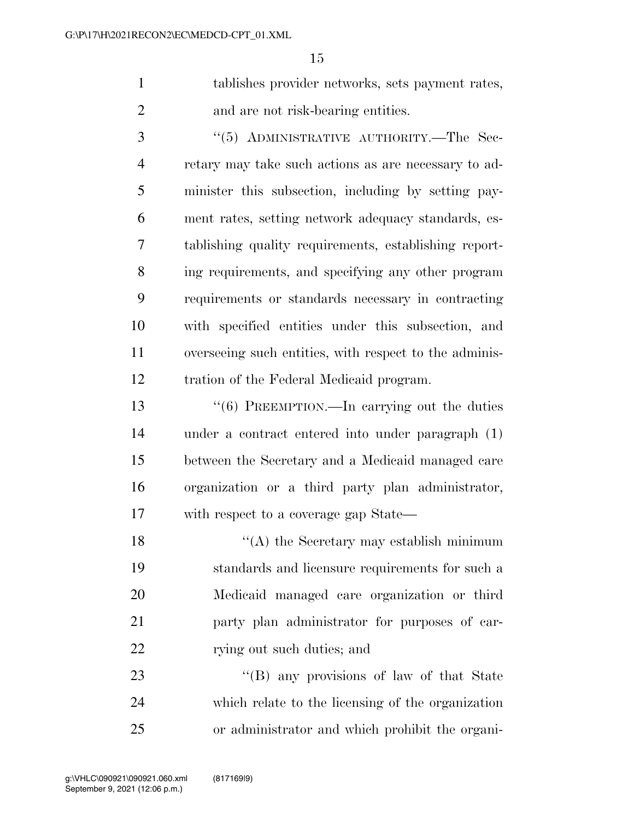tablishes provider networks, sets payment rates, 2 and are not risk-bearing entities.

3 "(5) ADMINISTRATIVE AUTHORITY.—The Sec- retary may take such actions as are necessary to ad- minister this subsection, including by setting pay- ment rates, setting network adequacy standards, es- tablishing quality requirements, establishing report- ing requirements, and specifying any other program requirements or standards necessary in contracting with specified entities under this subsection, and overseeing such entities, with respect to the adminis-tration of the Federal Medicaid program.

 ''(6) PREEMPTION.—In carrying out the duties under a contract entered into under paragraph (1) between the Secretary and a Medicaid managed care organization or a third party plan administrator, with respect to a coverage gap State—

18 ''(A) the Secretary may establish minimum standards and licensure requirements for such a Medicaid managed care organization or third party plan administrator for purposes of car-22 rying out such duties; and

23 "'(B) any provisions of law of that State which relate to the licensing of the organization or administrator and which prohibit the organi-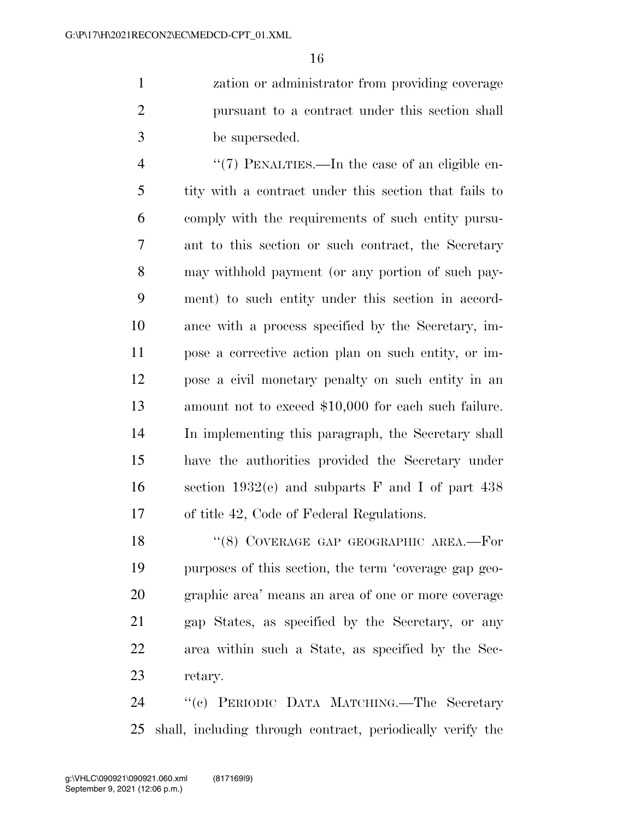zation or administrator from providing coverage pursuant to a contract under this section shall be superseded.

4 "(7) PENALTIES.—In the case of an eligible en- tity with a contract under this section that fails to comply with the requirements of such entity pursu- ant to this section or such contract, the Secretary may withhold payment (or any portion of such pay- ment) to such entity under this section in accord- ance with a process specified by the Secretary, im- pose a corrective action plan on such entity, or im- pose a civil monetary penalty on such entity in an amount not to exceed \$10,000 for each such failure. In implementing this paragraph, the Secretary shall have the authorities provided the Secretary under section 1932(e) and subparts F and I of part 438 of title 42, Code of Federal Regulations.

18 "(8) COVERAGE GAP GEOGRAPHIC AREA.—For purposes of this section, the term 'coverage gap geo- graphic area' means an area of one or more coverage gap States, as specified by the Secretary, or any area within such a State, as specified by the Sec-retary.

 ''(c) PERIODIC DATA MATCHING.—The Secretary shall, including through contract, periodically verify the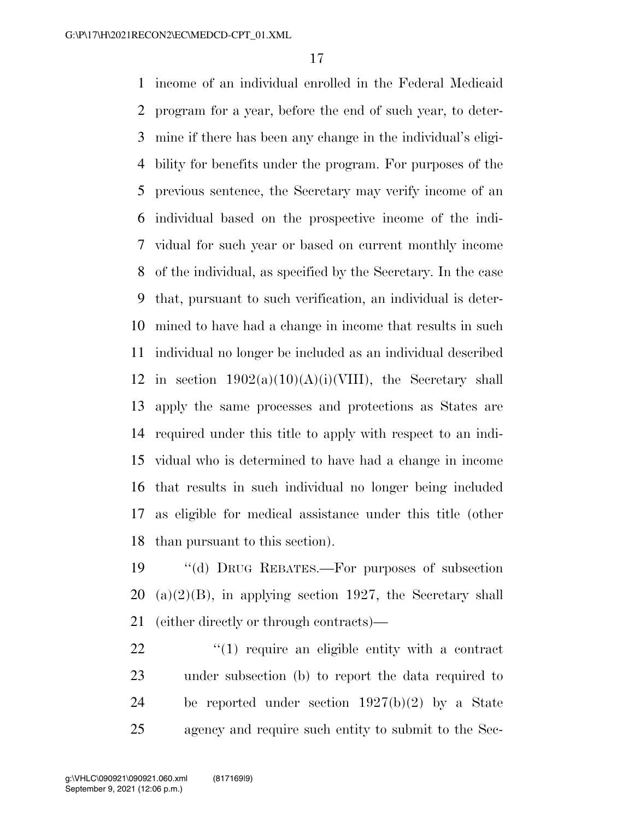income of an individual enrolled in the Federal Medicaid program for a year, before the end of such year, to deter- mine if there has been any change in the individual's eligi- bility for benefits under the program. For purposes of the previous sentence, the Secretary may verify income of an individual based on the prospective income of the indi- vidual for such year or based on current monthly income of the individual, as specified by the Secretary. In the case that, pursuant to such verification, an individual is deter- mined to have had a change in income that results in such individual no longer be included as an individual described 12 in section  $1902(a)(10)(A)(i)(VIII)$ , the Secretary shall apply the same processes and protections as States are required under this title to apply with respect to an indi- vidual who is determined to have had a change in income that results in such individual no longer being included as eligible for medical assistance under this title (other than pursuant to this section).

 ''(d) DRUG REBATES.—For purposes of subsection 20 (a)(2)(B), in applying section 1927, the Secretary shall (either directly or through contracts)—

 $\frac{1}{2}$  (1) require an eligible entity with a contract under subsection (b) to report the data required to be reported under section 1927(b)(2) by a State agency and require such entity to submit to the Sec-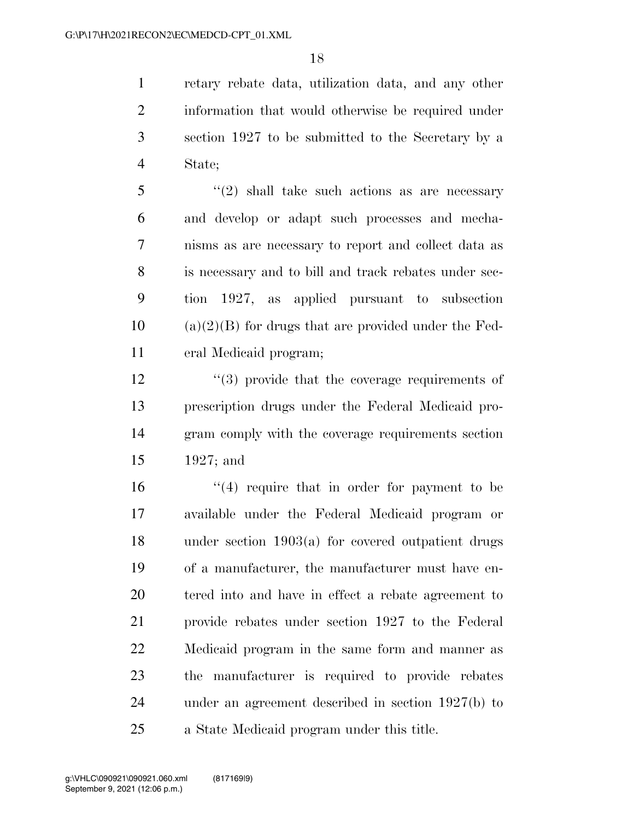retary rebate data, utilization data, and any other information that would otherwise be required under section 1927 to be submitted to the Secretary by a State;

 ''(2) shall take such actions as are necessary and develop or adapt such processes and mecha- nisms as are necessary to report and collect data as is necessary and to bill and track rebates under sec- tion 1927, as applied pursuant to subsection (a)(2)(B) for drugs that are provided under the Fed-eral Medicaid program;

 $\frac{12}{2}$  ''(3) provide that the coverage requirements of prescription drugs under the Federal Medicaid pro- gram comply with the coverage requirements section 1927; and

 $\frac{16}{16}$  ''(4) require that in order for payment to be available under the Federal Medicaid program or under section 1903(a) for covered outpatient drugs of a manufacturer, the manufacturer must have en- tered into and have in effect a rebate agreement to provide rebates under section 1927 to the Federal Medicaid program in the same form and manner as the manufacturer is required to provide rebates under an agreement described in section 1927(b) to a State Medicaid program under this title.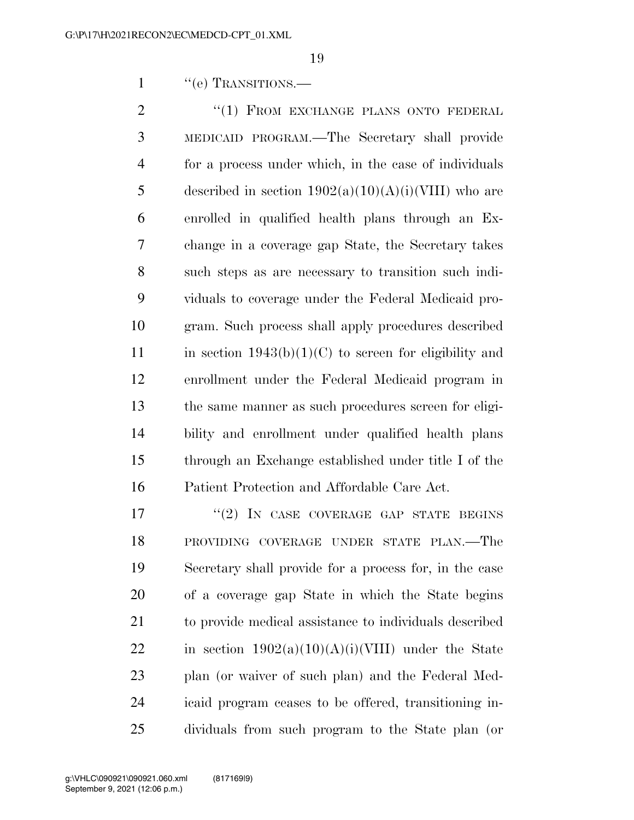1 "(e) TRANSITIONS.—

2 "(1) FROM EXCHANGE PLANS ONTO FEDERAL MEDICAID PROGRAM.—The Secretary shall provide for a process under which, in the case of individuals 5 described in section  $1902(a)(10)(A)(i)(VIII)$  who are enrolled in qualified health plans through an Ex- change in a coverage gap State, the Secretary takes such steps as are necessary to transition such indi- viduals to coverage under the Federal Medicaid pro- gram. Such process shall apply procedures described 11 in section  $1943(b)(1)(C)$  to screen for eligibility and enrollment under the Federal Medicaid program in the same manner as such procedures screen for eligi- bility and enrollment under qualified health plans through an Exchange established under title I of the Patient Protection and Affordable Care Act.

17 "(2) IN CASE COVERAGE GAP STATE BEGINS PROVIDING COVERAGE UNDER STATE PLAN.—The Secretary shall provide for a process for, in the case of a coverage gap State in which the State begins to provide medical assistance to individuals described 22 in section  $1902(a)(10)(A)(i)(VIII)$  under the State plan (or waiver of such plan) and the Federal Med- icaid program ceases to be offered, transitioning in-dividuals from such program to the State plan (or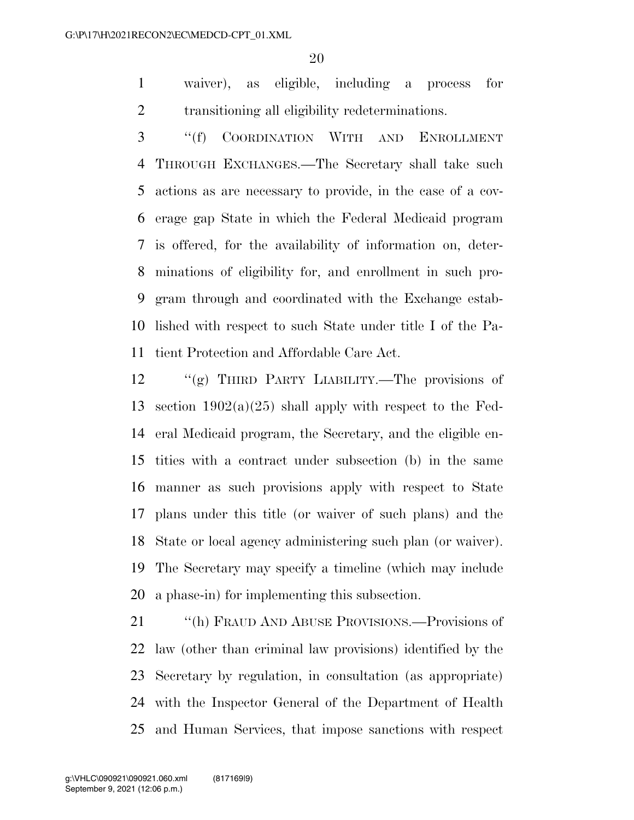waiver), as eligible, including a process for transitioning all eligibility redeterminations.

 ''(f) COORDINATION WITH AND ENROLLMENT THROUGH EXCHANGES.—The Secretary shall take such actions as are necessary to provide, in the case of a cov- erage gap State in which the Federal Medicaid program is offered, for the availability of information on, deter- minations of eligibility for, and enrollment in such pro- gram through and coordinated with the Exchange estab- lished with respect to such State under title I of the Pa-tient Protection and Affordable Care Act.

 ''(g) THIRD PARTY LIABILITY.—The provisions of 13 section  $1902(a)(25)$  shall apply with respect to the Fed- eral Medicaid program, the Secretary, and the eligible en- tities with a contract under subsection (b) in the same manner as such provisions apply with respect to State plans under this title (or waiver of such plans) and the State or local agency administering such plan (or waiver). The Secretary may specify a timeline (which may include a phase-in) for implementing this subsection.

 ''(h) FRAUD AND ABUSE PROVISIONS.—Provisions of law (other than criminal law provisions) identified by the Secretary by regulation, in consultation (as appropriate) with the Inspector General of the Department of Health and Human Services, that impose sanctions with respect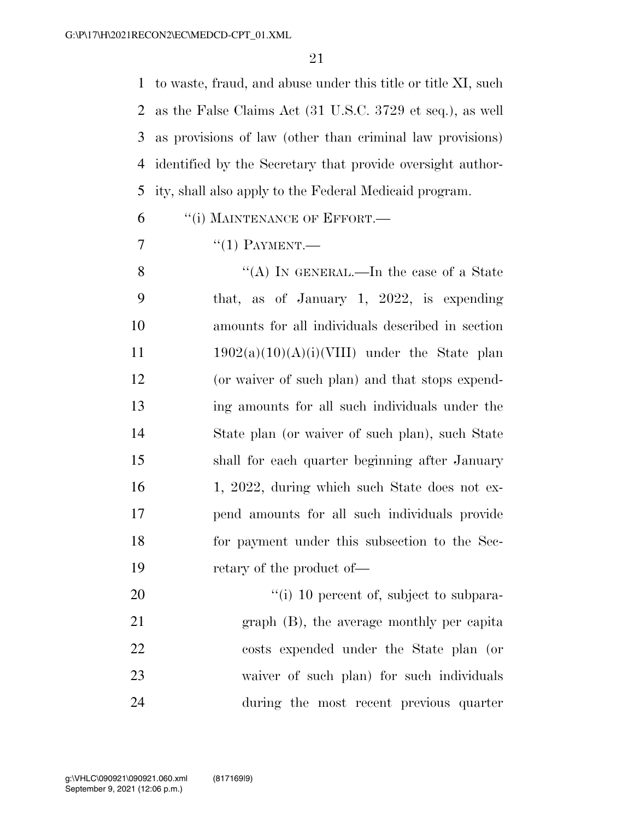to waste, fraud, and abuse under this title or title XI, such as the False Claims Act (31 U.S.C. 3729 et seq.), as well as provisions of law (other than criminal law provisions) identified by the Secretary that provide oversight author-ity, shall also apply to the Federal Medicaid program.

6 "(i) MAINTENANCE OF EFFORT.—

 $\gamma$  "(1) PAYMENT.

8 "(A) IN GENERAL.—In the case of a State that, as of January 1, 2022, is expending amounts for all individuals described in section  $1902(a)(10)(A)(i)(VIII)$  under the State plan (or waiver of such plan) and that stops expend- ing amounts for all such individuals under the State plan (or waiver of such plan), such State shall for each quarter beginning after January 16 1, 2022, during which such State does not ex- pend amounts for all such individuals provide for payment under this subsection to the Sec-19 retary of the product of—

 $\frac{1}{10}$  percent of, subject to subpara- graph (B), the average monthly per capita costs expended under the State plan (or waiver of such plan) for such individuals during the most recent previous quarter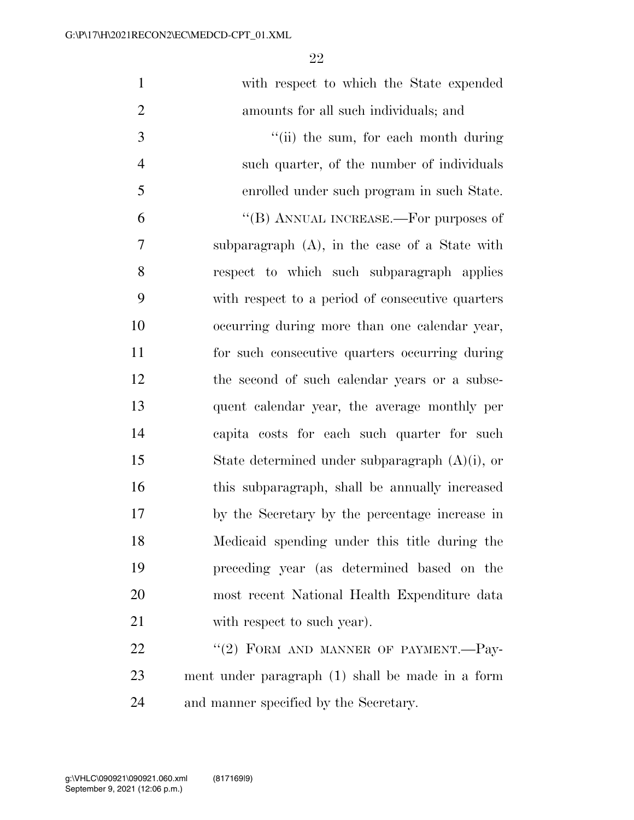| $\mathbf{1}$   | with respect to which the State expended          |
|----------------|---------------------------------------------------|
| $\overline{2}$ | amounts for all such individuals; and             |
| 3              | "(ii) the sum, for each month during              |
| $\overline{4}$ | such quarter, of the number of individuals        |
| 5              | enrolled under such program in such State.        |
| 6              | "(B) ANNUAL INCREASE.—For purposes of             |
| $\overline{7}$ | subparagraph (A), in the case of a State with     |
| 8              | respect to which such subparagraph applies        |
| 9              | with respect to a period of consecutive quarters  |
| 10             | occurring during more than one calendar year,     |
| 11             | for such consecutive quarters occurring during    |
| 12             | the second of such calendar years or a subse-     |
| 13             | quent calendar year, the average monthly per      |
| 14             | capita costs for each such quarter for such       |
| 15             | State determined under subparagraph $(A)(i)$ , or |
| 16             | this subparagraph, shall be annually increased    |
| $17\,$         | by the Secretary by the percentage increase in    |
| 18             | Medicaid spending under this title during the     |
| 19             | preceding year (as determined based on the        |
| 20             | most recent National Health Expenditure data      |
| 21             | with respect to such year).                       |
| 22             | "(2) FORM AND MANNER OF PAYMENT.-Pay-             |
| 23             | ment under paragraph (1) shall be made in a form  |
|                |                                                   |

and manner specified by the Secretary.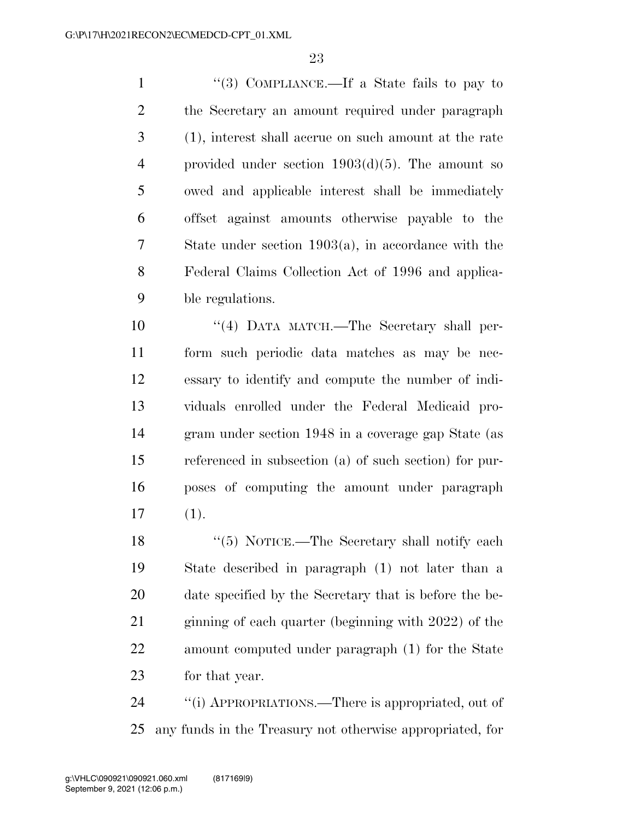''(3) COMPLIANCE.—If a State fails to pay to the Secretary an amount required under paragraph (1), interest shall accrue on such amount at the rate provided under section 1903(d)(5). The amount so owed and applicable interest shall be immediately offset against amounts otherwise payable to the State under section 1903(a), in accordance with the Federal Claims Collection Act of 1996 and applica-ble regulations.

 ''(4) DATA MATCH.—The Secretary shall per- form such periodic data matches as may be nec- essary to identify and compute the number of indi- viduals enrolled under the Federal Medicaid pro- gram under section 1948 in a coverage gap State (as referenced in subsection (a) of such section) for pur- poses of computing the amount under paragraph (1).

18 ''(5) NOTICE.—The Secretary shall notify each State described in paragraph (1) not later than a date specified by the Secretary that is before the be- ginning of each quarter (beginning with 2022) of the amount computed under paragraph (1) for the State for that year.

 ''(i) APPROPRIATIONS.—There is appropriated, out of any funds in the Treasury not otherwise appropriated, for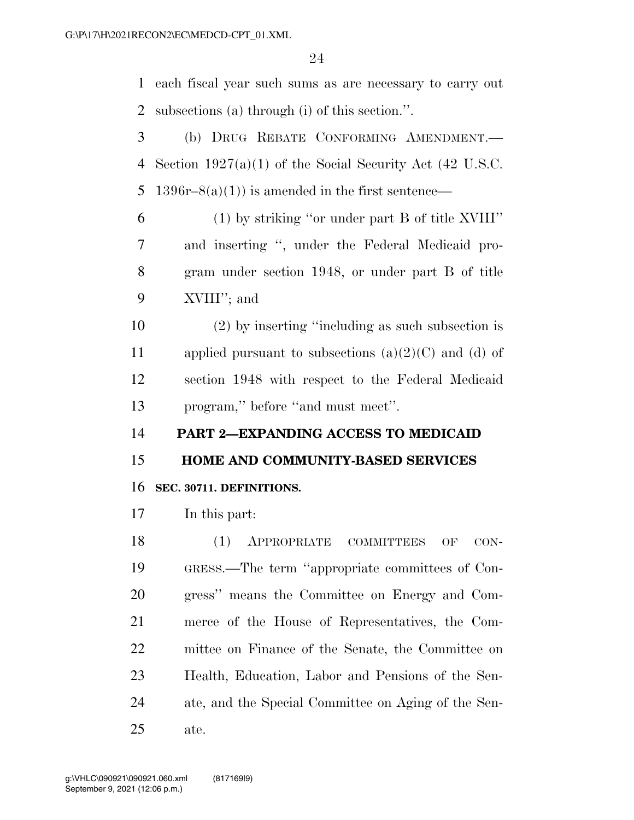each fiscal year such sums as are necessary to carry out subsections (a) through (i) of this section.''.

 (b) DRUG REBATE CONFORMING AMENDMENT.— Section 1927(a)(1) of the Social Security Act (42 U.S.C. 5 1396r–8(a)(1)) is amended in the first sentence—

 (1) by striking ''or under part B of title XVIII'' and inserting '', under the Federal Medicaid pro- gram under section 1948, or under part B of title XVIII''; and

 (2) by inserting ''including as such subsection is 11 applied pursuant to subsections  $(a)(2)(C)$  and  $(d)$  of section 1948 with respect to the Federal Medicaid program,'' before ''and must meet''.

**PART 2—EXPANDING ACCESS TO MEDICAID** 

**HOME AND COMMUNITY-BASED SERVICES** 

#### **SEC. 30711. DEFINITIONS.**

In this part:

18 (1) APPROPRIATE COMMITTEES OF CON- GRESS.—The term ''appropriate committees of Con- gress'' means the Committee on Energy and Com- merce of the House of Representatives, the Com- mittee on Finance of the Senate, the Committee on Health, Education, Labor and Pensions of the Sen- ate, and the Special Committee on Aging of the Sen-ate.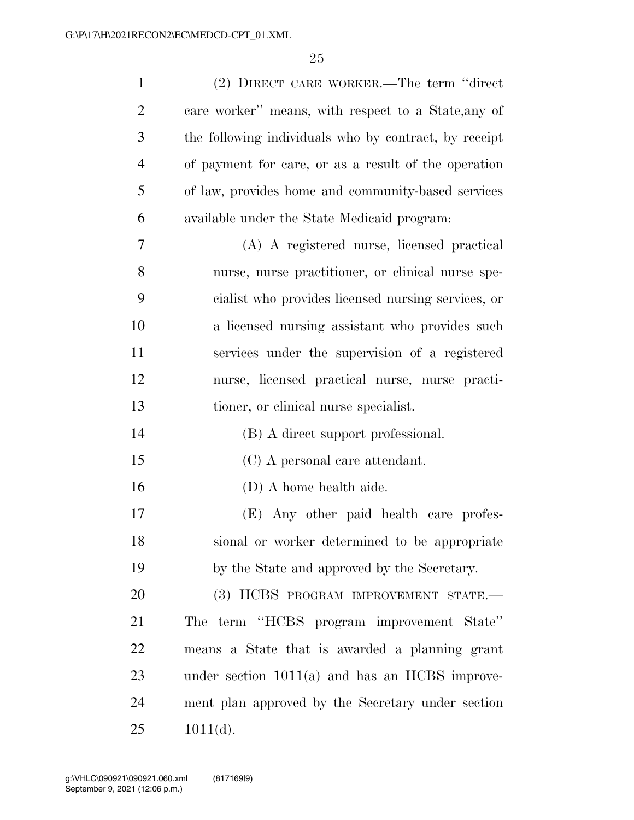| $\mathbf{1}$   | (2) DIRECT CARE WORKER.—The term "direct              |
|----------------|-------------------------------------------------------|
| $\overline{2}$ | care worker" means, with respect to a State, any of   |
| 3              | the following individuals who by contract, by receipt |
| $\overline{4}$ | of payment for care, or as a result of the operation  |
| 5              | of law, provides home and community-based services    |
| 6              | available under the State Medicaid program:           |
| 7              | (A) A registered nurse, licensed practical            |
| 8              | nurse, nurse practitioner, or clinical nurse spe-     |
| 9              | cialist who provides licensed nursing services, or    |
| 10             | a licensed nursing assistant who provides such        |
| 11             | services under the supervision of a registered        |
| 12             | nurse, licensed practical nurse, nurse practi-        |
| 13             | tioner, or clinical nurse specialist.                 |
| 14             | (B) A direct support professional.                    |
| 15             | (C) A personal care attendant.                        |
| 16             | (D) A home health aide.                               |
| 17             | (E) Any other paid health care profes-                |
| 18             | sional or worker determined to be appropriate         |
| 19             | by the State and approved by the Secretary.           |
| 20             | (3) HCBS PROGRAM IMPROVEMENT STATE.-                  |
| 21             | The term "HCBS program improvement State"             |
| 22             | means a State that is awarded a planning grant        |
| 23             | under section $1011(a)$ and has an HCBS improve-      |
| 24             | ment plan approved by the Secretary under section     |
| 25             | $1011(d)$ .                                           |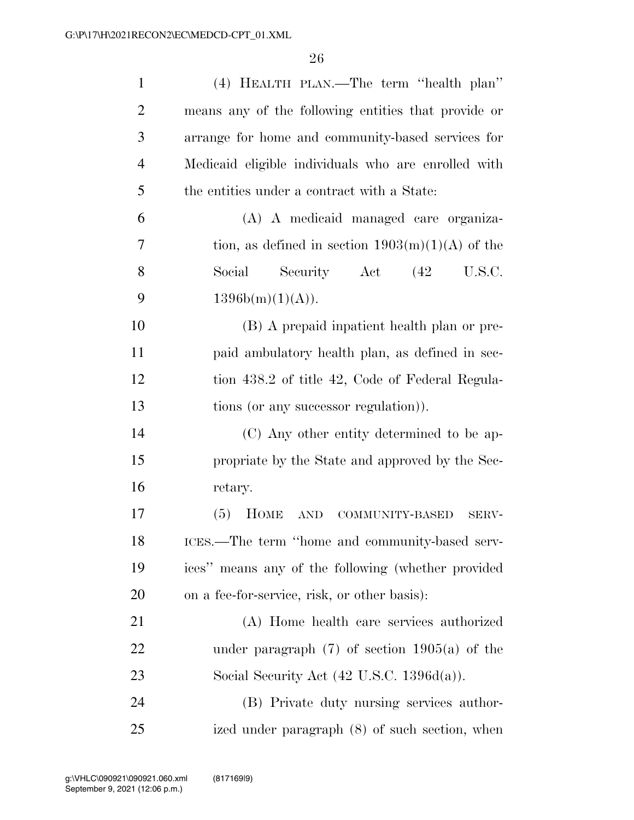| $\mathbf{1}$   | (4) HEALTH PLAN.—The term "health plan"               |
|----------------|-------------------------------------------------------|
| $\overline{2}$ | means any of the following entities that provide or   |
| 3              | arrange for home and community-based services for     |
| $\overline{4}$ | Medicaid eligible individuals who are enrolled with   |
| 5              | the entities under a contract with a State:           |
| 6              | (A) A medicaid managed care organiza-                 |
| 7              | tion, as defined in section $1903(m)(1)(A)$ of the    |
| 8              | Social Security Act (42 U.S.C.                        |
| 9              | 1396b(m)(1)(A)).                                      |
| 10             | (B) A prepaid inpatient health plan or pre-           |
| 11             | paid ambulatory health plan, as defined in sec-       |
| 12             | tion 438.2 of title 42, Code of Federal Regula-       |
| 13             | tions (or any successor regulation)).                 |
| 14             | (C) Any other entity determined to be ap-             |
| 15             | propriate by the State and approved by the Sec-       |
| 16             | retary.                                               |
| 17             | $(5)$ HOME<br>AND<br>COMMUNITY-BASED<br>SERV-         |
| 18             | ICES.—The term "home and community-based serv-        |
| 19             | ices" means any of the following (whether provided    |
| 20             | on a fee-for-service, risk, or other basis):          |
| 21             | (A) Home health care services authorized              |
| 22             | under paragraph $(7)$ of section 1905(a) of the       |
| 23             | Social Security Act $(42 \text{ U.S.C. } 1396d(a))$ . |
| 24             | (B) Private duty nursing services author-             |
| 25             | ized under paragraph (8) of such section, when        |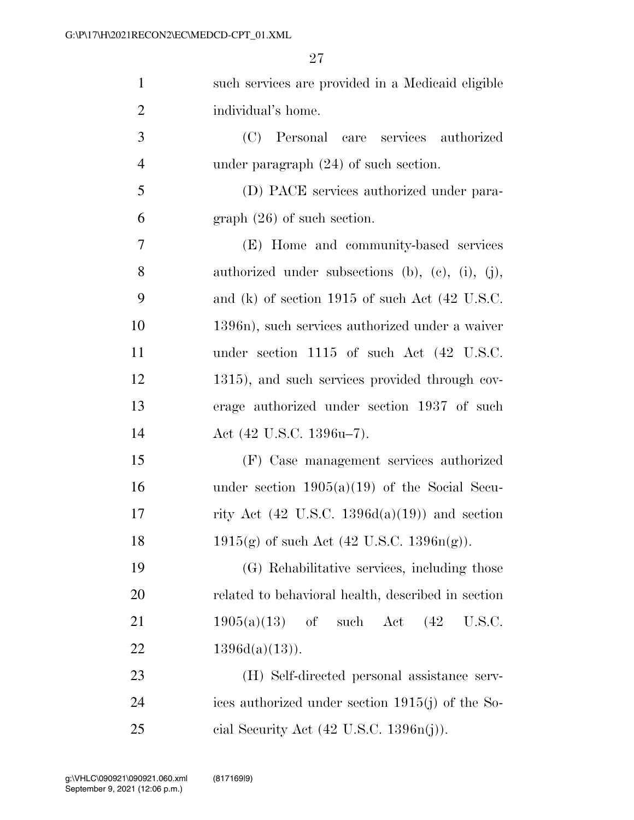| $\mathbf{1}$   | such services are provided in a Medicaid eligible        |
|----------------|----------------------------------------------------------|
| $\overline{2}$ | individual's home.                                       |
| 3              | (C)<br>Personal care services authorized                 |
| $\overline{4}$ | under paragraph $(24)$ of such section.                  |
| 5              | (D) PACE services authorized under para-                 |
| 6              | $graph (26)$ of such section.                            |
| 7              | (E) Home and community-based services                    |
| 8              | authorized under subsections (b), (c), (i), (j),         |
| 9              | and (k) of section $1915$ of such Act (42 U.S.C.         |
| 10             | 1396n), such services authorized under a waiver          |
| 11             | under section $1115$ of such Act $(42 \text{ U.S.C.})$   |
| 12             | 1315), and such services provided through cov-           |
| 13             | erage authorized under section 1937 of such              |
| 14             | Act (42 U.S.C. 1396u-7).                                 |
| 15             | (F) Case management services authorized                  |
| 16             | under section $1905(a)(19)$ of the Social Secu-          |
| 17             | rity Act $(42 \text{ U.S.C. } 1396d(a)(19))$ and section |
| 18             | $1915(g)$ of such Act (42 U.S.C. $1396n(g)$ ).           |
| 19             | (G) Rehabilitative services, including those             |
| 20             | related to behavioral health, described in section       |
| 21             | such Act<br>(42)<br>$1905(a)(13)$ of<br>U.S.C.           |
| 22             | $1396d(a)(13)$ .                                         |
| 23             | (H) Self-directed personal assistance serv-              |
| 24             | ices authorized under section 1915(j) of the So-         |
| 25             | cial Security Act $(42 \text{ U.S.C. } 1396n(j)).$       |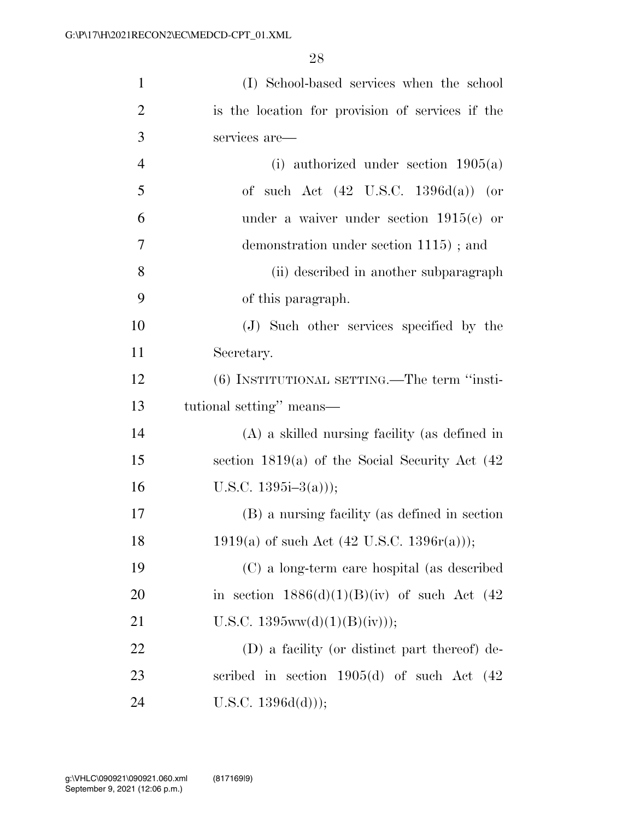| $\mathbf{1}$   | (I) School-based services when the school             |
|----------------|-------------------------------------------------------|
| $\overline{2}$ | is the location for provision of services if the      |
| 3              | services are-                                         |
| $\overline{4}$ | (i) authorized under section $1905(a)$                |
| 5              | of such Act $(42 \text{ U.S.C. } 1396d(a))$ (or       |
| 6              | under a waiver under section $1915(e)$ or             |
| 7              | demonstration under section 1115); and                |
| 8              | (ii) described in another subparagraph                |
| 9              | of this paragraph.                                    |
| 10             | (J) Such other services specified by the              |
| 11             | Secretary.                                            |
| 12             | (6) INSTITUTIONAL SETTING.—The term "insti-           |
|                |                                                       |
| 13             | tutional setting" means—                              |
| 14             | $(A)$ a skilled nursing facility (as defined in       |
| 15             | section $1819(a)$ of the Social Security Act $(42)$   |
| 16             | U.S.C. $1395i-3(a))$ ;                                |
| 17             | (B) a nursing facility (as defined in section         |
| 18             | 1919(a) of such Act $(42 \text{ U.S.C. } 1396r(a))$ ; |
| 19             | (C) a long-term care hospital (as described           |
| <b>20</b>      | in section $1886(d)(1)(B)(iv)$ of such Act (42)       |
| 21             | U.S.C. $1395ww(d)(1)(B)(iv));$                        |
| 22             | (D) a facility (or distinct part thereof) de-         |
| 23             | scribed in section $1905(d)$ of such Act $(42)$       |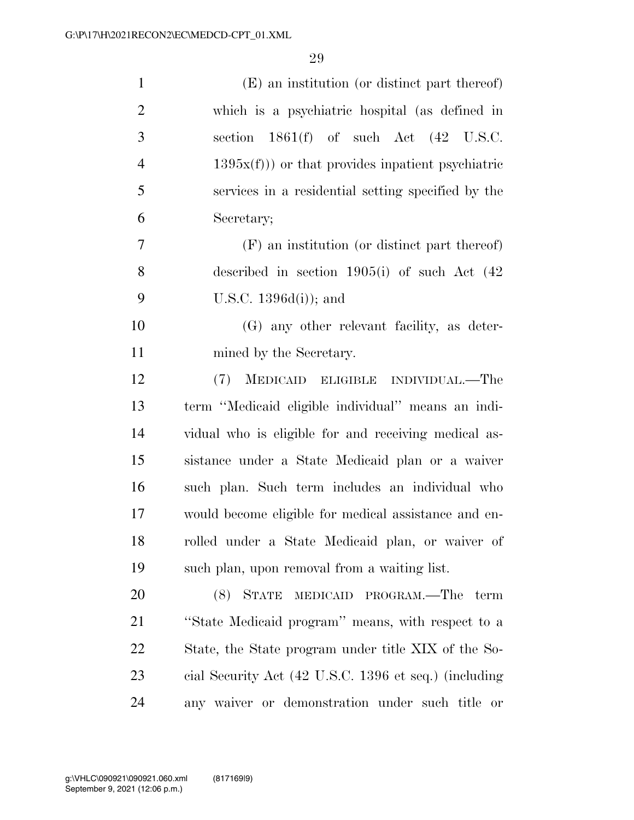| $\mathbf{1}$   | (E) an institution (or distinct part thereof)         |
|----------------|-------------------------------------------------------|
| $\overline{2}$ | which is a psychiatric hospital (as defined in        |
| 3              | section $1861(f)$ of such Act $(42 \text{ U.S.C.})$   |
| $\overline{4}$ | $1395x(f))$ or that provides inpatient psychiatric    |
| 5              | services in a residential setting specified by the    |
| 6              | Secretary;                                            |
| 7              | (F) an institution (or distinct part thereof)         |
| 8              | described in section $1905(i)$ of such Act $(42)$     |
| 9              | U.S.C. $1396d(i)$ ; and                               |
| 10             | (G) any other relevant facility, as deter-            |
| 11             | mined by the Secretary.                               |
| 12             | (7)<br>MEDICAID ELIGIBLE INDIVIDUAL.—The              |
| 13             | term "Medicaid eligible individual" means an indi-    |
| 14             | vidual who is eligible for and receiving medical as-  |
| 15             | sistance under a State Medicaid plan or a waiver      |
| 16             | such plan. Such term includes an individual who       |
| 17             | would become eligible for medical assistance and en-  |
| 18             | rolled under a State Medicaid plan, or waiver of      |
| 19             | such plan, upon removal from a waiting list.          |
| 20             | $(8)$ STATE<br>MEDICAID PROGRAM.—The term             |
| 21             | "State Medicaid program" means, with respect to a     |
| 22             | State, the State program under title XIX of the So-   |
| 23             | cial Security Act (42 U.S.C. 1396 et seq.) (including |
| 24             | any waiver or demonstration under such title or       |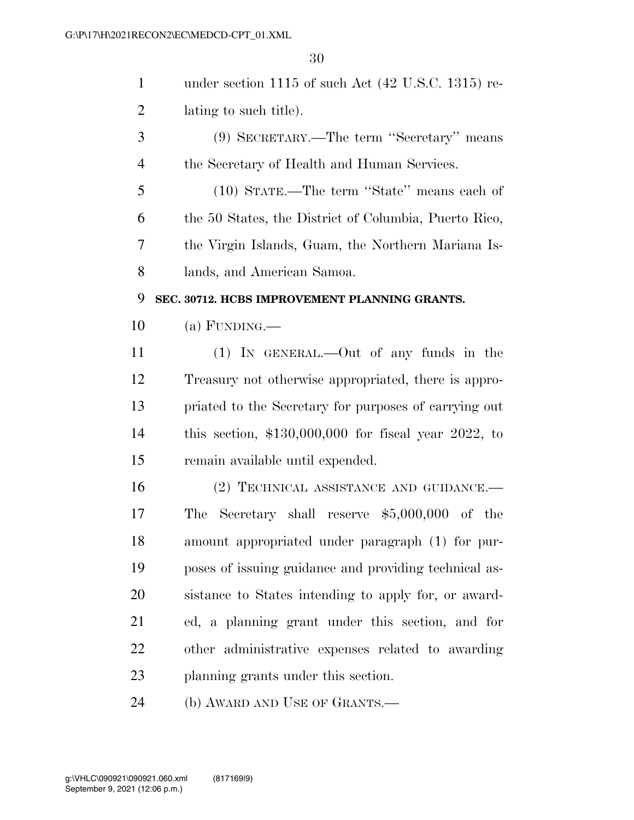| $\mathbf{1}$   | under section 1115 of such Act (42 U.S.C. 1315) re-   |
|----------------|-------------------------------------------------------|
| $\overline{2}$ | lating to such title).                                |
| 3              | (9) SECRETARY.—The term "Secretary" means             |
| $\overline{4}$ | the Secretary of Health and Human Services.           |
| 5              | (10) STATE.—The term "State" means each of            |
| 6              | the 50 States, the District of Columbia, Puerto Rico, |
| 7              | the Virgin Islands, Guam, the Northern Mariana Is-    |
| 8              | lands, and American Samoa.                            |
| 9              | SEC. 30712. HCBS IMPROVEMENT PLANNING GRANTS.         |
| 10             | (a) FUNDING.—                                         |
| 11             | $(1)$ IN GENERAL.—Out of any funds in the             |
| 12             | Treasury not otherwise appropriated, there is appro-  |
| 13             | priated to the Secretary for purposes of carrying out |
| 14             | this section, $$130,000,000$ for fiscal year 2022, to |
| 15             | remain available until expended.                      |
| 16             | (2) TECHNICAL ASSISTANCE AND GUIDANCE.—               |
| 17             | The Secretary shall reserve $$5,000,000$ of the       |
| 18             | amount appropriated under paragraph (1) for pur-      |
| 19             | poses of issuing guidance and providing technical as- |
| 20             | sistance to States intending to apply for, or award-  |
| 21             | ed, a planning grant under this section, and for      |
| 22             | other administrative expenses related to awarding     |
| 23             | planning grants under this section.                   |
|                |                                                       |

(b) AWARD AND USE OF GRANTS.—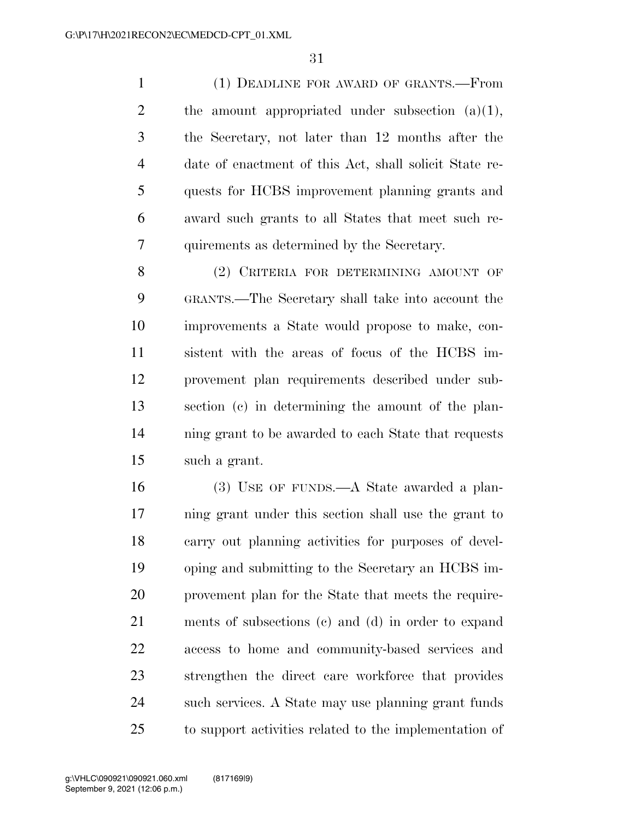(1) DEADLINE FOR AWARD OF GRANTS.—From 2 the amount appropriated under subsection  $(a)(1)$ , the Secretary, not later than 12 months after the date of enactment of this Act, shall solicit State re- quests for HCBS improvement planning grants and award such grants to all States that meet such re-quirements as determined by the Secretary.

8 (2) CRITERIA FOR DETERMINING AMOUNT OF GRANTS.—The Secretary shall take into account the improvements a State would propose to make, con- sistent with the areas of focus of the HCBS im- provement plan requirements described under sub- section (c) in determining the amount of the plan- ning grant to be awarded to each State that requests such a grant.

 (3) USE OF FUNDS.—A State awarded a plan- ning grant under this section shall use the grant to carry out planning activities for purposes of devel- oping and submitting to the Secretary an HCBS im- provement plan for the State that meets the require- ments of subsections (c) and (d) in order to expand access to home and community-based services and strengthen the direct care workforce that provides such services. A State may use planning grant funds to support activities related to the implementation of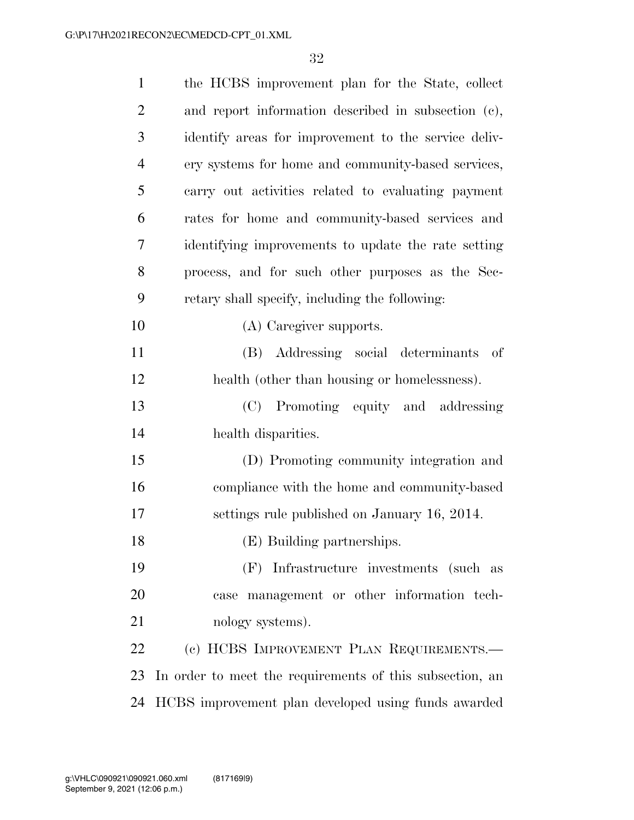| $\mathbf{1}$   | the HCBS improvement plan for the State, collect         |
|----------------|----------------------------------------------------------|
| $\overline{2}$ | and report information described in subsection (c),      |
| 3              | identify areas for improvement to the service deliv-     |
| $\overline{4}$ | ery systems for home and community-based services,       |
| 5              | carry out activities related to evaluating payment       |
| 6              | rates for home and community-based services and          |
| $\overline{7}$ | identifying improvements to update the rate setting      |
| 8              | process, and for such other purposes as the Sec-         |
| 9              | retary shall specify, including the following:           |
| 10             | (A) Caregiver supports.                                  |
| 11             | (B) Addressing social determinants of                    |
| 12             | health (other than housing or homelessness).             |
| 13             | (C) Promoting equity and addressing                      |
| 14             | health disparities.                                      |
| 15             | (D) Promoting community integration and                  |
| 16             | compliance with the home and community-based             |
| 17             | settings rule published on January 16, 2014.             |
| 18             | (E) Building partnerships.                               |
| 19             | (F) Infrastructure investments (such as                  |
| 20             | case management or other information tech-               |
| 21             | nology systems).                                         |
| 22             | (c) HCBS IMPROVEMENT PLAN REQUIREMENTS.—                 |
| 23             | In order to meet the requirements of this subsection, an |
| 24             | HCBS improvement plan developed using funds awarded      |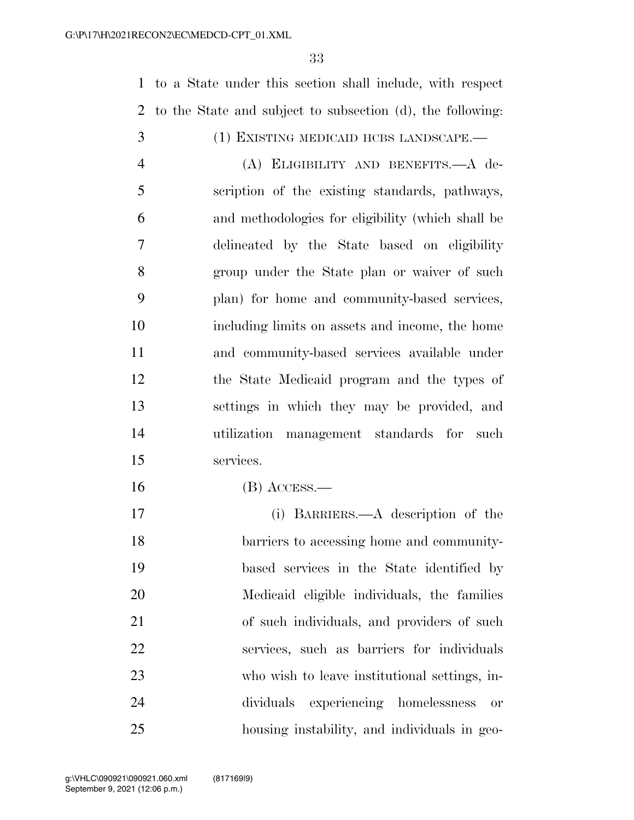to a State under this section shall include, with respect to the State and subject to subsection (d), the following: (1) EXISTING MEDICAID HCBS LANDSCAPE.— (A) ELIGIBILITY AND BENEFITS.—A de- scription of the existing standards, pathways, and methodologies for eligibility (which shall be delineated by the State based on eligibility group under the State plan or waiver of such plan) for home and community-based services, including limits on assets and income, the home and community-based services available under the State Medicaid program and the types of settings in which they may be provided, and utilization management standards for such services. (B) ACCESS.— (i) BARRIERS.—A description of the barriers to accessing home and community-based services in the State identified by

Medicaid eligible individuals, the families

of such individuals, and providers of such

services, such as barriers for individuals

who wish to leave institutional settings, in-

dividuals experiencing homelessness or

housing instability, and individuals in geo-

September 9, 2021 (12:06 p.m.) g:\VHLC\090921\090921.060.xml (817169|9)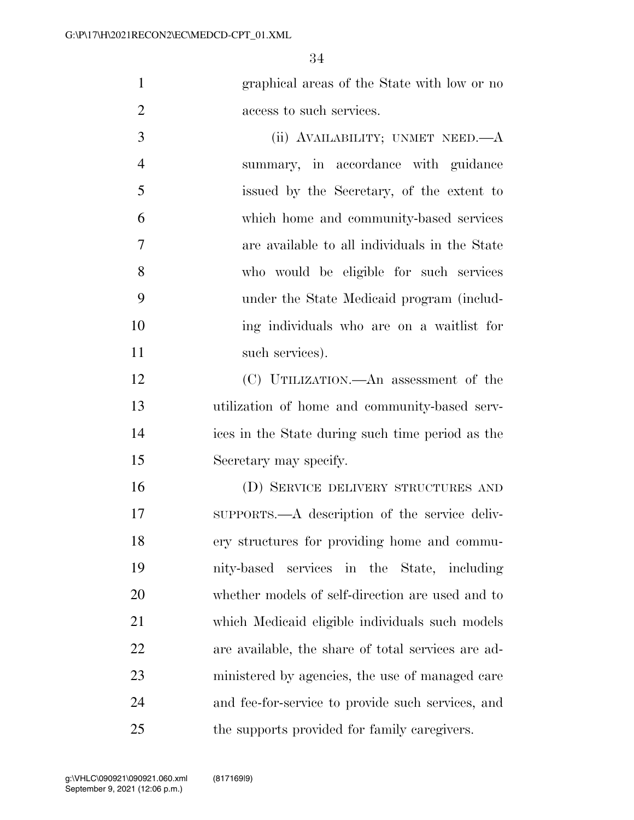graphical areas of the State with low or no access to such services.

3 (ii) AVAILABILITY; UNMET NEED.—A summary, in accordance with guidance issued by the Secretary, of the extent to which home and community-based services are available to all individuals in the State who would be eligible for such services under the State Medicaid program (includ- ing individuals who are on a waitlist for 11 such services).

 (C) UTILIZATION.—An assessment of the utilization of home and community-based serv- ices in the State during such time period as the Secretary may specify.

 (D) SERVICE DELIVERY STRUCTURES AND SUPPORTS.—A description of the service deliv- ery structures for providing home and commu- nity-based services in the State, including whether models of self-direction are used and to which Medicaid eligible individuals such models are available, the share of total services are ad- ministered by agencies, the use of managed care and fee-for-service to provide such services, and the supports provided for family caregivers.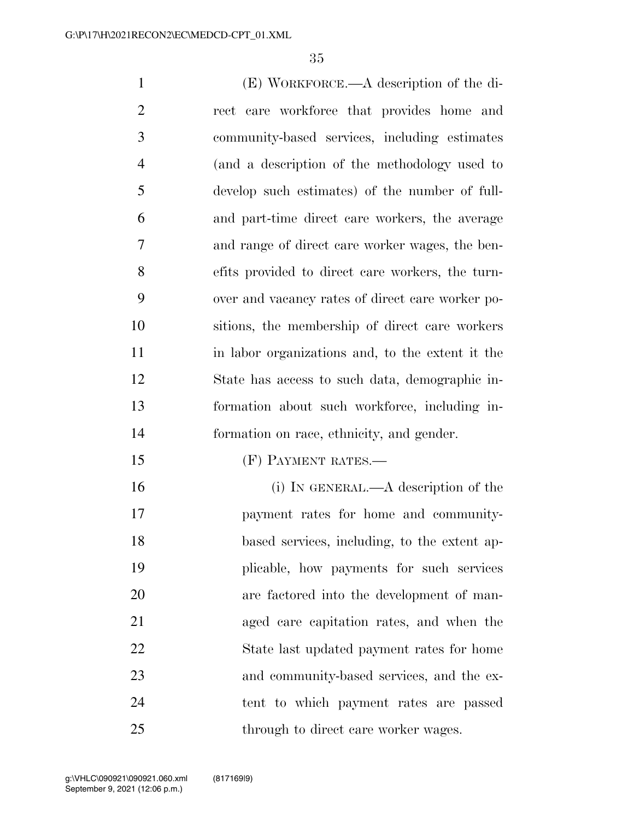| $\mathbf{1}$   | (E) WORKFORCE.—A description of the di-          |
|----------------|--------------------------------------------------|
| $\overline{2}$ | rect care workforce that provides home and       |
| 3              | community-based services, including estimates    |
| $\overline{4}$ | (and a description of the methodology used to    |
| 5              | develop such estimates) of the number of full-   |
| 6              | and part-time direct care workers, the average   |
| 7              | and range of direct care worker wages, the ben-  |
| 8              | efits provided to direct care workers, the turn- |
| 9              | over and vacancy rates of direct care worker po- |
| 10             | sitions, the membership of direct care workers   |
| 11             | in labor organizations and, to the extent it the |
| 12             | State has access to such data, demographic in-   |
| 13             | formation about such workforce, including in-    |
| 14             | formation on race, ethnicity, and gender.        |
| 15             | (F) PAYMENT RATES.—                              |
| 16             | (i) IN GENERAL.—A description of the             |
| 17             | payment rates for home and community-            |
| 18             | based services, including, to the extent ap-     |
| 19             | plicable, how payments for such services         |
| 20             | are factored into the development of man-        |
| 21             | aged care capitation rates, and when the         |
| 22             | State last updated payment rates for home        |
| 23             | and community-based services, and the ex-        |
| 24             | tent to which payment rates are passed           |

25 through to direct care worker wages.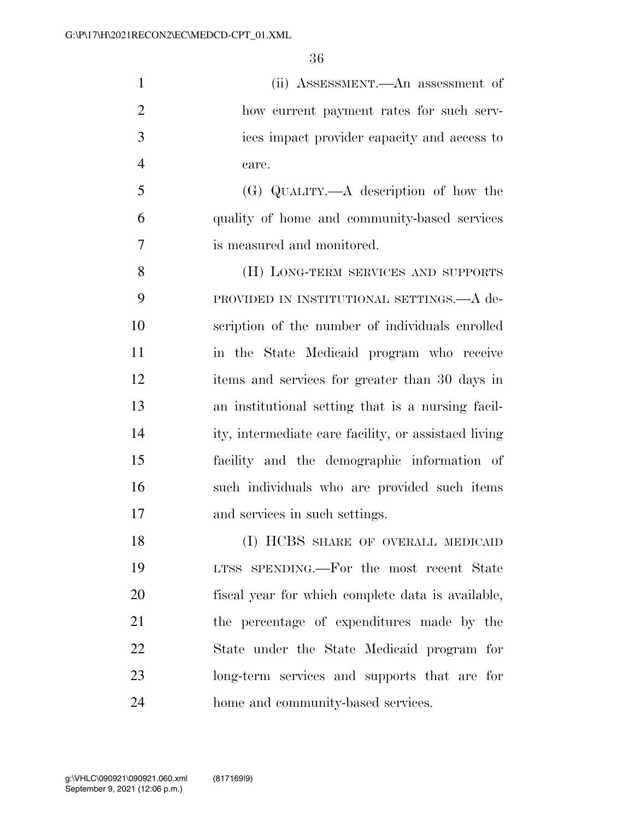(ii) ASSESSMENT.—An assessment of how current payment rates for such serv- ices impact provider capacity and access to care.

 (G) QUALITY.—A description of how the quality of home and community-based services is measured and monitored.

**(H) LONG-TERM SERVICES AND SUPPORTS**  PROVIDED IN INSTITUTIONAL SETTINGS.—A de- scription of the number of individuals enrolled in the State Medicaid program who receive items and services for greater than 30 days in an institutional setting that is a nursing facil- ity, intermediate care facility, or assistaed living facility and the demographic information of such individuals who are provided such items and services in such settings.

18 (I) HCBS SHARE OF OVERALL MEDICAID LTSS SPENDING.—For the most recent State fiscal year for which complete data is available, the percentage of expenditures made by the State under the State Medicaid program for long-term services and supports that are for home and community-based services.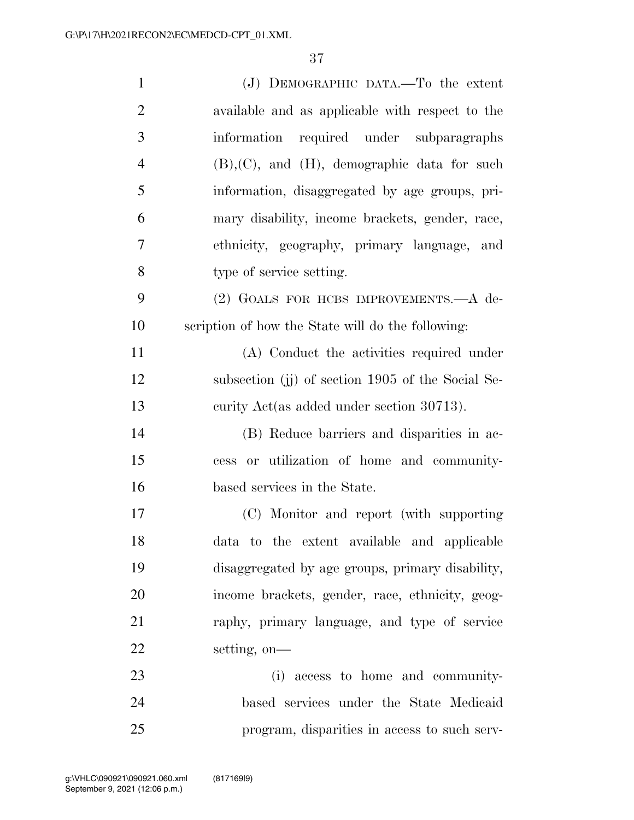| $\mathbf{1}$   | $(J)$ DEMOGRAPHIC DATA.—To the extent             |
|----------------|---------------------------------------------------|
| $\overline{2}$ | available and as applicable with respect to the   |
| 3              | information required under subparagraphs          |
| $\overline{4}$ | $(B), (C),$ and $(H),$ demographic data for such  |
| 5              | information, disaggregated by age groups, pri-    |
| 6              | mary disability, income brackets, gender, race,   |
| $\overline{7}$ | ethnicity, geography, primary language, and       |
| 8              | type of service setting.                          |
| 9              | (2) GOALS FOR HCBS IMPROVEMENTS.-A de-            |
| 10             | scription of how the State will do the following: |
| 11             | (A) Conduct the activities required under         |
| 12             | subsection (j) of section 1905 of the Social Se-  |
| 13             | curity Act(as added under section 30713).         |
| 14             | (B) Reduce barriers and disparities in ac-        |
| 15             | cess or utilization of home and community-        |
| 16             | based services in the State.                      |
| 17             | (C) Monitor and report (with supporting           |
| 18             | data to the extent available and applicable       |
| 19             | disaggregated by age groups, primary disability,  |
| 20             | income brackets, gender, race, ethnicity, geog-   |
| 21             | raphy, primary language, and type of service      |
| 22             | setting, on-                                      |
| 23             | (i) access to home and community-                 |
| 24             | based services under the State Medicaid           |
| 25             | program, disparities in access to such serv-      |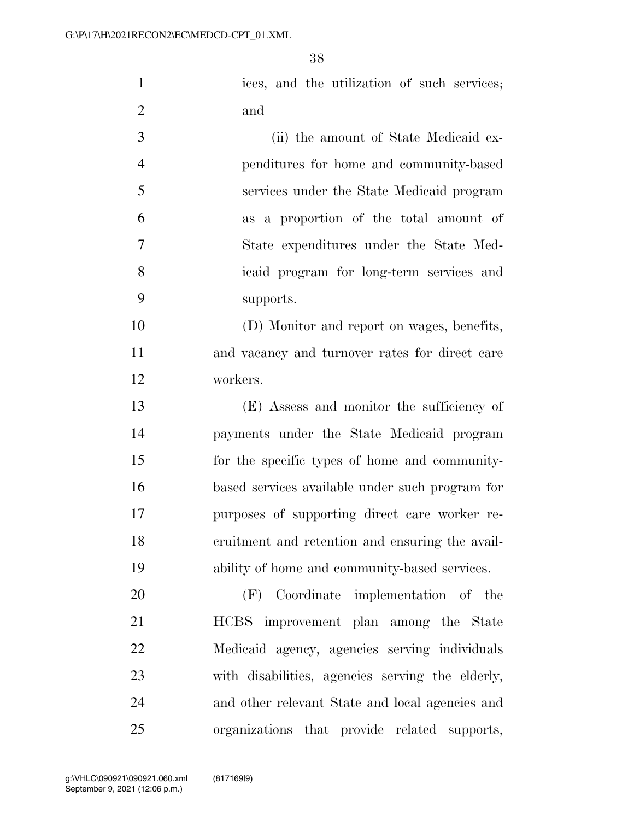1 ices, and the utilization of such services; and

 (ii) the amount of State Medicaid ex- penditures for home and community-based services under the State Medicaid program as a proportion of the total amount of State expenditures under the State Med- icaid program for long-term services and supports.

 (D) Monitor and report on wages, benefits, and vacancy and turnover rates for direct care workers.

 (E) Assess and monitor the sufficiency of payments under the State Medicaid program for the specific types of home and community- based services available under such program for purposes of supporting direct care worker re- cruitment and retention and ensuring the avail-ability of home and community-based services.

 (F) Coordinate implementation of the HCBS improvement plan among the State Medicaid agency, agencies serving individuals with disabilities, agencies serving the elderly, and other relevant State and local agencies and organizations that provide related supports,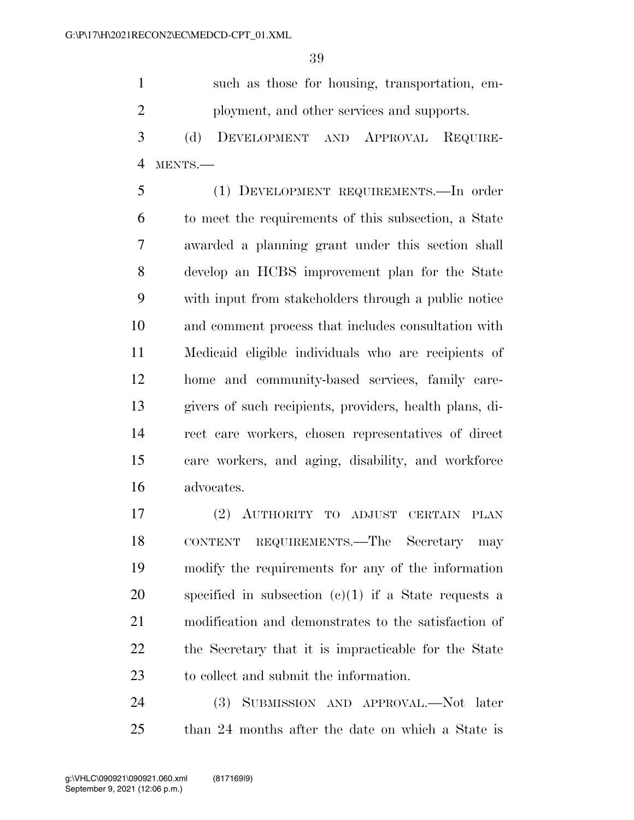such as those for housing, transportation, em-ployment, and other services and supports.

 (d) DEVELOPMENT AND APPROVAL REQUIRE-MENTS.—

 (1) DEVELOPMENT REQUIREMENTS.—In order to meet the requirements of this subsection, a State awarded a planning grant under this section shall develop an HCBS improvement plan for the State with input from stakeholders through a public notice and comment process that includes consultation with Medicaid eligible individuals who are recipients of home and community-based services, family care- givers of such recipients, providers, health plans, di- rect care workers, chosen representatives of direct care workers, and aging, disability, and workforce advocates.

 (2) AUTHORITY TO ADJUST CERTAIN PLAN CONTENT REQUIREMENTS.—The Secretary may modify the requirements for any of the information specified in subsection (c)(1) if a State requests a modification and demonstrates to the satisfaction of the Secretary that it is impracticable for the State to collect and submit the information.

 (3) SUBMISSION AND APPROVAL.—Not later than 24 months after the date on which a State is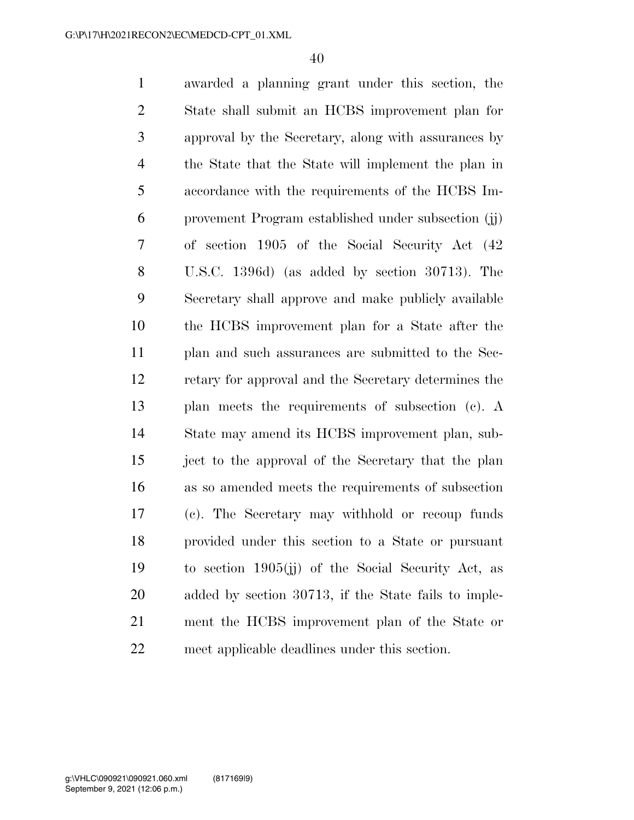awarded a planning grant under this section, the State shall submit an HCBS improvement plan for approval by the Secretary, along with assurances by the State that the State will implement the plan in accordance with the requirements of the HCBS Im- provement Program established under subsection (jj) of section 1905 of the Social Security Act (42 U.S.C. 1396d) (as added by section 30713). The Secretary shall approve and make publicly available the HCBS improvement plan for a State after the plan and such assurances are submitted to the Sec- retary for approval and the Secretary determines the plan meets the requirements of subsection (c). A State may amend its HCBS improvement plan, sub- ject to the approval of the Secretary that the plan as so amended meets the requirements of subsection (c). The Secretary may withhold or recoup funds provided under this section to a State or pursuant to section 1905(jj) of the Social Security Act, as added by section 30713, if the State fails to imple- ment the HCBS improvement plan of the State or meet applicable deadlines under this section.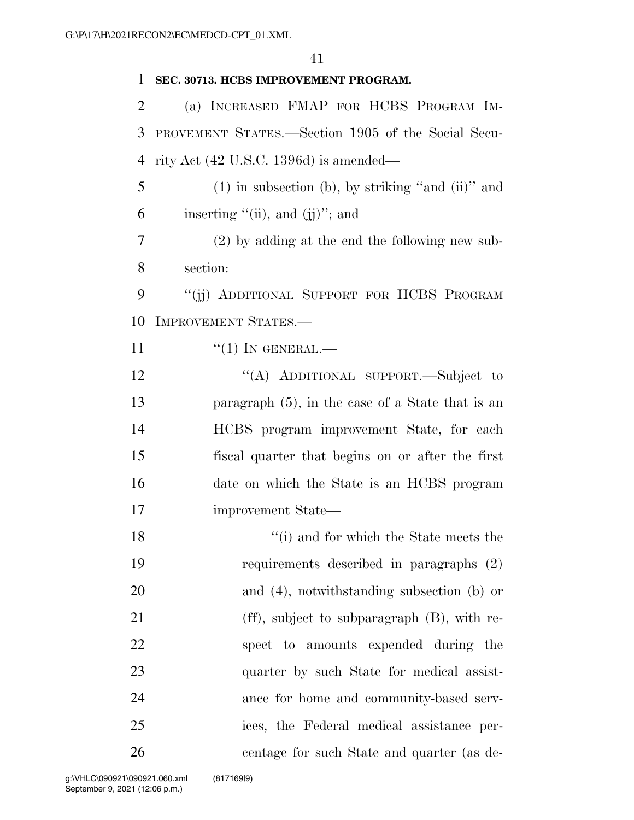## **SEC. 30713. HCBS IMPROVEMENT PROGRAM.**  (a) INCREASED FMAP FOR HCBS PROGRAM IM- PROVEMENT STATES.—Section 1905 of the Social Secu- rity Act (42 U.S.C. 1396d) is amended— (1) in subsection (b), by striking "and (ii)" and 6 inserting  $"(\text{ii})$ , and  $(\text{ii})"$ ; and (2) by adding at the end the following new sub- section: 9 "(ii) ADDITIONAL SUPPORT FOR HCBS PROGRAM IMPROVEMENT STATES.—  $\frac{11}{1}$  ''(1) In GENERAL.— 12 "(A) ADDITIONAL SUPPORT.—Subject to paragraph (5), in the case of a State that is an HCBS program improvement State, for each fiscal quarter that begins on or after the first date on which the State is an HCBS program improvement State— ''(i) and for which the State meets the requirements described in paragraphs (2) and (4), notwithstanding subsection (b) or 21 (ff), subject to subparagraph (B), with re- spect to amounts expended during the 23 quarter by such State for medical assist- ance for home and community-based serv- ices, the Federal medical assistance per-centage for such State and quarter (as de-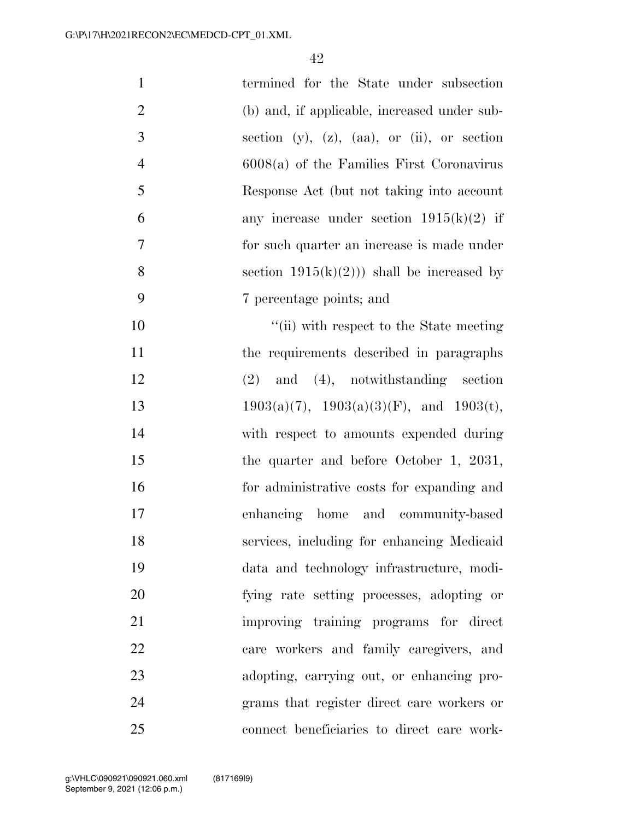| $\mathbf{1}$   | termined for the State under subsection                 |
|----------------|---------------------------------------------------------|
| $\overline{2}$ | (b) and, if applicable, increased under sub-            |
| 3              | section $(y)$ , $(z)$ , $(aa)$ , or $(ii)$ , or section |
| $\overline{4}$ | $6008(a)$ of the Families First Coronavirus             |
| 5              | Response Act (but not taking into account               |
| 6              | any increase under section $1915(k)(2)$ if              |
| $\overline{7}$ | for such quarter an increase is made under              |
| 8              | section $1915(k)(2)$ ) shall be increased by            |
| 9              | 7 percentage points; and                                |
| 10             | "(ii) with respect to the State meeting                 |
| 11             | the requirements described in paragraphs                |
| 12             | $(2)$ and $(4)$ , notwithstanding section               |
| 13             | $1903(a)(7)$ , $1903(a)(3)(F)$ , and $1903(t)$ ,        |
| 14             | with respect to amounts expended during                 |
| 15             | the quarter and before October 1, 2031,                 |
| 16             | for administrative costs for expanding and              |
| 17             | enhancing home and community-based                      |
| 18             | services, including for enhancing Medicaid              |
| 19             | data and technology infrastructure, modi-               |
| 20             | fying rate setting processes, adopting or               |
| 21             | improving training programs for direct                  |
| 22             | care workers and family caregivers, and                 |
| 23             | adopting, carrying out, or enhancing pro-               |
| 24             | grams that register direct care workers or              |
| 25             | connect beneficiaries to direct care work-              |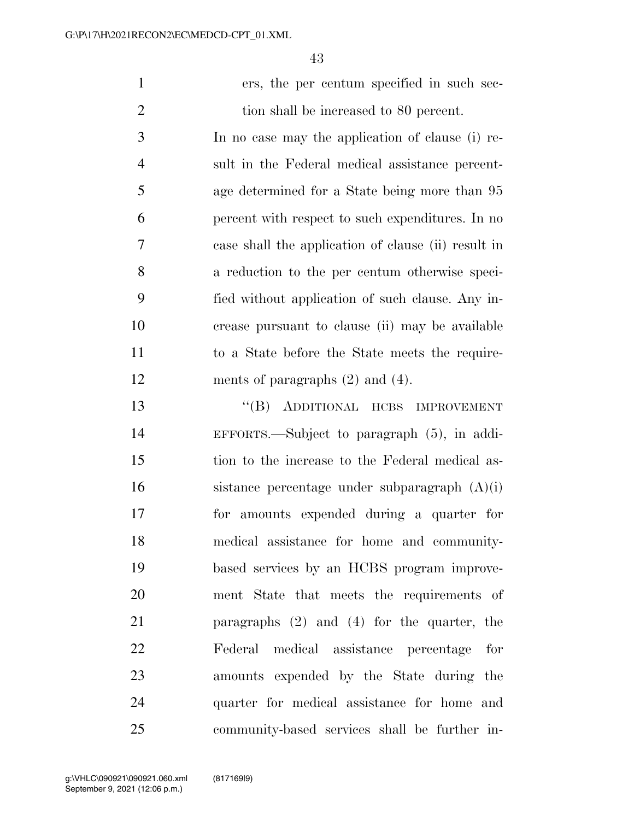ers, the per centum specified in such sec-2 tion shall be increased to 80 percent. In no case may the application of clause (i) re-

 sult in the Federal medical assistance percent- age determined for a State being more than 95 percent with respect to such expenditures. In no case shall the application of clause (ii) result in a reduction to the per centum otherwise speci- fied without application of such clause. Any in- crease pursuant to clause (ii) may be available to a State before the State meets the require-12 ments of paragraphs  $(2)$  and  $(4)$ .

 ''(B) ADDITIONAL HCBS IMPROVEMENT EFFORTS.—Subject to paragraph (5), in addi- tion to the increase to the Federal medical as- sistance percentage under subparagraph (A)(i) for amounts expended during a quarter for medical assistance for home and community- based services by an HCBS program improve- ment State that meets the requirements of paragraphs (2) and (4) for the quarter, the Federal medical assistance percentage for amounts expended by the State during the quarter for medical assistance for home and community-based services shall be further in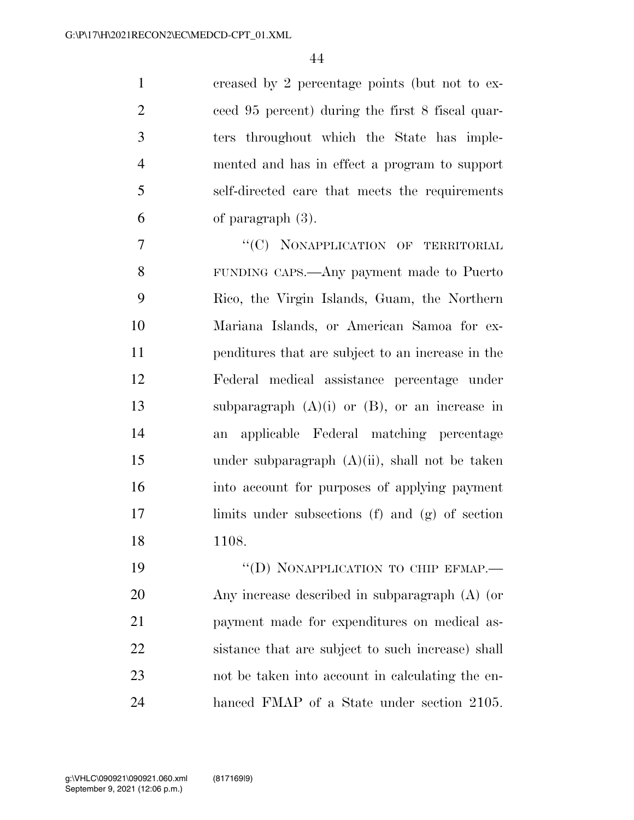creased by 2 percentage points (but not to ex- ceed 95 percent) during the first 8 fiscal quar- ters throughout which the State has imple- mented and has in effect a program to support self-directed care that meets the requirements of paragraph (3).

7 "'(C) NONAPPLICATION OF TERRITORIAL FUNDING CAPS.—Any payment made to Puerto Rico, the Virgin Islands, Guam, the Northern Mariana Islands, or American Samoa for ex- penditures that are subject to an increase in the Federal medical assistance percentage under subparagraph (A)(i) or (B), or an increase in an applicable Federal matching percentage under subparagraph (A)(ii), shall not be taken into account for purposes of applying payment limits under subsections (f) and (g) of section 1108.

19 "(D) NONAPPLICATION TO CHIP EFMAP.— Any increase described in subparagraph (A) (or payment made for expenditures on medical as- sistance that are subject to such increase) shall not be taken into account in calculating the en-hanced FMAP of a State under section 2105.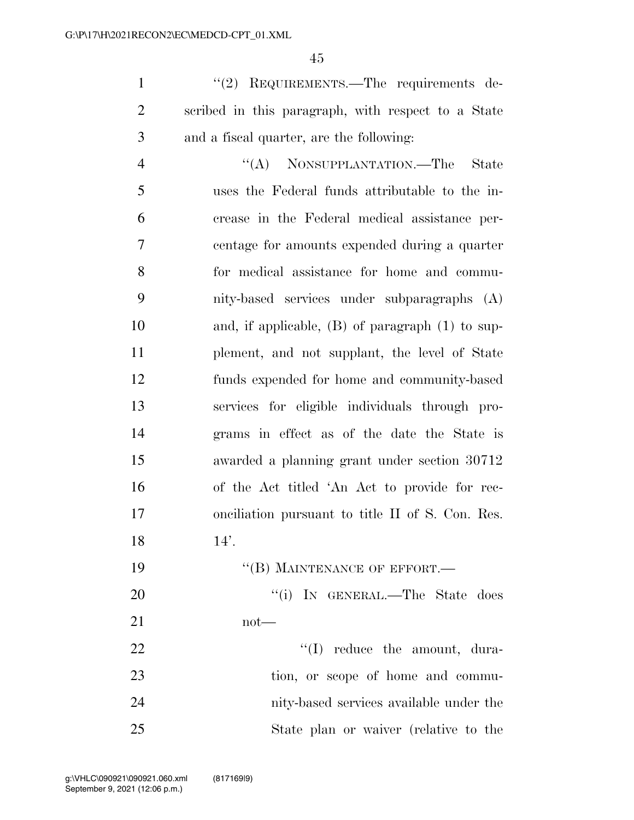1 ''(2) REQUIREMENTS.—The requirements de- scribed in this paragraph, with respect to a State and a fiscal quarter, are the following:

4 "(A) NONSUPPLANTATION.—The State uses the Federal funds attributable to the in- crease in the Federal medical assistance per- centage for amounts expended during a quarter for medical assistance for home and commu- nity-based services under subparagraphs (A) and, if applicable, (B) of paragraph (1) to sup- plement, and not supplant, the level of State funds expended for home and community-based services for eligible individuals through pro- grams in effect as of the date the State is awarded a planning grant under section 30712 of the Act titled 'An Act to provide for rec- onciliation pursuant to title II of S. Con. Res. 14'.

- 19 "(B) MAINTENANCE OF EFFORT.— 20 ''(i) IN GENERAL.—The State does not— 22 ''(I) reduce the amount, dura-23 tion, or scope of home and commu-
- nity-based services available under the State plan or waiver (relative to the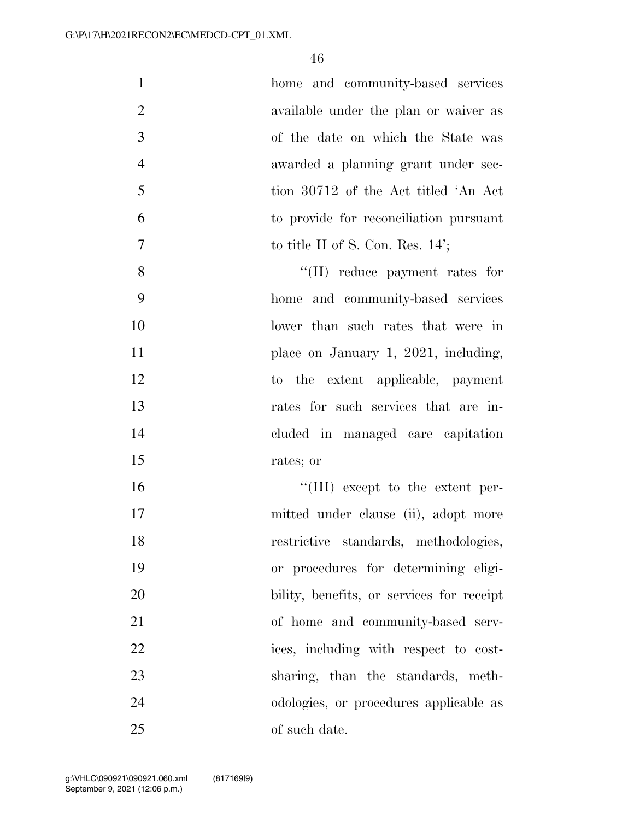| $\mathbf{1}$   | home and community-based services               |
|----------------|-------------------------------------------------|
| $\overline{2}$ | available under the plan or waiver as           |
| 3              | of the date on which the State was              |
| $\overline{4}$ | awarded a planning grant under sec-             |
| 5              | tion 30712 of the Act titled 'An Act            |
| 6              | to provide for reconciliation pursuant          |
| 7              | to title II of S. Con. Res. $14$ <sup>'</sup> ; |
| 8              | $``(II)$ reduce payment rates for               |
| 9              | home and community-based services               |
| 10             | lower than such rates that were in              |
| 11             | place on January 1, 2021, including,            |
| 12             | to the extent applicable, payment               |
| 13             | rates for such services that are in-            |
| 14             | cluded in managed care capitation               |
| 15             | rates; or                                       |
| 16             | $\lq\lq$ (III) except to the extent per-        |
| 17             | mitted under clause (ii), adopt more            |
| 18             | restrictive standards, methodologies,           |
| 19             | or procedures for determining eligi-            |
| 20             | bility, benefits, or services for receipt       |
| 21             | of home and community-based serv-               |
| 22             | ices, including with respect to cost-           |
| 23             | sharing, than the standards, meth-              |
| 24             | odologies, or procedures applicable as          |
| 25             | of such date.                                   |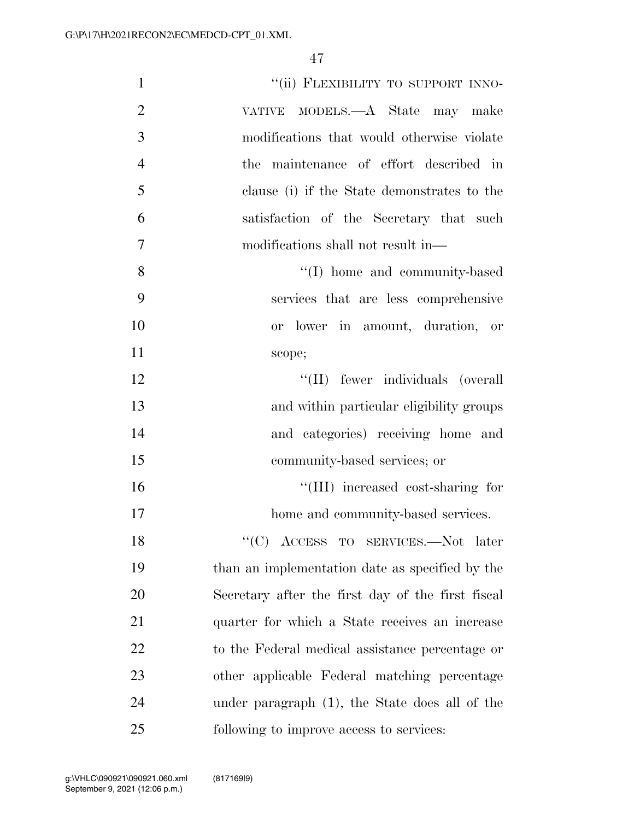| $\mathbf{1}$   | "(ii) FLEXIBILITY TO SUPPORT INNO-                |
|----------------|---------------------------------------------------|
| $\overline{2}$ | VATIVE MODELS.—A State may make                   |
| 3              | modifications that would otherwise violate        |
| $\overline{4}$ | the maintenance of effort described in            |
| 5              | clause (i) if the State demonstrates to the       |
| 6              | satisfaction of the Secretary that such           |
| $\overline{7}$ | modifications shall not result in—                |
| 8              | "(I) home and community-based                     |
| 9              | services that are less comprehensive              |
| 10             | or lower in amount, duration, or                  |
| 11             | scope;                                            |
| 12             | "(II) fewer individuals (overall                  |
| 13             | and within particular eligibility groups          |
| 14             | and categories) receiving home and                |
| 15             | community-based services; or                      |
| 16             | "(III) increased cost-sharing for                 |
| 17             | home and community-based services.                |
| 18             | " $(C)$ ACCESS TO SERVICES.—Not later             |
| 19             | than an implementation date as specified by the   |
| 20             | Secretary after the first day of the first fiscal |
| 21             | quarter for which a State receives an increase    |
| 22             | to the Federal medical assistance percentage or   |
| 23             | other applicable Federal matching percentage      |
| 24             | under paragraph (1), the State does all of the    |
| 25             | following to improve access to services:          |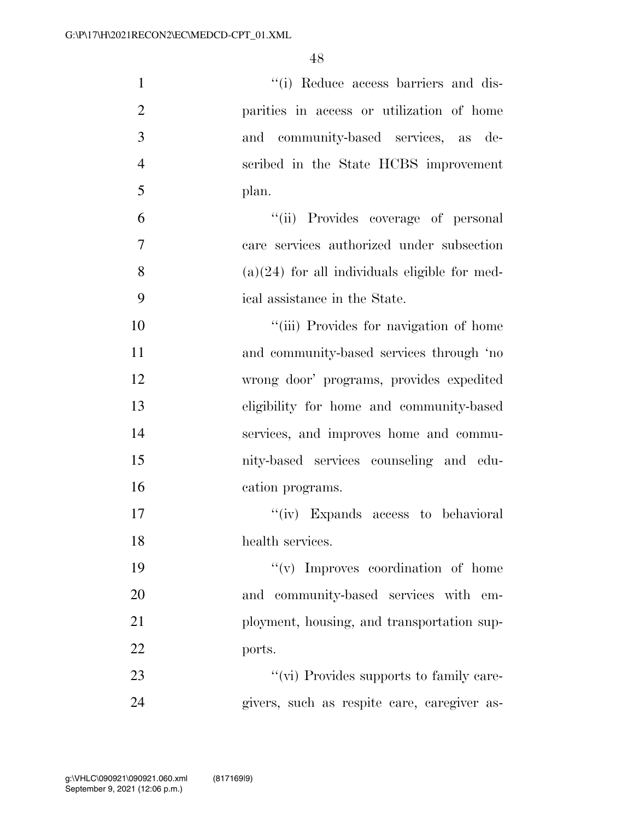| $\mathbf{1}$   | "(i) Reduce access barriers and dis-            |
|----------------|-------------------------------------------------|
| $\overline{2}$ | parities in access or utilization of home       |
| $\mathfrak{Z}$ | and community-based services, as de-            |
| $\overline{4}$ | scribed in the State HCBS improvement           |
| 5              | plan.                                           |
| 6              | "(ii) Provides coverage of personal             |
| $\tau$         | care services authorized under subsection       |
| 8              | $(a)(24)$ for all individuals eligible for med- |
| 9              | ical assistance in the State.                   |
| 10             | "(iii) Provides for navigation of home          |
| 11             | and community-based services through 'no        |
| 12             | wrong door' programs, provides expedited        |
| 13             | eligibility for home and community-based        |
| 14             | services, and improves home and commu-          |
| 15             | nity-based services counseling and edu-         |
| 16             | cation programs.                                |
| 17             | "(iv) Expands access to behavioral              |
| 18             | health services.                                |
| 19             | $\lq\lq$ (v) Improves coordination of home      |
| 20             | and community-based services with em-           |
| 21             | ployment, housing, and transportation sup-      |
| 22             | ports.                                          |
| 23             | "(vi) Provides supports to family care-         |
| 24             | givers, such as respite care, caregiver as-     |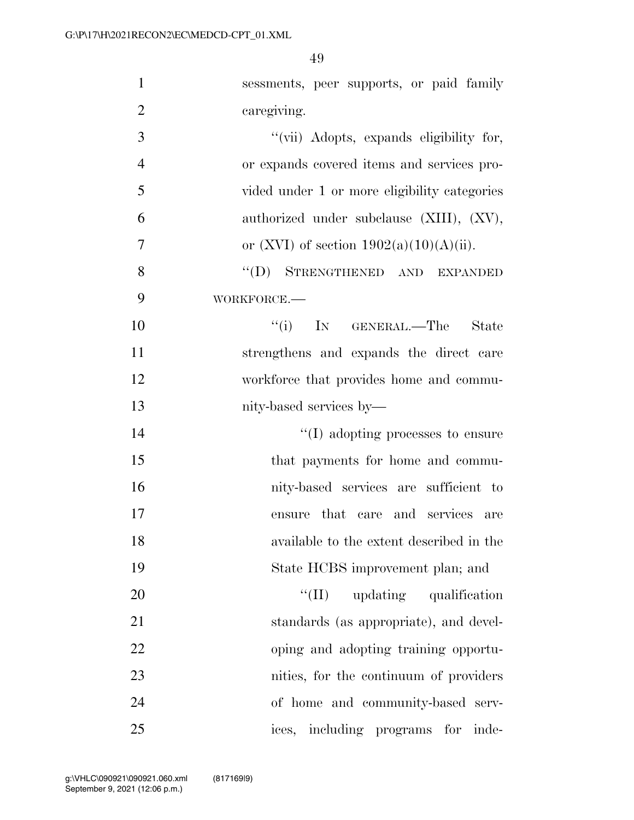| $\mathbf{1}$   | sessments, peer supports, or paid family     |
|----------------|----------------------------------------------|
| $\overline{2}$ | caregiving.                                  |
| 3              | "(vii) Adopts, expands eligibility for,      |
| $\overline{4}$ | or expands covered items and services pro-   |
| 5              | vided under 1 or more eligibility categories |
| 6              | authorized under subclause (XIII), (XV),     |
| 7              | or (XVI) of section $1902(a)(10)(A)(ii)$ .   |
| 8              | "(D) STRENGTHENED AND EXPANDED               |
| 9              | WORKFORCE.                                   |
| 10             | ``(i)<br>IN GENERAL.—The<br>State            |
| 11             | strengthens and expands the direct care      |
| 12             | workforce that provides home and commu-      |
| 13             | nity-based services by—                      |
| 14             | $\lq\lq$ (I) adopting processes to ensure    |
| 15             | that payments for home and commu-            |
| 16             | nity-based services are sufficient to        |
| 17             | ensure that care and services are            |
| 18             | available to the extent described in the     |
| 19             | State HCBS improvement plan; and             |
| 20             | ``(II)<br>updating qualification             |
| 21             | standards (as appropriate), and devel-       |
| 22             | oping and adopting training opportu-         |
| 23             | nities, for the continuum of providers       |
| 24             | of home and community-based serv-            |
| 25             | ices, including programs<br>for<br>inde-     |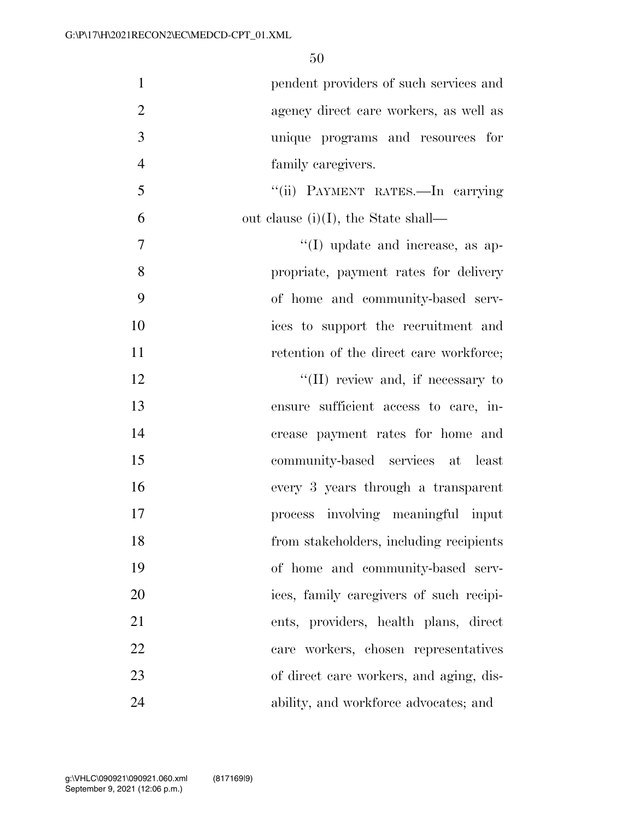| $\mathbf{1}$   | pendent providers of such services and    |
|----------------|-------------------------------------------|
| $\overline{2}$ | agency direct care workers, as well as    |
| 3              | unique programs and resources for         |
| $\overline{4}$ | family caregivers.                        |
| 5              | "(ii) PAYMENT RATES.—In carrying          |
| 6              | out clause (i)(I), the State shall—       |
| $\overline{7}$ | $\lq\lq$ (I) update and increase, as ap-  |
| 8              | propriate, payment rates for delivery     |
| 9              | of home and community-based serv-         |
| 10             | ices to support the recruitment and       |
| 11             | retention of the direct care workforce;   |
| 12             | $\lq\lq$ (II) review and, if necessary to |
| 13             | ensure sufficient access to care, in-     |
| 14             | crease payment rates for home and         |
| 15             | community-based services at least         |
| 16             | every 3 years through a transparent       |
| 17             | process involving meaningful input        |
| 18             | from stakeholders, including recipients   |
| 19             | of home and community-based serv-         |
| 20             | ices, family caregivers of such recipi-   |
| 21             | ents, providers, health plans, direct     |
| 22             | care workers, chosen representatives      |
| 23             | of direct care workers, and aging, dis-   |
| 24             | ability, and workforce advocates; and     |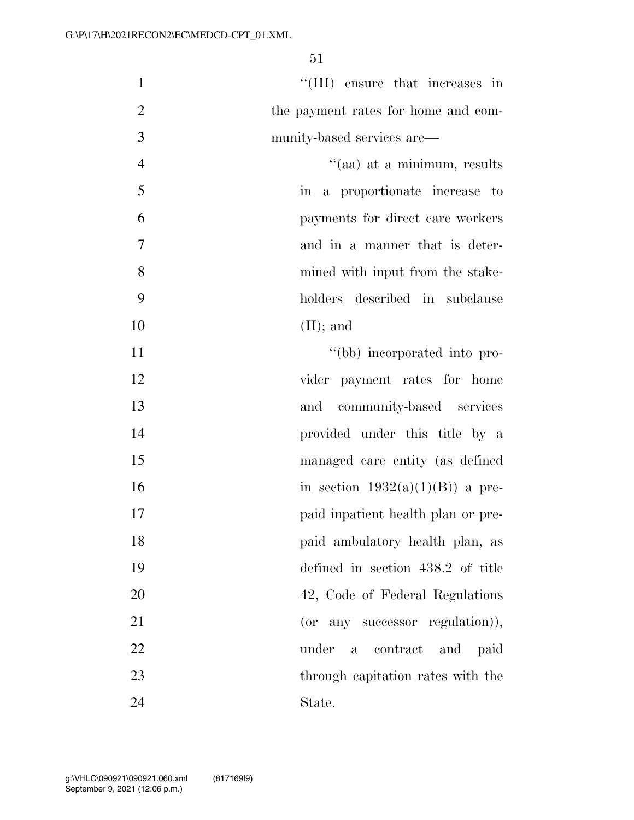| $\mathbf{1}$   | "(III) ensure that increases in     |
|----------------|-------------------------------------|
| $\mathfrak{2}$ | the payment rates for home and com- |
| 3              | munity-based services are—          |
| $\overline{4}$ | "(aa) at a minimum, results         |
| 5              | in a proportionate increase to      |
| 6              | payments for direct care workers    |
| $\overline{7}$ | and in a manner that is deter-      |
| 8              | mined with input from the stake-    |
| 9              | holders described in subclause      |
| 10             | $(II);$ and                         |
| 11             | "(bb) incorporated into pro-        |
| 12             | vider payment rates for home        |
| 13             | and community-based services        |
| 14             | provided under this title by a      |
| 15             | managed care entity (as defined     |
| 16             | in section $1932(a)(1)(B)$ a pre-   |
| 17             | paid inpatient health plan or pre-  |
| 18             | paid ambulatory health plan, as     |
| 19             | defined in section 438.2 of title   |
| 20             | 42, Code of Federal Regulations     |
| 21             | (or any successor regulation)),     |
| 22             | under<br>a contract<br>and paid     |
| 23             | through capitation rates with the   |
| 24             | State.                              |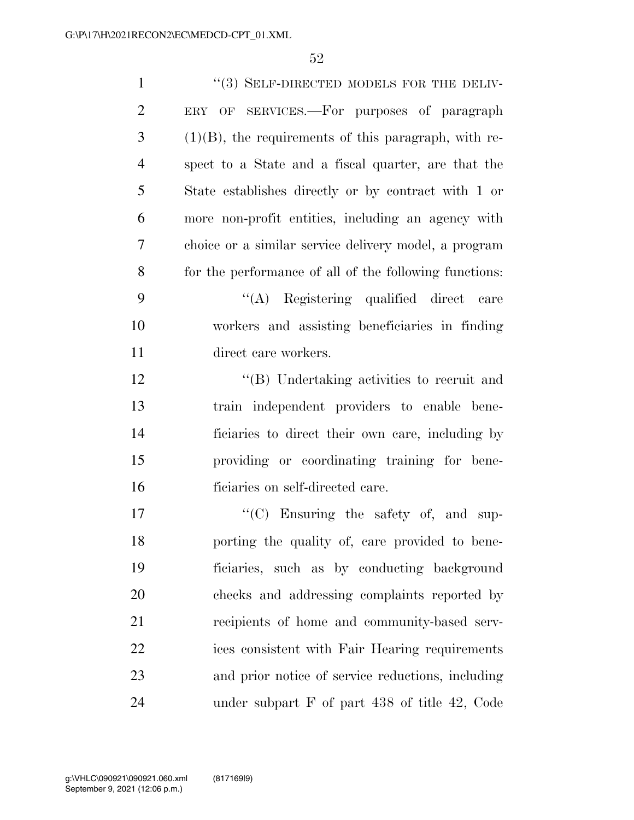| $\mathbf{1}$   | "(3) SELF-DIRECTED MODELS FOR THE DELIV-                |
|----------------|---------------------------------------------------------|
| $\overline{2}$ | ERY OF SERVICES.—For purposes of paragraph              |
| 3              | $(1)(B)$ , the requirements of this paragraph, with re- |
| $\overline{4}$ | spect to a State and a fiscal quarter, are that the     |
| 5              | State establishes directly or by contract with 1 or     |
| 6              | more non-profit entities, including an agency with      |
| 7              | choice or a similar service delivery model, a program   |
| 8              | for the performance of all of the following functions:  |
| 9              | "(A) Registering qualified direct care                  |
| 10             | workers and assisting beneficiaries in finding          |
| 11             | direct care workers.                                    |
| 12             | "(B) Undertaking activities to recruit and              |
| 13             | train independent providers to enable bene-             |
| 14             | ficiaries to direct their own care, including by        |
| 15             | providing or coordinating training for bene-            |
| 16             | ficiaries on self-directed care.                        |
| 17             | $\lq\lq$ Ensuring the safety of, and sup-               |
| 18             | porting the quality of, care provided to bene-          |
| 19             | ficiaries, such as by conducting background             |
| 20             | checks and addressing complaints reported by            |
| 21             | recipients of home and community-based serv-            |
| 22             | ices consistent with Fair Hearing requirements          |
| 23             | and prior notice of service reductions, including       |
| 24             | under subpart $F$ of part 438 of title 42, Code         |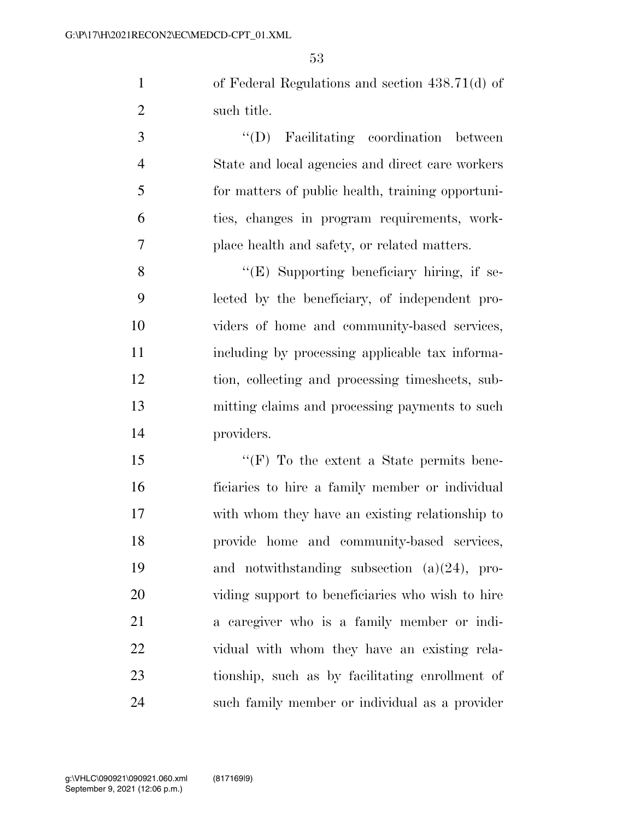of Federal Regulations and section 438.71(d) of such title.

 ''(D) Facilitating coordination between State and local agencies and direct care workers for matters of public health, training opportuni- ties, changes in program requirements, work-place health and safety, or related matters.

 ''(E) Supporting beneficiary hiring, if se- lected by the beneficiary, of independent pro- viders of home and community-based services, including by processing applicable tax informa- tion, collecting and processing timesheets, sub- mitting claims and processing payments to such providers.

15 "'(F) To the extent a State permits bene- ficiaries to hire a family member or individual with whom they have an existing relationship to provide home and community-based services, and notwithstanding subsection (a)(24), pro- viding support to beneficiaries who wish to hire a caregiver who is a family member or indi- vidual with whom they have an existing rela- tionship, such as by facilitating enrollment of such family member or individual as a provider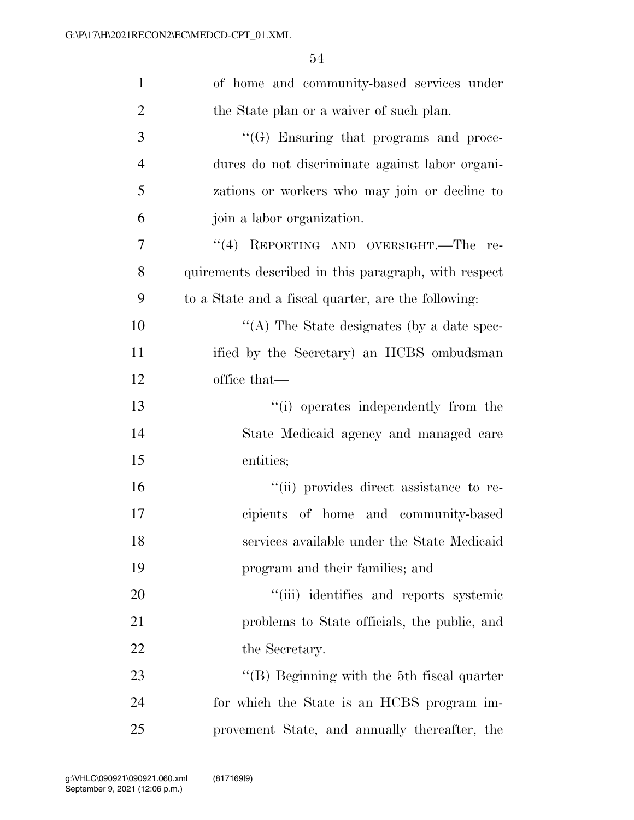| $\mathbf{1}$   | of home and community-based services under           |
|----------------|------------------------------------------------------|
| $\overline{2}$ | the State plan or a waiver of such plan.             |
| 3              | "(G) Ensuring that programs and proce-               |
| $\overline{4}$ | dures do not discriminate against labor organi-      |
| 5              | zations or workers who may join or decline to        |
| 6              | join a labor organization.                           |
| 7              | "(4) REPORTING AND OVERSIGHT.—The<br>re-             |
| 8              | quirements described in this paragraph, with respect |
| 9              | to a State and a fiscal quarter, are the following:  |
| 10             | "(A) The State designates (by a date spec-           |
| 11             | ified by the Secretary) an HCBS ombudsman            |
| 12             | office that—                                         |
| 13             | "(i) operates independently from the                 |
| 14             | State Medicaid agency and managed care               |
| 15             | entities;                                            |
| 16             | "(ii) provides direct assistance to re-              |
| 17             | cipients of home and community-based                 |
| 18             | services available under the State Medicaid          |
| 19             | program and their families; and                      |
| 20             | "(iii) identifies and reports systemic               |
| 21             | problems to State officials, the public, and         |
| 22             | the Secretary.                                       |
| 23             | "(B) Beginning with the 5th fiscal quarter           |
| 24             | for which the State is an HCBS program im-           |
| 25             | provement State, and annually thereafter, the        |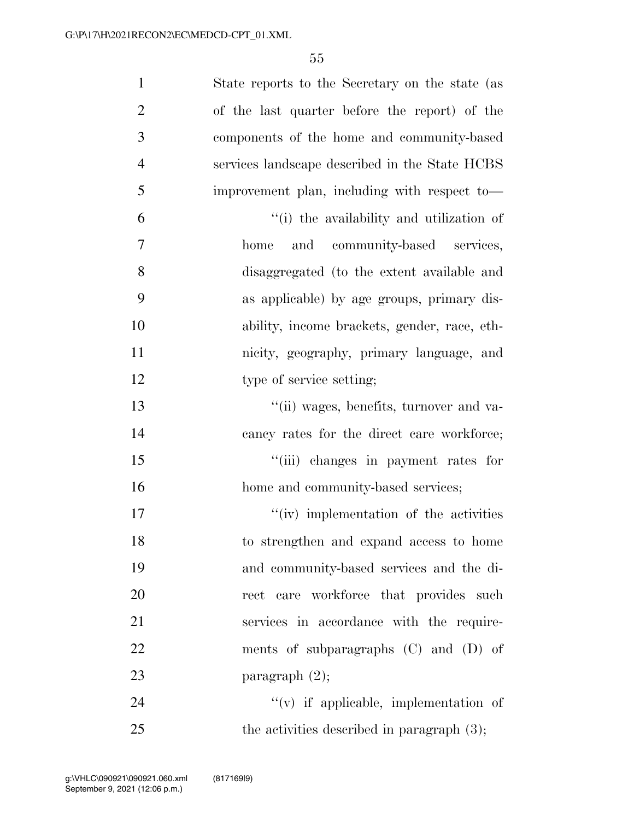| $\mathbf{1}$   | State reports to the Secretary on the state (as |
|----------------|-------------------------------------------------|
| $\overline{2}$ | of the last quarter before the report) of the   |
| 3              | components of the home and community-based      |
| $\overline{4}$ | services landscape described in the State HCBS  |
| 5              | improvement plan, including with respect to-    |
| 6              | "(i) the availability and utilization of        |
| $\overline{7}$ | and community-based services,<br>home           |
| 8              | disaggregated (to the extent available and      |
| 9              | as applicable) by age groups, primary dis-      |
| 10             | ability, income brackets, gender, race, eth-    |
| 11             | nicity, geography, primary language, and        |
| 12             | type of service setting;                        |
| 13             | "(ii) wages, benefits, turnover and va-         |
| 14             | cancy rates for the direct care workforce;      |
| 15             | "(iii) changes in payment rates for             |
| 16             | home and community-based services;              |
| 17             | "(iv) implementation of the activities          |
| 18             | to strengthen and expand access to home         |
| 19             | and community-based services and the di-        |
| 20             | rect care workforce that provides such          |
| 21             | services in accordance with the require-        |
| 22             | ments of subparagraphs (C) and (D) of           |
| 23             | paragraph $(2)$ ;                               |
| 24             | $f'(v)$ if applicable, implementation of        |
| 25             | the activities described in paragraph $(3)$ ;   |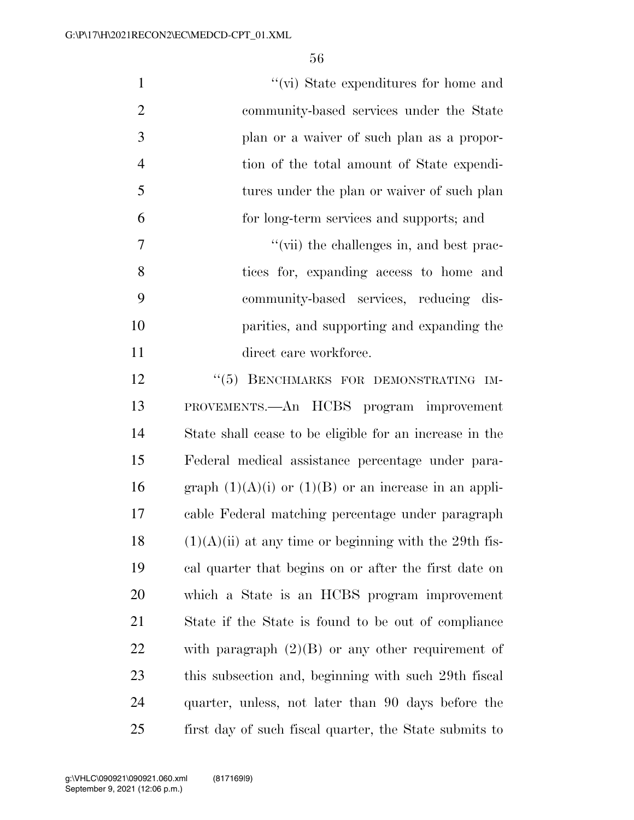| $\mathbf{1}$   | "(vi) State expenditures for home and                     |
|----------------|-----------------------------------------------------------|
| $\overline{2}$ | community-based services under the State                  |
| 3              | plan or a waiver of such plan as a propor-                |
| $\overline{4}$ | tion of the total amount of State expendi-                |
| 5              | tures under the plan or waiver of such plan               |
| 6              | for long-term services and supports; and                  |
| 7              | "(vii) the challenges in, and best prac-                  |
| 8              | tices for, expanding access to home and                   |
| 9              | community-based services, reducing dis-                   |
| 10             | parities, and supporting and expanding the                |
| 11             | direct care workforce.                                    |
| 12             | "(5) BENCHMARKS FOR DEMONSTRATING IM-                     |
| 13             | PROVEMENTS.—An HCBS program improvement                   |
| 14             | State shall cease to be eligible for an increase in the   |
| 15             | Federal medical assistance percentage under para-         |
| 16             | graph $(1)(A)(i)$ or $(1)(B)$ or an increase in an appli- |
| 17             | cable Federal matching percentage under paragraph         |
| 18             | $(1)(A)(ii)$ at any time or beginning with the 29th fis-  |
| 19             | cal quarter that begins on or after the first date on     |
| 20             | which a State is an HCBS program improvement              |
| 21             | State if the State is found to be out of compliance       |
| 22             | with paragraph $(2)(B)$ or any other requirement of       |
| 23             | this subsection and, beginning with such 29th fiscal      |
| 24             | quarter, unless, not later than 90 days before the        |
| 25             | first day of such fiscal quarter, the State submits to    |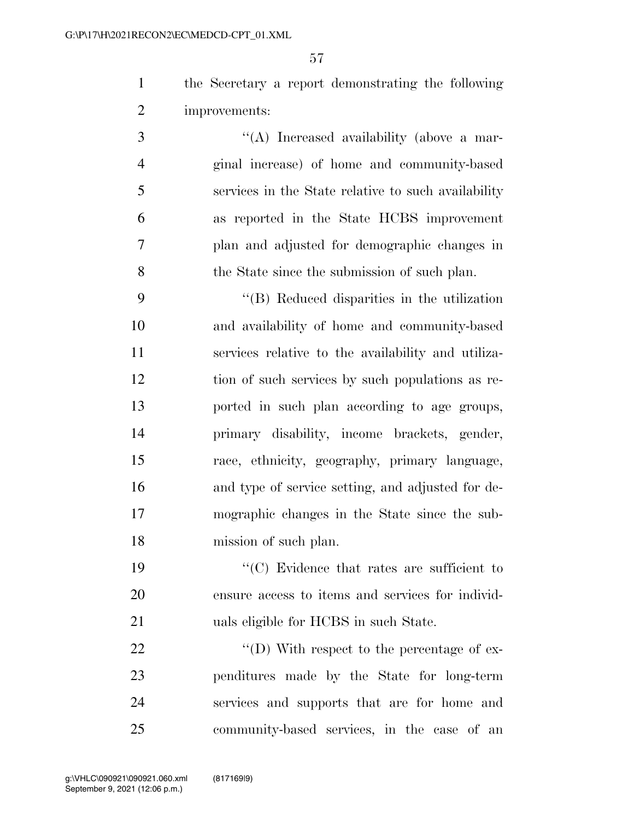the Secretary a report demonstrating the following improvements:

 $\langle (A) \rangle$  Increased availability (above a mar- ginal increase) of home and community-based services in the State relative to such availability as reported in the State HCBS improvement plan and adjusted for demographic changes in the State since the submission of such plan.

 ''(B) Reduced disparities in the utilization and availability of home and community-based services relative to the availability and utiliza- tion of such services by such populations as re- ported in such plan according to age groups, primary disability, income brackets, gender, race, ethnicity, geography, primary language, and type of service setting, and adjusted for de- mographic changes in the State since the sub-mission of such plan.

19  $\cdot$  (C) Evidence that rates are sufficient to ensure access to items and services for individ-uals eligible for HCBS in such State.

 $\text{``(D)}$  With respect to the percentage of ex- penditures made by the State for long-term services and supports that are for home and community-based services, in the case of an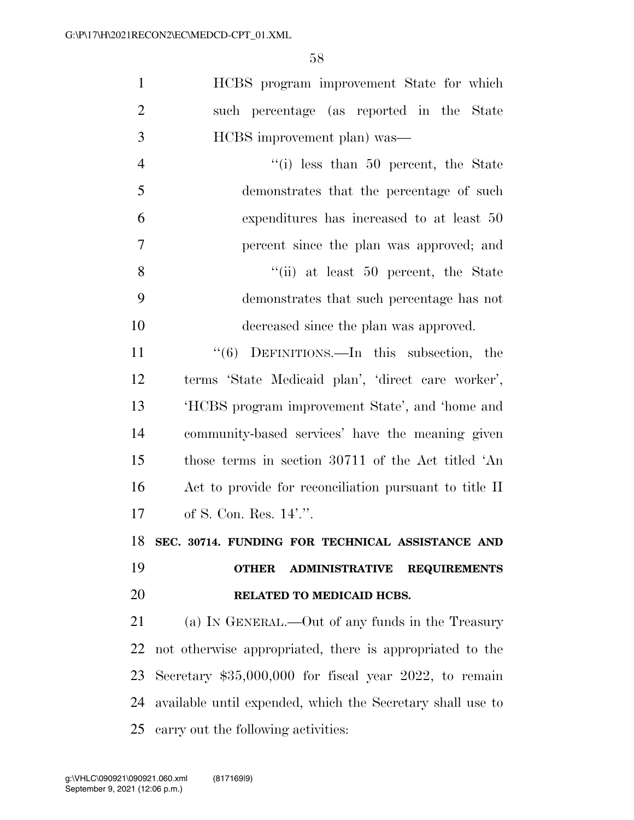| $\mathbf{1}$   | HCBS program improvement State for which                     |
|----------------|--------------------------------------------------------------|
| $\overline{2}$ | such percentage (as reported in the State                    |
| 3              | HCBS improvement plan) was—                                  |
| $\overline{4}$ | $f(i)$ less than 50 percent, the State                       |
| 5              | demonstrates that the percentage of such                     |
| 6              | expenditures has increased to at least 50                    |
| 7              | percent since the plan was approved; and                     |
| 8              | $``$ (ii) at least 50 percent, the State                     |
| 9              | demonstrates that such percentage has not                    |
| 10             | decreased since the plan was approved.                       |
| 11             | "(6) DEFINITIONS.—In this subsection, the                    |
| 12             | terms 'State Medicaid plan', 'direct care worker',           |
| 13             | 'HCBS program improvement State', and 'home and              |
| 14             | community-based services' have the meaning given             |
| 15             | those terms in section 30711 of the Act titled 'An           |
| 16             | Act to provide for reconciliation pursuant to title II       |
| 17             | of S. Con. Res. 14'.".                                       |
| 18             | SEC. 30714. FUNDING FOR TECHNICAL ASSISTANCE AND             |
| 19             | <b>ADMINISTRATIVE</b><br><b>REQUIREMENTS</b><br><b>OTHER</b> |
| 20             | RELATED TO MEDICAID HCBS.                                    |
| 21             | (a) IN GENERAL.—Out of any funds in the Treasury             |
| 22             | not otherwise appropriated, there is appropriated to the     |
|                |                                                              |

 Secretary \$35,000,000 for fiscal year 2022, to remain available until expended, which the Secretary shall use to carry out the following activities: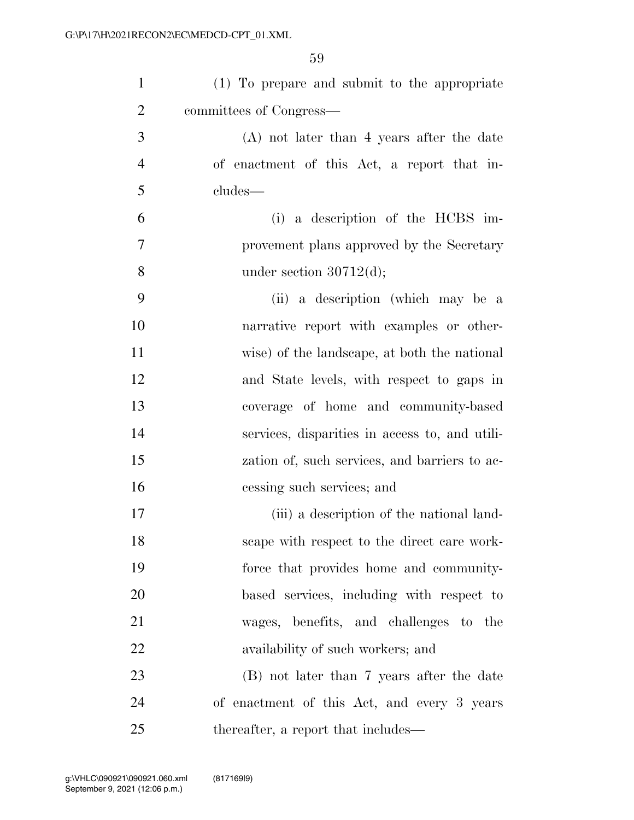| $\mathbf{1}$   | (1) To prepare and submit to the appropriate   |
|----------------|------------------------------------------------|
| $\overline{2}$ | committees of Congress—                        |
| 3              | $(A)$ not later than 4 years after the date    |
| $\overline{4}$ | of enactment of this Act, a report that in-    |
| 5              | cludes—                                        |
| 6              | (i) a description of the $HCBS$ im-            |
| 7              | provement plans approved by the Secretary      |
| 8              | under section $30712(d)$ ;                     |
| 9              | (ii) a description (which may be a             |
| 10             | narrative report with examples or other-       |
| 11             | wise) of the landscape, at both the national   |
| 12             | and State levels, with respect to gaps in      |
| 13             | coverage of home and community-based           |
| 14             | services, disparities in access to, and utili- |
| 15             | zation of, such services, and barriers to ac-  |
| 16             | cessing such services; and                     |
| 17             | (iii) a description of the national land-      |
| 18             | scape with respect to the direct care work-    |
| 19             | force that provides home and community-        |
| 20             | based services, including with respect to      |
| 21             | wages, benefits, and challenges to the         |
| 22             | availability of such workers; and              |
| 23             | (B) not later than 7 years after the date      |
| 24             | of enactment of this Act, and every 3 years    |
| 25             | thereafter, a report that includes—            |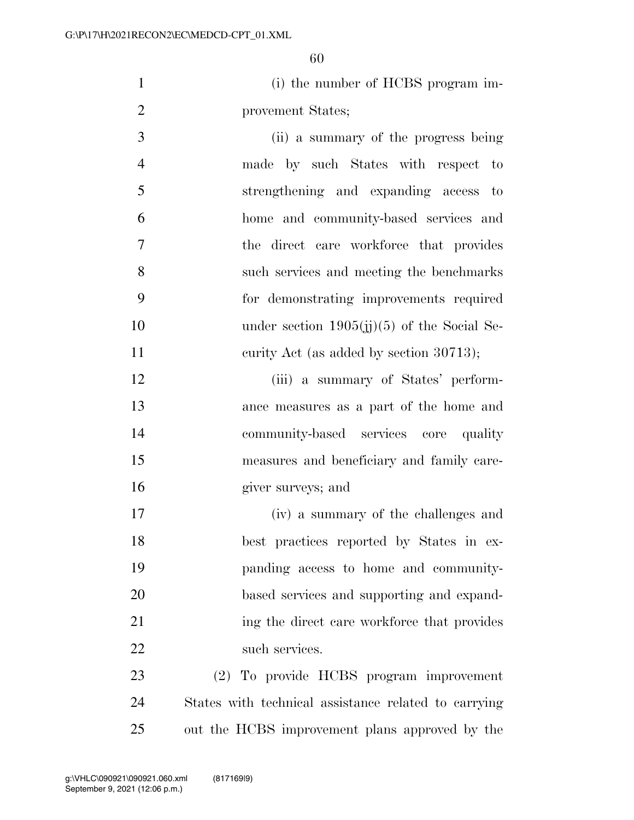(i) the number of HCBS program im-provement States;

- (ii) a summary of the progress being made by such States with respect to strengthening and expanding access to home and community-based services and the direct care workforce that provides such services and meeting the benchmarks for demonstrating improvements required 10 under section 1905(jj)(5) of the Social Se-11 curity Act (as added by section 30713);
- (iii) a summary of States' perform- ance measures as a part of the home and community-based services core quality measures and beneficiary and family care-giver surveys; and
- (iv) a summary of the challenges and best practices reported by States in ex- panding access to home and community- based services and supporting and expand-21 ing the direct care workforce that provides 22 such services.
- (2) To provide HCBS program improvement States with technical assistance related to carrying out the HCBS improvement plans approved by the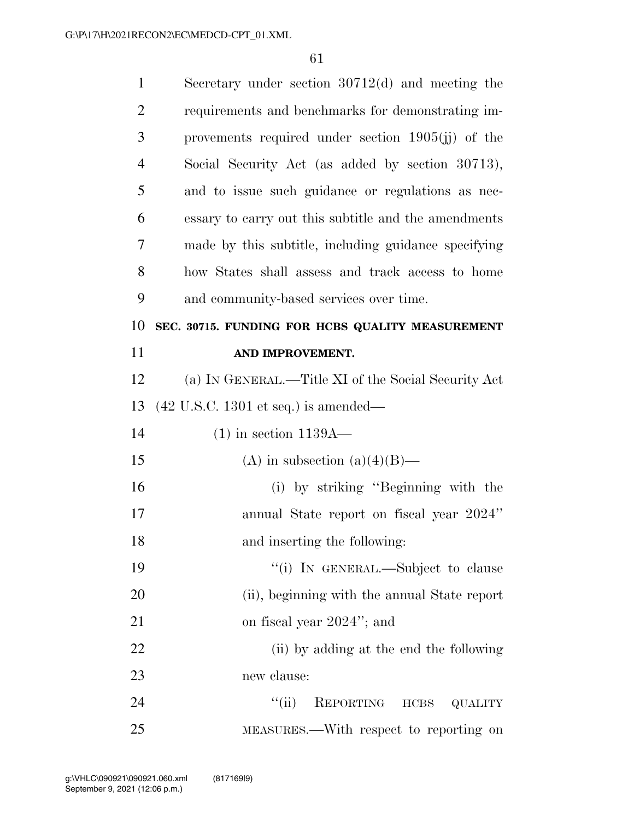| $\mathbf{1}$   | Secretary under section $30712(d)$ and meeting the      |
|----------------|---------------------------------------------------------|
| $\overline{2}$ | requirements and benchmarks for demonstrating im-       |
| 3              | provements required under section $1905(ij)$ of the     |
| $\overline{4}$ | Social Security Act (as added by section 30713),        |
| 5              | and to issue such guidance or regulations as nec-       |
| 6              | essary to carry out this subtitle and the amendments    |
| 7              | made by this subtitle, including guidance specifying    |
| 8              | how States shall assess and track access to home        |
| 9              | and community-based services over time.                 |
| 10             | SEC. 30715. FUNDING FOR HCBS QUALITY MEASUREMENT        |
| 11             | AND IMPROVEMENT.                                        |
| 12             | (a) IN GENERAL.—Title XI of the Social Security Act     |
| 13             | $(42 \text{ U.S.C. } 1301 \text{ et seq.})$ is amended— |
|                |                                                         |
| 14             | $(1)$ in section 1139A—                                 |
| 15             | (A) in subsection (a)(4)(B)—                            |
| 16             | (i) by striking "Beginning with the                     |
| 17             | annual State report on fiscal year 2024"                |
| 18             | and inserting the following:                            |
| 19             | "(i) IN GENERAL.—Subject to clause                      |
| 20             | (ii), beginning with the annual State report            |
| 21             | on fiscal year 2024"; and                               |
| 22             | (ii) by adding at the end the following                 |
| 23             | new clause:                                             |
| 24             | ``(ii)<br>REPORTING HCBS QUALITY                        |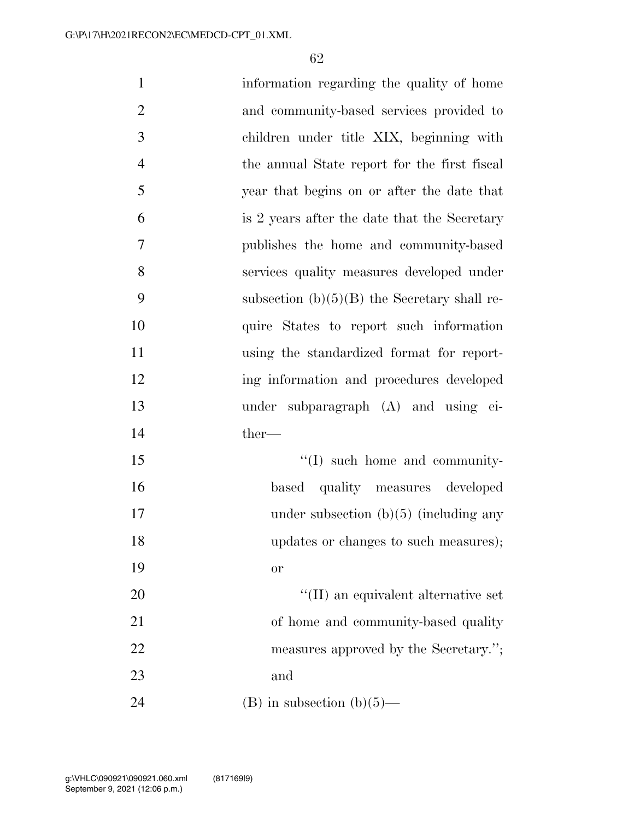| $\mathbf{1}$   | information regarding the quality of home      |
|----------------|------------------------------------------------|
| $\overline{2}$ | and community-based services provided to       |
| 3              | children under title XIX, beginning with       |
| $\overline{4}$ | the annual State report for the first fiscal   |
| 5              | year that begins on or after the date that     |
| 6              | is 2 years after the date that the Secretary   |
| 7              | publishes the home and community-based         |
| 8              | services quality measures developed under      |
| 9              | subsection $(b)(5)(B)$ the Secretary shall re- |
| 10             | quire States to report such information        |
| 11             | using the standardized format for report-      |
| 12             | ing information and procedures developed       |
| 13             | under subparagraph (A) and using ei-           |
| 14             | ther-                                          |
| 15             | $\lq\lq$ such home and community-              |
| 16             | based quality measures developed               |
| 17             | under subsection $(b)(5)$ (including any       |
| 18             | updates or changes to such measures);          |
| 19             | or                                             |
| 20             | $\lq\lq$ (II) an equivalent alternative set    |
| 21             | of home and community-based quality            |
| 22             | measures approved by the Secretary.";          |
| 23             | and                                            |
| 24             | $(B)$ in subsection $(b)(5)$ —                 |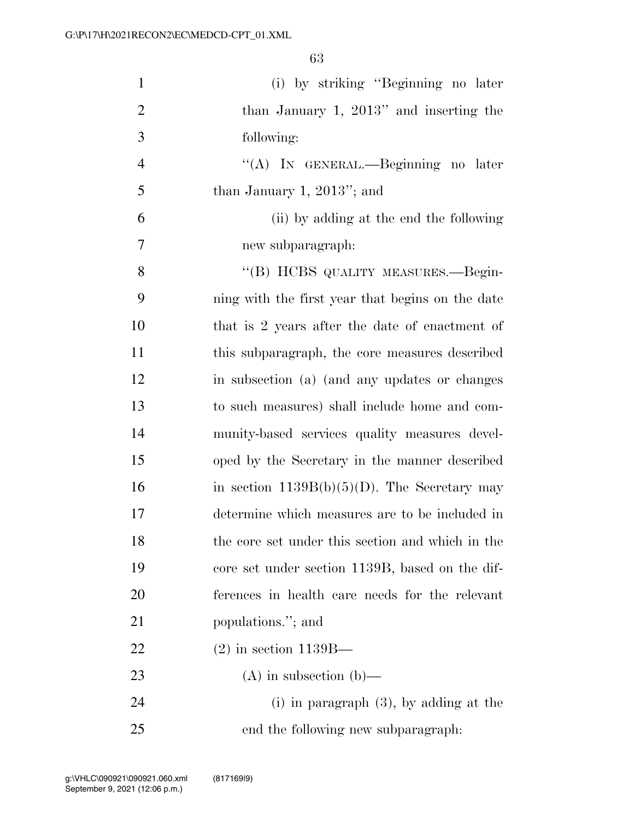| $\mathbf{1}$   | (i) by striking "Beginning no later              |
|----------------|--------------------------------------------------|
| $\overline{2}$ | than January 1, $2013"$ and inserting the        |
| 3              | following:                                       |
| $\overline{4}$ | "(A) IN GENERAL.—Beginning no later              |
| 5              | than January 1, $2013$ "; and                    |
| 6              | (ii) by adding at the end the following          |
| 7              | new subparagraph:                                |
| 8              | "(B) HCBS QUALITY MEASURES.—Begin-               |
| 9              | ning with the first year that begins on the date |
| 10             | that is 2 years after the date of enactment of   |
| 11             | this subparagraph, the core measures described   |
| 12             | in subsection (a) (and any updates or changes    |
| 13             | to such measures) shall include home and com-    |
| 14             | munity-based services quality measures devel-    |
| 15             | oped by the Secretary in the manner described    |
| 16             | in section $1139B(b)(5)(D)$ . The Secretary may  |
| 17             | determine which measures are to be included in   |
| 18             | the core set under this section and which in the |
| 19             | core set under section 1139B, based on the dif-  |
| 20             | ferences in health care needs for the relevant   |
| 21             | populations."; and                               |
| 22             | $(2)$ in section 1139B—                          |
| 23             | $(A)$ in subsection $(b)$ —                      |
| 24             | (i) in paragraph $(3)$ , by adding at the        |
| 25             | end the following new subparagraph:              |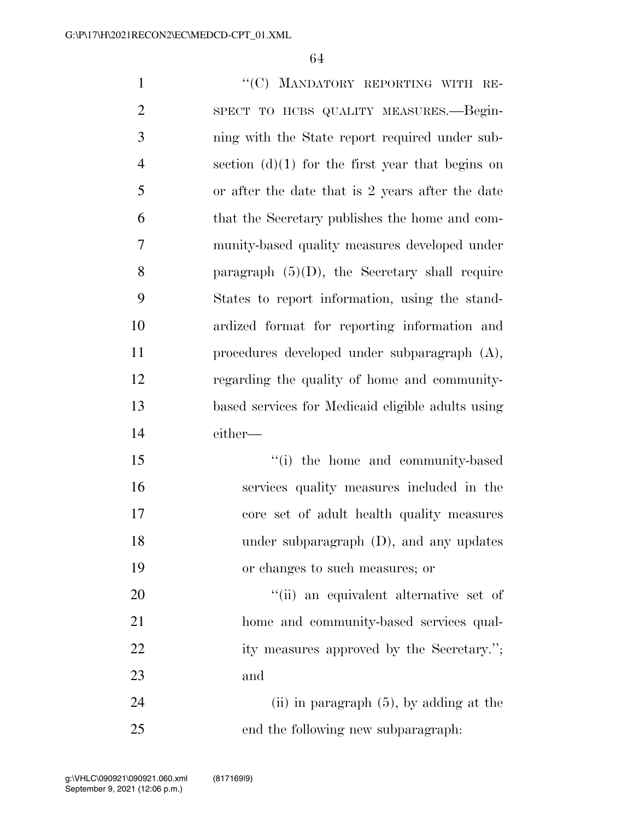1 ""(C) MANDATORY REPORTING WITH RE- SPECT TO HCBS QUALITY MEASURES.—Begin- ning with the State report required under sub-4 section  $(d)(1)$  for the first year that begins on or after the date that is 2 years after the date that the Secretary publishes the home and com- munity-based quality measures developed under 8 paragraph  $(5)(D)$ , the Secretary shall require States to report information, using the stand- ardized format for reporting information and procedures developed under subparagraph (A), regarding the quality of home and community- based services for Medicaid eligible adults using either— 15 ''(i) the home and community-based services quality measures included in the core set of adult health quality measures under subparagraph (D), and any updates or changes to such measures; or  $\frac{1}{20}$  an equivalent alternative set of home and community-based services qual-22 ity measures approved by the Secretary.";

and

24 (ii) in paragraph (5), by adding at the end the following new subparagraph: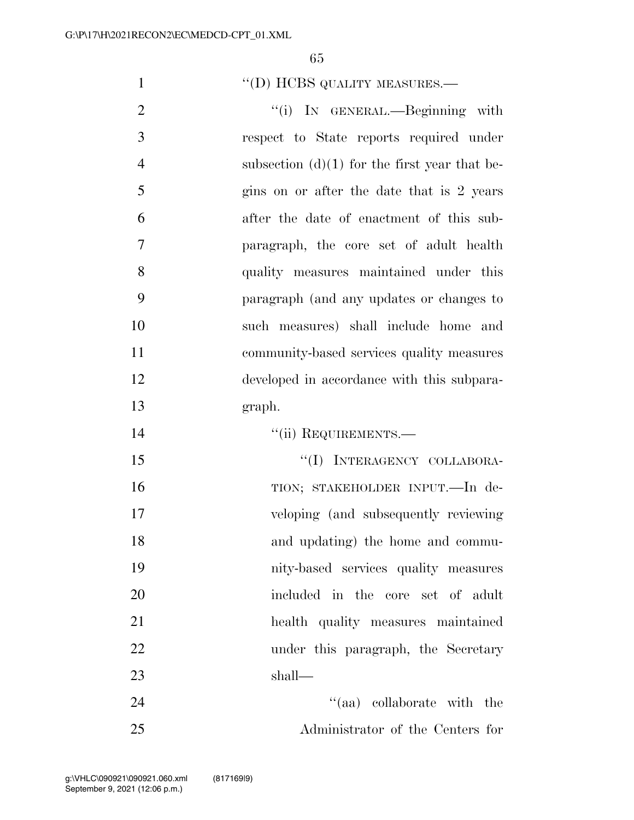## 1 "(D) HCBS QUALITY MEASURES.—

2 "(i) IN GENERAL.—Beginning with respect to State reports required under 4 subsection  $(d)(1)$  for the first year that be-5 gins on or after the date that is 2 years after the date of enactment of this sub- paragraph, the core set of adult health quality measures maintained under this paragraph (and any updates or changes to such measures) shall include home and community-based services quality measures developed in accordance with this subpara-graph.

''(ii) REQUIREMENTS.—

15 "(I) INTERAGENCY COLLABORA-16 TION; STAKEHOLDER INPUT.—In de- veloping (and subsequently reviewing and updating) the home and commu- nity-based services quality measures included in the core set of adult health quality measures maintained 22 under this paragraph, the Secretary shall—

24 ''(aa) collaborate with the Administrator of the Centers for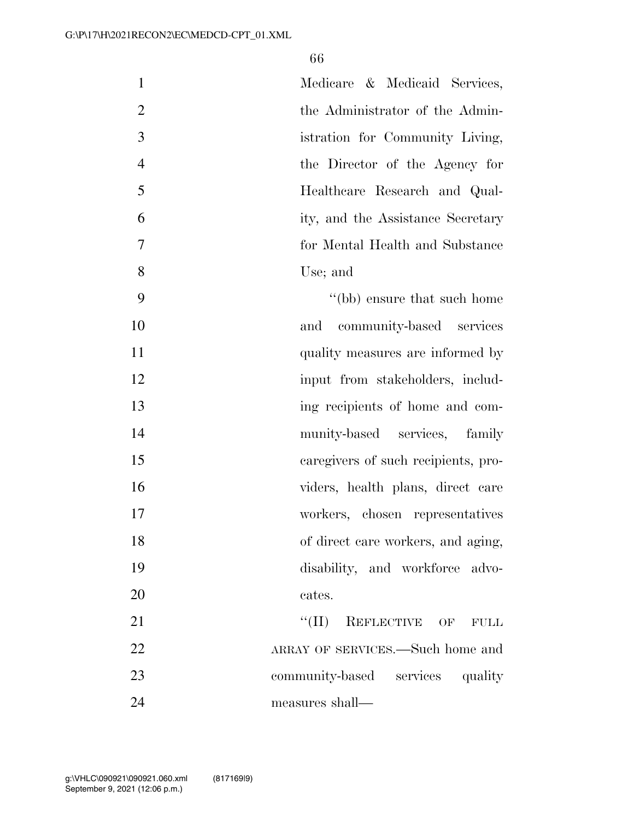| $\mathbf{1}$   | Medicare & Medicaid Services,          |
|----------------|----------------------------------------|
| $\overline{2}$ | the Administrator of the Admin-        |
| 3              | istration for Community Living,        |
| $\overline{4}$ | the Director of the Agency for         |
| 5              | Healthcare Research and Qual-          |
| 6              | ity, and the Assistance Secretary      |
| 7              | for Mental Health and Substance        |
| 8              | Use; and                               |
| 9              | "(bb) ensure that such home            |
| 10             | community-based services<br>and        |
| 11             | quality measures are informed by       |
| 12             | input from stakeholders, includ-       |
| 13             | ing recipients of home and com-        |
| 14             | munity-based services, family          |
| 15             | caregivers of such recipients, pro-    |
| 16             | viders, health plans, direct care      |
| 17             | workers, chosen representatives        |
| 18             | of direct care workers, and aging,     |
| 19             | disability, and workforce advo-        |
| 20             | cates.                                 |
| 21             | ``(II)<br>REFLECTIVE OF<br><b>FULL</b> |
| 22             | ARRAY OF SERVICES.—Such home and       |
| 23             | community-based services quality       |
| 24             | measures shall—                        |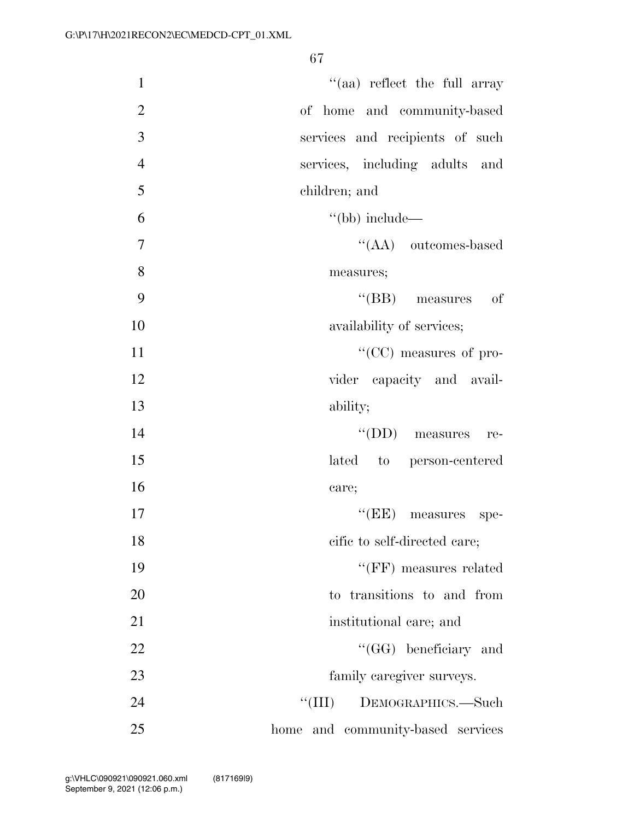| $\mathbf{1}$   | $\lq(aa)$ reflect the full array     |
|----------------|--------------------------------------|
| $\overline{2}$ | of home and community-based          |
| 3              | services and recipients of such      |
| $\overline{4}$ | services, including adults<br>and    |
| 5              | children; and                        |
| 6              | $\lq\lq(bb)$ include—                |
| 7              | $\lq\lq (AA)$ outcomes-based         |
| 8              | measures;                            |
| 9              | $\lq\lq$ (BB) measures of            |
| 10             | availability of services;            |
| 11             | "(CC) measures of pro-               |
| 12             | vider capacity and avail-            |
| 13             | ability;                             |
| 14             | "(DD) measures re-                   |
| 15             | lated to person-centered             |
| 16             | care;                                |
| 17             | "(EE) measures spe-                  |
| 18             | cific to self-directed care;         |
| 19             | $``(FF)$ measures related            |
| 20             | to transitions to and from           |
| 21             | institutional care; and              |
| 22             | "(GG) beneficiary and                |
| 23             | family caregiver surveys.            |
| 24             | ``(III)<br>DEMOGRAPHICS.-Such        |
| 25             | and community-based services<br>home |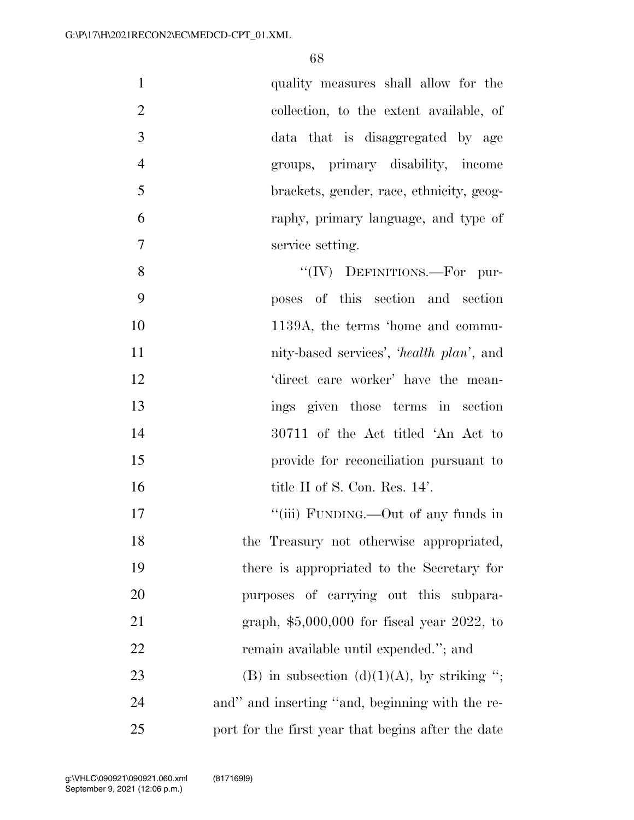| $\mathbf{1}$   | quality measures shall allow for the               |
|----------------|----------------------------------------------------|
| $\overline{2}$ | collection, to the extent available, of            |
| 3              | data that is disaggregated by age                  |
| $\overline{4}$ | groups, primary disability, income                 |
| 5              | brackets, gender, race, ethnicity, geog-           |
| 6              | raphy, primary language, and type of               |
| $\overline{7}$ | service setting.                                   |
| 8              | " $(IV)$ DEFINITIONS.—For pur-                     |
| 9              | poses of this section and section                  |
| 10             | 1139A, the terms 'home and commu-                  |
| 11             | nity-based services', 'health plan', and           |
| 12             | 'direct care worker' have the mean-                |
| 13             | ings given those terms in section                  |
| 14             | 30711 of the Act titled 'An Act to                 |
| 15             | provide for reconciliation pursuant to             |
| 16             | title II of S. Con. Res. 14'.                      |
| 17             | "(iii) FUNDING.—Out of any funds in                |
| 18             | the Treasury not otherwise appropriated,           |
| 19             | there is appropriated to the Secretary for         |
| 20             | purposes of carrying out this subpara-             |
| 21             | graph, $$5,000,000$ for fiscal year 2022, to       |
| 22             | remain available until expended."; and             |
| 23             | (B) in subsection (d)(1)(A), by striking ";        |
| 24             | and" and inserting "and, beginning with the re-    |
| 25             | port for the first year that begins after the date |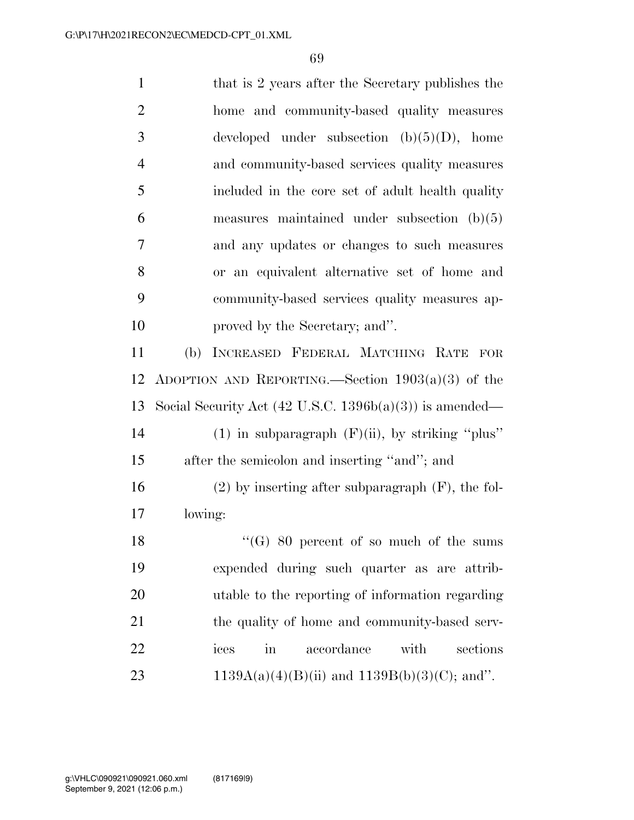| $\mathbf{1}$   | that is 2 years after the Secretary publishes the                  |
|----------------|--------------------------------------------------------------------|
| $\overline{2}$ | home and community-based quality measures                          |
| 3              | developed under subsection $(b)(5)(D)$ , home                      |
| $\overline{4}$ | and community-based services quality measures                      |
| 5              | included in the core set of a dult health quality                  |
| 6              | measures maintained under subsection $(b)(5)$                      |
| 7              | and any updates or changes to such measures                        |
| 8              | or an equivalent alternative set of home and                       |
| 9              | community-based services quality measures ap-                      |
| 10             | proved by the Secretary; and".                                     |
| 11             | (b) INCREASED FEDERAL MATCHING RATE FOR                            |
| 12             | ADOPTION AND REPORTING.—Section $1903(a)(3)$ of the                |
| 13             | Social Security Act $(42 \text{ U.S.C. } 1396b(a)(3))$ is amended— |
| 14             | $(1)$ in subparagraph $(F)(ii)$ , by striking "plus"               |
| 15             | after the semicolon and inserting "and"; and                       |
| 16             | $(2)$ by inserting after subparagraph $(F)$ , the fol-             |
| $17\,$         | lowing:                                                            |
| 18             | $\lq\lq(G)$ 80 percent of so much of the sums                      |
| 19             | expended during such quarter as are attrib-                        |
| 20             | utable to the reporting of information regarding                   |
| 21             | the quality of home and community-based serv-                      |
| 22             | $\operatorname{in}$<br>accordance<br>with<br>sections<br>ices      |
| 23             | $1139A(a)(4)(B)(ii)$ and $1139B(b)(3)(C)$ ; and".                  |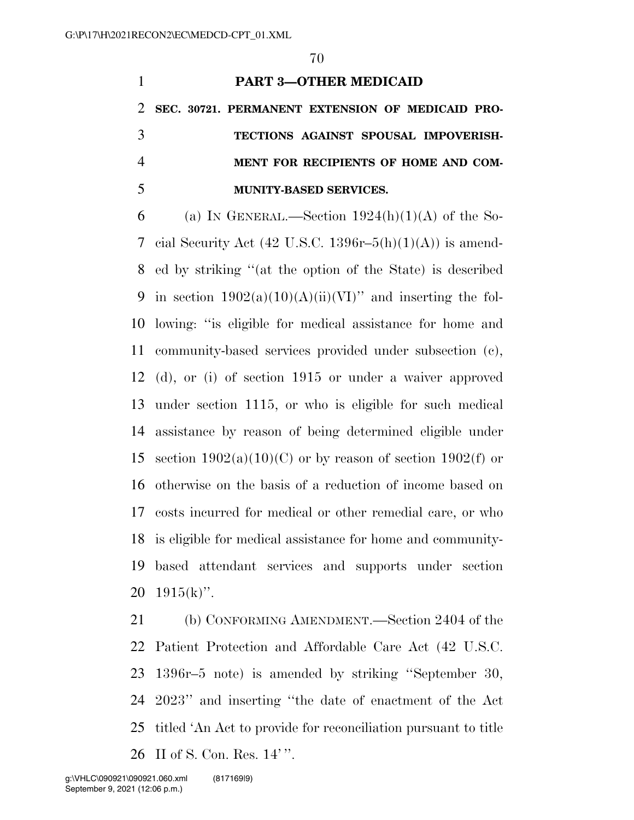## **PART 3—OTHER MEDICAID**

 **SEC. 30721. PERMANENT EXTENSION OF MEDICAID PRO- TECTIONS AGAINST SPOUSAL IMPOVERISH- MENT FOR RECIPIENTS OF HOME AND COM-MUNITY-BASED SERVICES.** 

6 (a) IN GENERAL.—Section  $1924(h)(1)(A)$  of the So-7 cial Security Act  $(42 \text{ U.S.C. } 1396r-5(h)(1)(A))$  is amend- ed by striking ''(at the option of the State) is described 9 in section  $1902(a)(10)(A)(ii)(VI)$  and inserting the fol- lowing: ''is eligible for medical assistance for home and community-based services provided under subsection (c), (d), or (i) of section 1915 or under a waiver approved under section 1115, or who is eligible for such medical assistance by reason of being determined eligible under 15 section  $1902(a)(10)(C)$  or by reason of section  $1902(f)$  or otherwise on the basis of a reduction of income based on costs incurred for medical or other remedial care, or who is eligible for medical assistance for home and community- based attendant services and supports under section  $20 \quad 1915(k)$ ".

 (b) CONFORMING AMENDMENT.—Section 2404 of the Patient Protection and Affordable Care Act (42 U.S.C. 1396r–5 note) is amended by striking ''September 30, 2023'' and inserting ''the date of enactment of the Act titled 'An Act to provide for reconciliation pursuant to title II of S. Con. Res. 14' ''.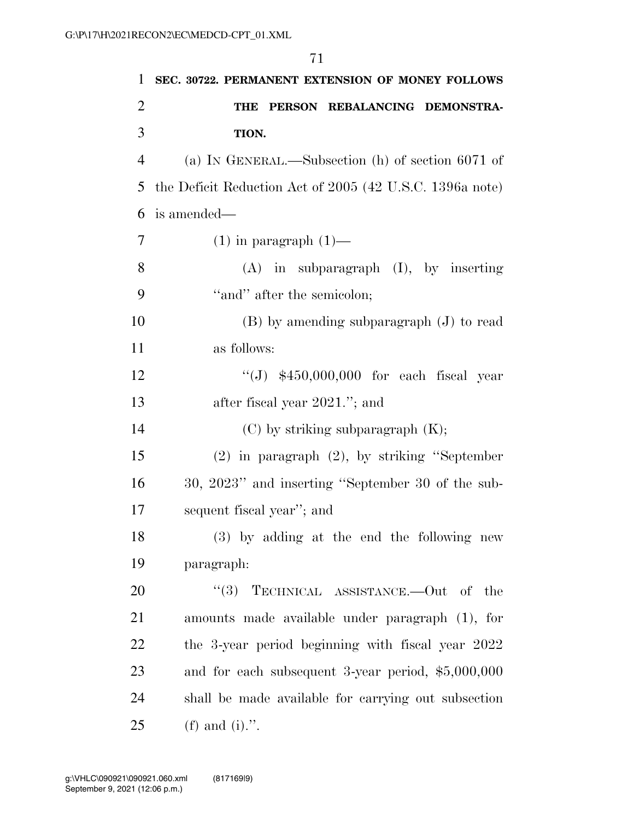|                | 71                                                       |
|----------------|----------------------------------------------------------|
| 1              | SEC. 30722. PERMANENT EXTENSION OF MONEY FOLLOWS         |
| $\overline{2}$ | PERSON REBALANCING DEMONSTRA-<br>THE                     |
| 3              | TION.                                                    |
| $\overline{4}$ | (a) IN GENERAL.—Subsection (h) of section $6071$ of      |
| 5              | the Deficit Reduction Act of 2005 (42 U.S.C. 1396a note) |
| 6              | is amended—                                              |
| $\overline{7}$ | $(1)$ in paragraph $(1)$ —                               |
| 8              | $(A)$ in subparagraph $(I)$ , by inserting               |
| 9              | "and" after the semicolon;                               |
| 10             | $(B)$ by amending subparagraph $(J)$ to read             |
| 11             | as follows:                                              |
| 12             | "(J) $$450,000,000$ for each fiscal year                 |
| 13             | after fiscal year 2021."; and                            |
| 14             | $(C)$ by striking subparagraph $(K);$                    |
| 15             | $(2)$ in paragraph $(2)$ , by striking "September        |
| 16             | 30, 2023" and inserting "September 30 of the sub-        |
| 17             | sequent fiscal year"; and                                |
| 18             | (3) by adding at the end the following new               |
| 19             | paragraph:                                               |
| 20             | TECHNICAL ASSISTANCE.—Out of the<br>(3)                  |
| 21             | amounts made available under paragraph (1), for          |
| 22             | the 3-year period beginning with fiscal year 2022        |
| 23             | and for each subsequent 3-year period, $$5,000,000$      |
| 24             | shall be made available for carrying out subsection      |
| 25             | (f) and (i).".                                           |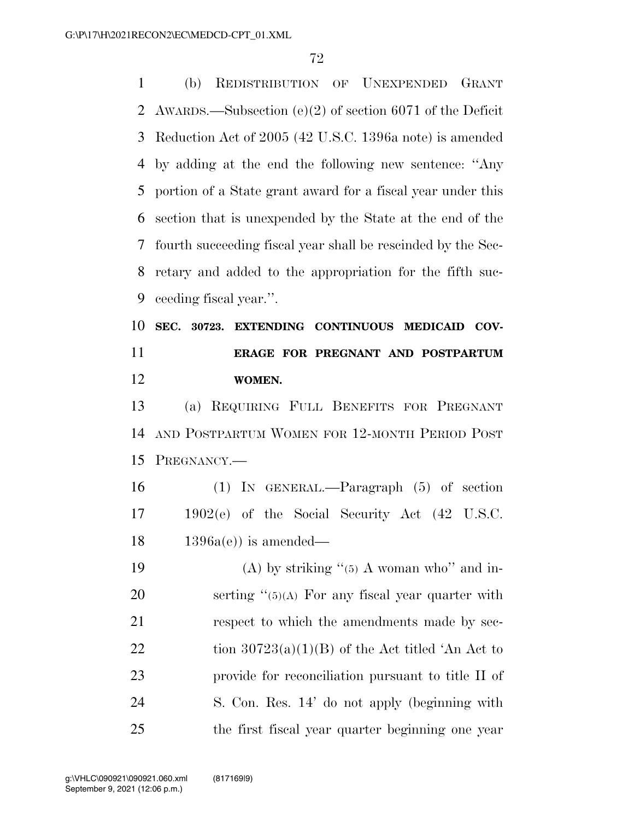(b) REDISTRIBUTION OF UNEXPENDED GRANT AWARDS.—Subsection (e)(2) of section 6071 of the Deficit Reduction Act of 2005 (42 U.S.C. 1396a note) is amended by adding at the end the following new sentence: ''Any portion of a State grant award for a fiscal year under this section that is unexpended by the State at the end of the fourth succeeding fiscal year shall be rescinded by the Sec- retary and added to the appropriation for the fifth suc-ceeding fiscal year.''.

## **SEC. 30723. EXTENDING CONTINUOUS MEDICAID COV- ERAGE FOR PREGNANT AND POSTPARTUM WOMEN.**

 (a) REQUIRING FULL BENEFITS FOR PREGNANT AND POSTPARTUM WOMEN FOR 12-MONTH PERIOD POST PREGNANCY.—

 (1) IN GENERAL.—Paragraph (5) of section 1902(e) of the Social Security Act (42 U.S.C.  $18 \qquad 1396a(e)$  is amended—

19 (A) by striking  $(5)$  A woman who" and in-20 serting "(5)(A) For any fiscal year quarter with respect to which the amendments made by sec-22 tion  $30723(a)(1)(B)$  of the Act titled 'An Act to provide for reconciliation pursuant to title II of S. Con. Res. 14' do not apply (beginning with the first fiscal year quarter beginning one year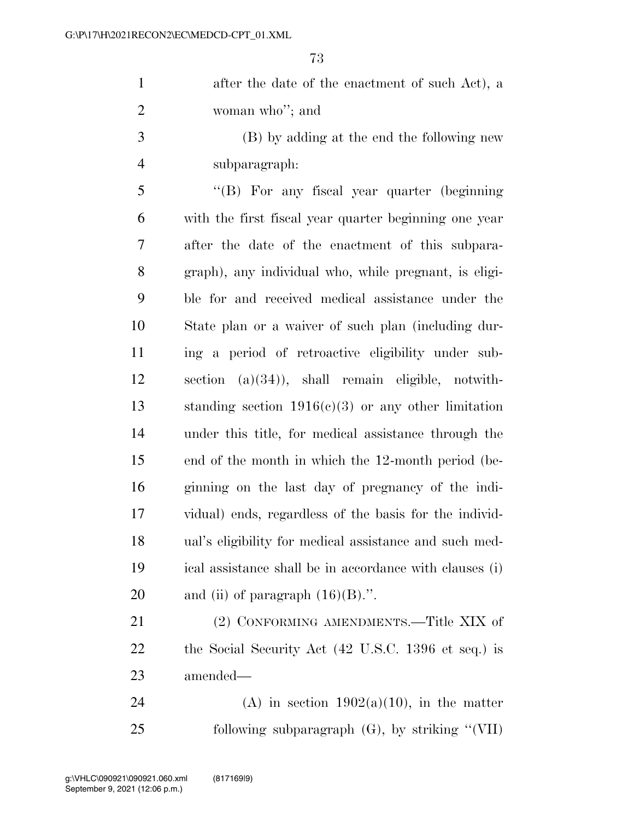1 after the date of the enactment of such Act), a woman who''; and

 (B) by adding at the end the following new subparagraph:

 ''(B) For any fiscal year quarter (beginning with the first fiscal year quarter beginning one year after the date of the enactment of this subpara- graph), any individual who, while pregnant, is eligi- ble for and received medical assistance under the State plan or a waiver of such plan (including dur- ing a period of retroactive eligibility under sub- section (a)(34)), shall remain eligible, notwith- standing section 1916(c)(3) or any other limitation under this title, for medical assistance through the end of the month in which the 12-month period (be- ginning on the last day of pregnancy of the indi- vidual) ends, regardless of the basis for the individ- ual's eligibility for medical assistance and such med- ical assistance shall be in accordance with clauses (i) 20 and (ii) of paragraph  $(16)(B)$ .".

21 (2) CONFORMING AMENDMENTS.—Title XIX of the Social Security Act (42 U.S.C. 1396 et seq.) is amended—

24 (A) in section  $1902(a)(10)$ , in the matter following subparagraph (G), by striking ''(VII)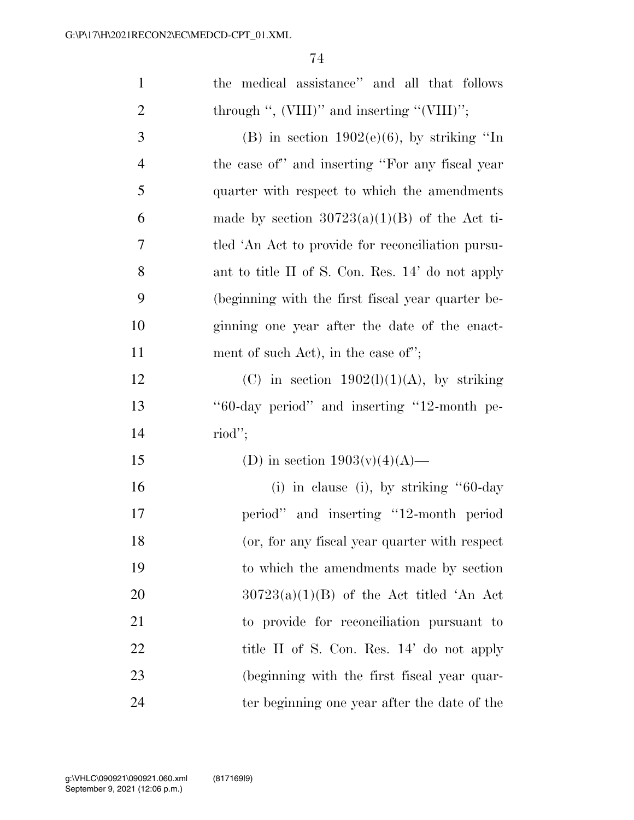| $\mathbf{1}$   | the medical assistance" and all that follows      |
|----------------|---------------------------------------------------|
| $\overline{2}$ | through ", $(VIII)$ " and inserting " $(VIII)$ "; |
| 3              | (B) in section $1902(e)(6)$ , by striking "In     |
| $\overline{4}$ | the case of" and inserting "For any fiscal year   |
| 5              | quarter with respect to which the amendments      |
| 6              | made by section $30723(a)(1)(B)$ of the Act ti-   |
| $\tau$         | tled 'An Act to provide for reconciliation pursu- |
| 8              | ant to title II of S. Con. Res. 14' do not apply  |
| 9              | (beginning with the first fiscal year quarter be- |
| 10             | ginning one year after the date of the enact-     |
| 11             | ment of such Act), in the case of";               |
| 12             | (C) in section $1902(l)(1)(A)$ , by striking      |
| 13             | "60-day period" and inserting "12-month pe-       |
| 14             | $\text{riod}$ ";                                  |
| 15             | (D) in section $1903(v)(4)(A)$ —                  |
| 16             | (i) in clause (i), by striking $"60-day$          |
| 17             | period" and inserting "12-month period            |
| 18             | (or, for any fiscal year quarter with respect     |
| 19             | to which the amendments made by section           |
| 20             | $30723(a)(1)(B)$ of the Act titled 'An Act        |
| 21             | to provide for reconciliation pursuant to         |
| 22             | title II of S. Con. Res. 14' do not apply         |
| 23             | (beginning with the first fiscal year quar-       |
| 24             | ter beginning one year after the date of the      |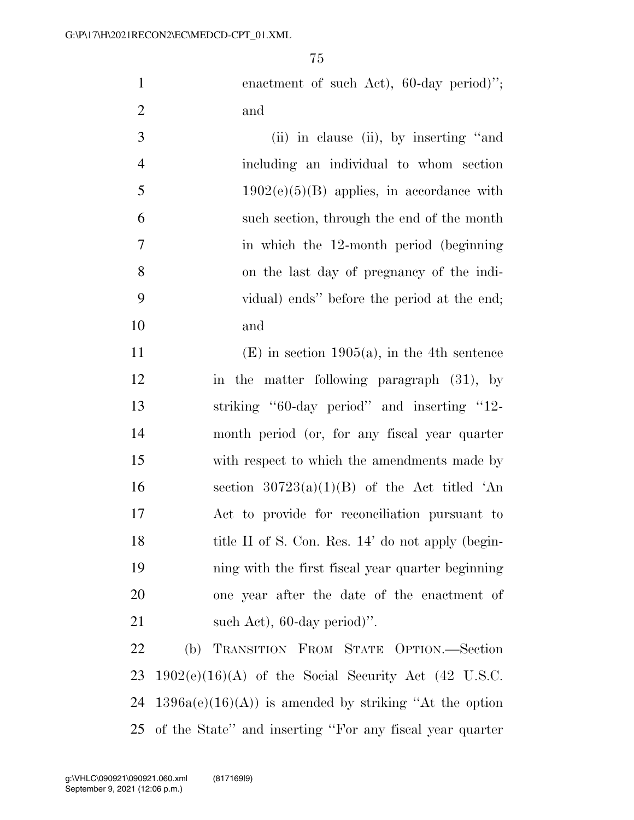1 enactment of such Act), 60-day period)"; and

| 3              | (ii) in clause (ii), by inserting "and      |
|----------------|---------------------------------------------|
| $\overline{4}$ | including an individual to whom section     |
| 5              | $1902(e)(5)(B)$ applies, in accordance with |
| 6              | such section, through the end of the month  |
| 7              | in which the 12-month period (beginning)    |
| 8              | on the last day of pregnancy of the indi-   |
| -9             | vidual) ends" before the period at the end; |
| 10             | and                                         |

 (E) in section 1905(a), in the 4th sentence in the matter following paragraph (31), by striking ''60-day period'' and inserting ''12- month period (or, for any fiscal year quarter with respect to which the amendments made by 16 section  $30723(a)(1)(B)$  of the Act titled 'An Act to provide for reconciliation pursuant to 18 title II of S. Con. Res. 14' do not apply (begin- ning with the first fiscal year quarter beginning one year after the date of the enactment of 21 such Act), 60-day period)".

 (b) TRANSITION FROM STATE OPTION.—Section 23 1902 $(e)(16)(A)$  of the Social Security Act  $(42 \text{ U.S.C.})$ 24 1396a(e)(16)(A)) is amended by striking "At the option of the State'' and inserting ''For any fiscal year quarter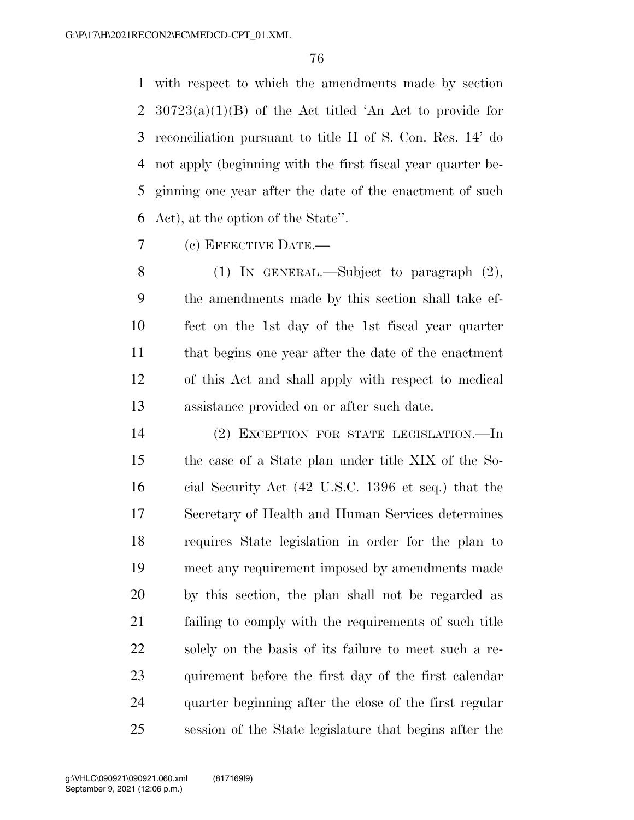with respect to which the amendments made by section  $30723(a)(1)(B)$  of the Act titled 'An Act to provide for reconciliation pursuant to title II of S. Con. Res. 14' do not apply (beginning with the first fiscal year quarter be- ginning one year after the date of the enactment of such Act), at the option of the State''.

(c) EFFECTIVE DATE.—

8 (1) IN GENERAL.—Subject to paragraph  $(2)$ , the amendments made by this section shall take ef- fect on the 1st day of the 1st fiscal year quarter that begins one year after the date of the enactment of this Act and shall apply with respect to medical assistance provided on or after such date.

 (2) EXCEPTION FOR STATE LEGISLATION.—In the case of a State plan under title XIX of the So- cial Security Act (42 U.S.C. 1396 et seq.) that the Secretary of Health and Human Services determines requires State legislation in order for the plan to meet any requirement imposed by amendments made by this section, the plan shall not be regarded as failing to comply with the requirements of such title solely on the basis of its failure to meet such a re- quirement before the first day of the first calendar quarter beginning after the close of the first regular session of the State legislature that begins after the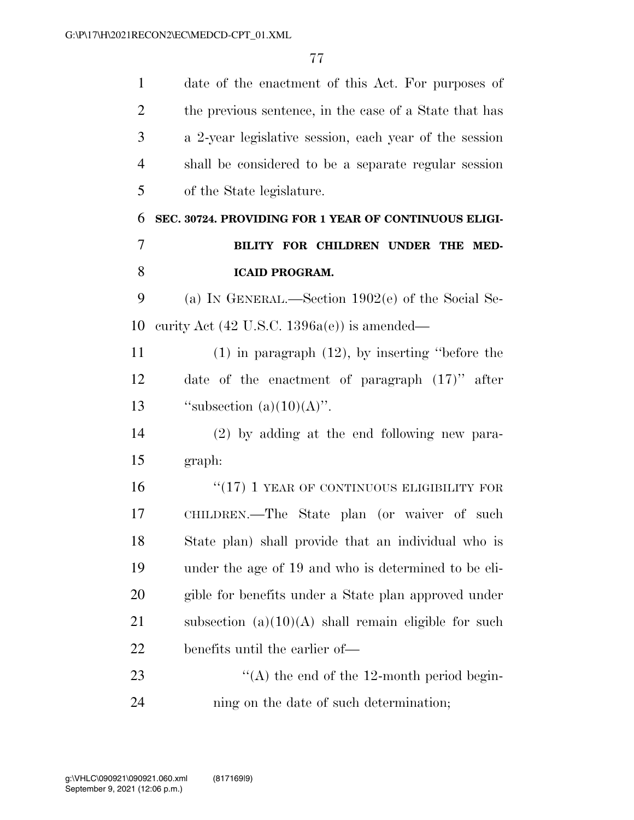date of the enactment of this Act. For purposes of 2 the previous sentence, in the case of a State that has a 2-year legislative session, each year of the session shall be considered to be a separate regular session of the State legislature. **SEC. 30724. PROVIDING FOR 1 YEAR OF CONTINUOUS ELIGI- BILITY FOR CHILDREN UNDER THE MED-ICAID PROGRAM.**  (a) IN GENERAL.—Section 1902(e) of the Social Se- curity Act (42 U.S.C. 1396a(e)) is amended— (1) in paragraph (12), by inserting ''before the date of the enactment of paragraph (17)'' after  $"subsection (a)(10)(A)".$  (2) by adding at the end following new para- graph: 16 "(17) 1 YEAR OF CONTINUOUS ELIGIBILITY FOR CHILDREN.—The State plan (or waiver of such State plan) shall provide that an individual who is under the age of 19 and who is determined to be eli- gible for benefits under a State plan approved under 21 subsection  $(a)(10)(A)$  shall remain eligible for such benefits until the earlier of—  $\langle (A)$  the end of the 12-month period begin-ning on the date of such determination;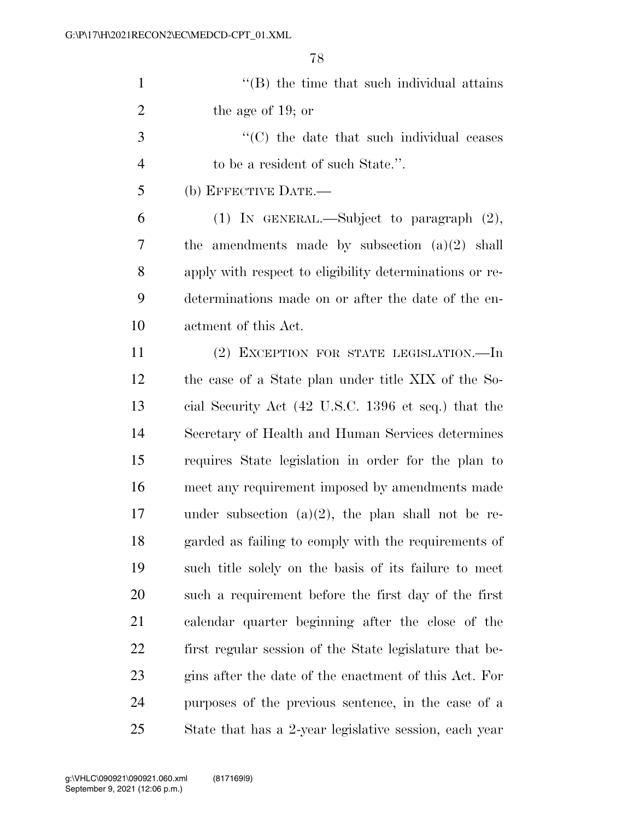| $\mathbf{1}$   | $\cdot$ (B) the time that such individual attains       |
|----------------|---------------------------------------------------------|
| $\overline{2}$ | the age of 19; or                                       |
| 3              | $\lq\lq$ (C) the date that such individual ceases       |
| $\overline{4}$ | to be a resident of such State.".                       |
| 5              | (b) EFFECTIVE DATE.-                                    |
| 6              | (1) IN GENERAL.—Subject to paragraph $(2)$ ,            |
| 7              | the amendments made by subsection $(a)(2)$ shall        |
| 8              | apply with respect to eligibility determinations or re- |
| 9              | determinations made on or after the date of the en-     |
| 10             | actment of this Act.                                    |
| 11             | (2) EXCEPTION FOR STATE LEGISLATION.—In                 |
| 12             | the case of a State plan under title XIX of the So-     |
| 13             | cial Security Act (42 U.S.C. 1396 et seq.) that the     |
| 14             | Secretary of Health and Human Services determines       |
| 15             | requires State legislation in order for the plan to     |
| 16             | meet any requirement imposed by amendments made         |
| 17             | under subsection $(a)(2)$ , the plan shall not be re-   |
| 18             | garded as failing to comply with the requirements of    |
| 19             | such title solely on the basis of its failure to meet   |
| 20             | such a requirement before the first day of the first    |
| 21             | calendar quarter beginning after the close of the       |
| 22             | first regular session of the State legislature that be- |
| 23             | gins after the date of the enactment of this Act. For   |
| 24             | purposes of the previous sentence, in the case of a     |
| 25             | State that has a 2-year legislative session, each year  |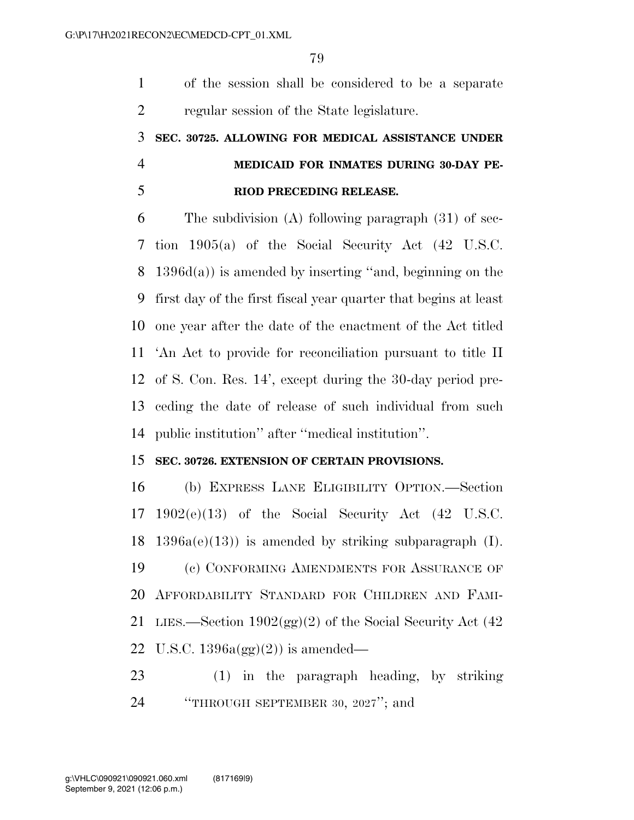of the session shall be considered to be a separate regular session of the State legislature.

## **SEC. 30725. ALLOWING FOR MEDICAL ASSISTANCE UNDER MEDICAID FOR INMATES DURING 30-DAY PE-RIOD PRECEDING RELEASE.**

 The subdivision (A) following paragraph (31) of sec- tion 1905(a) of the Social Security Act (42 U.S.C. 1396d(a)) is amended by inserting ''and, beginning on the first day of the first fiscal year quarter that begins at least one year after the date of the enactment of the Act titled 'An Act to provide for reconciliation pursuant to title II of S. Con. Res. 14', except during the 30-day period pre- ceding the date of release of such individual from such public institution'' after ''medical institution''.

## **SEC. 30726. EXTENSION OF CERTAIN PROVISIONS.**

 (b) EXPRESS LANE ELIGIBILITY OPTION.—Section 1902(e)(13) of the Social Security Act (42 U.S.C. 1396a(e)(13)) is amended by striking subparagraph (I). (c) CONFORMING AMENDMENTS FOR ASSURANCE OF AFFORDABILITY STANDARD FOR CHILDREN AND FAMI-21 LIES.—Section  $1902(gg)(2)$  of the Social Security Act (42) 22 U.S.C.  $1396a(gg)(2)$  is amended—

 (1) in the paragraph heading, by striking ''THROUGH SEPTEMBER 30, 2027''; and